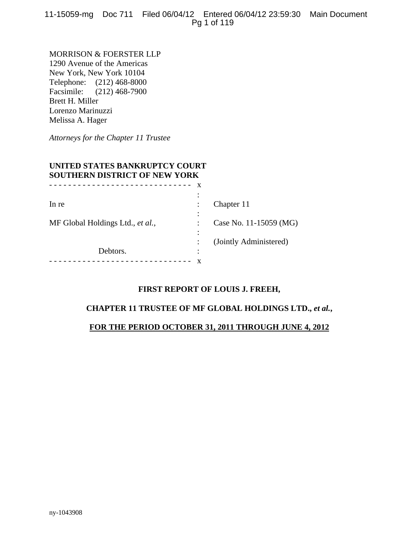11-15059-mg Doc 711 Filed 06/04/12 Entered 06/04/12 23:59:30 Main Document Pg 1 of 119

MORRISON & FOERSTER LLP 1290 Avenue of the Americas New York, New York 10104 Telephone: (212) 468-8000 Facsimile: (212) 468-7900 Brett H. Miller Lorenzo Marinuzzi Melissa A. Hager

*Attorneys for the Chapter 11 Trustee* 

# **UNITED STATES BANKRUPTCY COURT SOUTHERN DISTRICT OF NEW YORK**

|                                  | х      |                        |
|----------------------------------|--------|------------------------|
|                                  | ٠      |                        |
| In re                            |        | Chapter 11             |
|                                  | ٠      |                        |
| MF Global Holdings Ltd., et al., |        | Case No. 11-15059 (MG) |
|                                  |        |                        |
|                                  |        | (Jointly Administered) |
| Debtors.                         | ٠<br>٠ |                        |
|                                  |        |                        |

# **FIRST REPORT OF LOUIS J. FREEH,**

# **CHAPTER 11 TRUSTEE OF MF GLOBAL HOLDINGS LTD.,** *et al.***,**

#### **FOR THE PERIOD OCTOBER 31, 2011 THROUGH JUNE 4, 2012**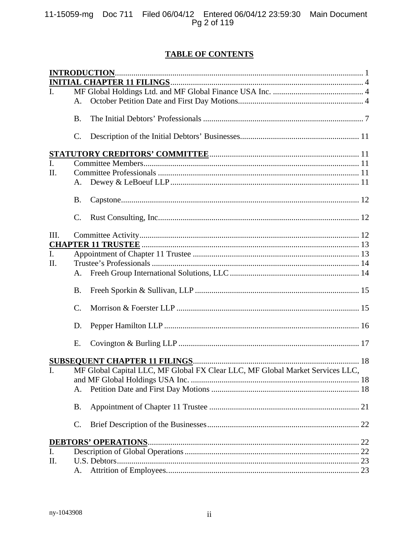# **TABLE OF CONTENTS**

| I.             |                 |                                                                               |
|----------------|-----------------|-------------------------------------------------------------------------------|
|                | A.              |                                                                               |
|                | <b>B.</b>       |                                                                               |
|                | C.              |                                                                               |
|                |                 |                                                                               |
| $\mathbf{I}$ . |                 |                                                                               |
| II.            |                 |                                                                               |
|                | A.              |                                                                               |
|                | <b>B.</b>       |                                                                               |
|                | $\mathcal{C}$ . |                                                                               |
| Ш.             |                 |                                                                               |
|                |                 |                                                                               |
| $\mathbf{I}$ . |                 |                                                                               |
| П.             |                 |                                                                               |
|                | A.              |                                                                               |
|                | <b>B.</b>       |                                                                               |
|                | C.              |                                                                               |
|                | D.              |                                                                               |
|                | E.              |                                                                               |
|                |                 |                                                                               |
| L.             |                 | MF Global Capital LLC, MF Global FX Clear LLC, MF Global Market Services LLC, |
|                |                 |                                                                               |
|                | А.              |                                                                               |
|                | <b>B.</b>       |                                                                               |
|                | C.              |                                                                               |
|                |                 |                                                                               |
| I.             |                 |                                                                               |
| Π.             |                 |                                                                               |
|                | A.              |                                                                               |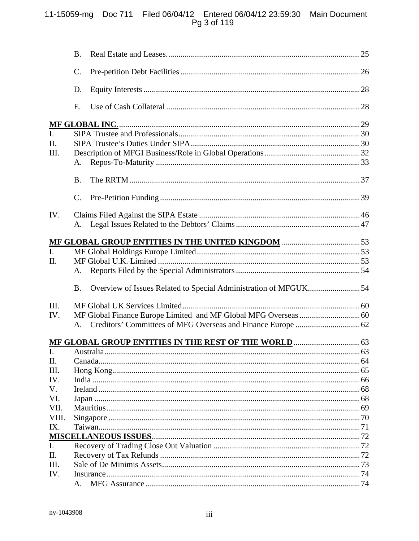# 11-15059-mg Doc 711 Filed 06/04/12 Entered 06/04/12 23:59:30 Main Document<br>Pg 3 of 119

| C.<br>D.<br>Ε.<br>L.<br>III.<br>A.<br><b>B.</b><br>$\mathcal{C}$ .<br>IV.<br>A.<br>$\overline{L}$<br>II.<br>A.<br>Overview of Issues Related to Special Administration of MFGUK 54<br><b>B.</b><br>III.<br>IV.<br>$A_{-}$<br>II.<br>III.<br>IV.<br>V.<br>VI.<br>VII.<br>VIII.<br>IX.<br>I.<br>II.<br>Ш.<br>IV.<br>A. |     | B. |  |
|----------------------------------------------------------------------------------------------------------------------------------------------------------------------------------------------------------------------------------------------------------------------------------------------------------------------|-----|----|--|
|                                                                                                                                                                                                                                                                                                                      |     |    |  |
|                                                                                                                                                                                                                                                                                                                      |     |    |  |
|                                                                                                                                                                                                                                                                                                                      |     |    |  |
|                                                                                                                                                                                                                                                                                                                      |     |    |  |
|                                                                                                                                                                                                                                                                                                                      |     |    |  |
|                                                                                                                                                                                                                                                                                                                      | II. |    |  |
|                                                                                                                                                                                                                                                                                                                      |     |    |  |
|                                                                                                                                                                                                                                                                                                                      |     |    |  |
|                                                                                                                                                                                                                                                                                                                      |     |    |  |
|                                                                                                                                                                                                                                                                                                                      |     |    |  |
|                                                                                                                                                                                                                                                                                                                      |     |    |  |
|                                                                                                                                                                                                                                                                                                                      |     |    |  |
|                                                                                                                                                                                                                                                                                                                      |     |    |  |
|                                                                                                                                                                                                                                                                                                                      |     |    |  |
|                                                                                                                                                                                                                                                                                                                      |     |    |  |
|                                                                                                                                                                                                                                                                                                                      |     |    |  |
|                                                                                                                                                                                                                                                                                                                      |     |    |  |
|                                                                                                                                                                                                                                                                                                                      |     |    |  |
|                                                                                                                                                                                                                                                                                                                      |     |    |  |
|                                                                                                                                                                                                                                                                                                                      |     |    |  |
|                                                                                                                                                                                                                                                                                                                      |     |    |  |
|                                                                                                                                                                                                                                                                                                                      |     |    |  |
|                                                                                                                                                                                                                                                                                                                      |     |    |  |
|                                                                                                                                                                                                                                                                                                                      |     |    |  |
|                                                                                                                                                                                                                                                                                                                      |     |    |  |
|                                                                                                                                                                                                                                                                                                                      |     |    |  |
|                                                                                                                                                                                                                                                                                                                      |     |    |  |
|                                                                                                                                                                                                                                                                                                                      |     |    |  |
|                                                                                                                                                                                                                                                                                                                      |     |    |  |
|                                                                                                                                                                                                                                                                                                                      |     |    |  |
|                                                                                                                                                                                                                                                                                                                      |     |    |  |
|                                                                                                                                                                                                                                                                                                                      |     |    |  |
|                                                                                                                                                                                                                                                                                                                      |     |    |  |
|                                                                                                                                                                                                                                                                                                                      |     |    |  |
|                                                                                                                                                                                                                                                                                                                      |     |    |  |
|                                                                                                                                                                                                                                                                                                                      |     |    |  |
|                                                                                                                                                                                                                                                                                                                      |     |    |  |
|                                                                                                                                                                                                                                                                                                                      |     |    |  |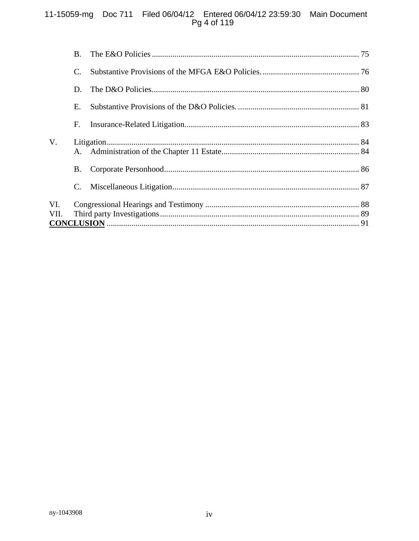# 11-15059-mg Doc 711 Filed 06/04/12 Entered 06/04/12 23:59:30 Main Document<br>Pg 4 of 119

|             | <b>B.</b> |  |
|-------------|-----------|--|
|             | C.        |  |
|             | D.        |  |
|             | Е.        |  |
|             | F.        |  |
| $V_{\cdot}$ |           |  |
|             | B.        |  |
|             |           |  |
| VI.         |           |  |
| VII.        |           |  |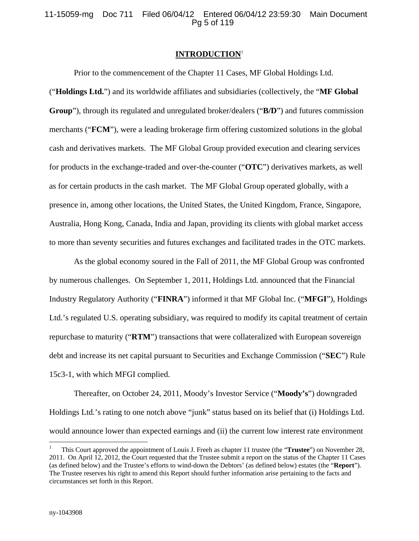11-15059-mg Doc 711 Filed 06/04/12 Entered 06/04/12 23:59:30 Main Document Pg 5 of 119

#### **INTRODUCTION**<sup>1</sup>

Prior to the commencement of the Chapter 11 Cases, MF Global Holdings Ltd.

("**Holdings Ltd.**") and its worldwide affiliates and subsidiaries (collectively, the "**MF Global Group**"), through its regulated and unregulated broker/dealers ("**B/D**") and futures commission merchants ("**FCM**"), were a leading brokerage firm offering customized solutions in the global cash and derivatives markets. The MF Global Group provided execution and clearing services for products in the exchange-traded and over-the-counter ("**OTC**") derivatives markets, as well as for certain products in the cash market. The MF Global Group operated globally, with a presence in, among other locations, the United States, the United Kingdom, France, Singapore, Australia, Hong Kong, Canada, India and Japan, providing its clients with global market access to more than seventy securities and futures exchanges and facilitated trades in the OTC markets.

As the global economy soured in the Fall of 2011, the MF Global Group was confronted by numerous challenges. On September 1, 2011, Holdings Ltd. announced that the Financial Industry Regulatory Authority ("**FINRA**") informed it that MF Global Inc. ("**MFGI**"), Holdings Ltd.'s regulated U.S. operating subsidiary, was required to modify its capital treatment of certain repurchase to maturity ("**RTM**") transactions that were collateralized with European sovereign debt and increase its net capital pursuant to Securities and Exchange Commission ("**SEC**") Rule 15c3-1, with which MFGI complied.

Thereafter, on October 24, 2011, Moody's Investor Service ("**Moody's**") downgraded Holdings Ltd.'s rating to one notch above "junk" status based on its belief that (i) Holdings Ltd. would announce lower than expected earnings and (ii) the current low interest rate environment

 $\overline{a}$ 

<sup>1</sup> This Court approved the appointment of Louis J. Freeh as chapter 11 trustee (the "**Trustee**") on November 28, 2011. On April 12, 2012, the Court requested that the Trustee submit a report on the status of the Chapter 11 Cases (as defined below) and the Trustee's efforts to wind-down the Debtors' (as defined below) estates (the "**Report**"). The Trustee reserves his right to amend this Report should further information arise pertaining to the facts and circumstances set forth in this Report.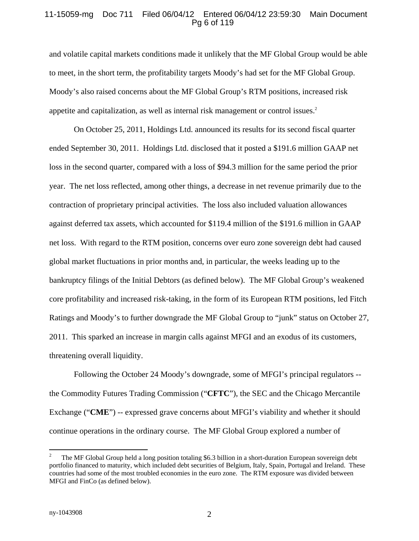# 11-15059-mg Doc 711 Filed 06/04/12 Entered 06/04/12 23:59:30 Main Document Pg 6 of 119

and volatile capital markets conditions made it unlikely that the MF Global Group would be able to meet, in the short term, the profitability targets Moody's had set for the MF Global Group. Moody's also raised concerns about the MF Global Group's RTM positions, increased risk appetite and capitalization, as well as internal risk management or control issues.<sup>2</sup>

On October 25, 2011, Holdings Ltd. announced its results for its second fiscal quarter ended September 30, 2011. Holdings Ltd. disclosed that it posted a \$191.6 million GAAP net loss in the second quarter, compared with a loss of \$94.3 million for the same period the prior year. The net loss reflected, among other things, a decrease in net revenue primarily due to the contraction of proprietary principal activities. The loss also included valuation allowances against deferred tax assets, which accounted for \$119.4 million of the \$191.6 million in GAAP net loss. With regard to the RTM position, concerns over euro zone sovereign debt had caused global market fluctuations in prior months and, in particular, the weeks leading up to the bankruptcy filings of the Initial Debtors (as defined below). The MF Global Group's weakened core profitability and increased risk-taking, in the form of its European RTM positions, led Fitch Ratings and Moody's to further downgrade the MF Global Group to "junk" status on October 27, 2011. This sparked an increase in margin calls against MFGI and an exodus of its customers, threatening overall liquidity.

Following the October 24 Moody's downgrade, some of MFGI's principal regulators - the Commodity Futures Trading Commission ("**CFTC**"), the SEC and the Chicago Mercantile Exchange ("**CME**") -- expressed grave concerns about MFGI's viability and whether it should continue operations in the ordinary course. The MF Global Group explored a number of

1

<sup>2</sup> The MF Global Group held a long position totaling \$6.3 billion in a short-duration European sovereign debt portfolio financed to maturity, which included debt securities of Belgium, Italy, Spain, Portugal and Ireland. These countries had some of the most troubled economies in the euro zone. The RTM exposure was divided between MFGI and FinCo (as defined below).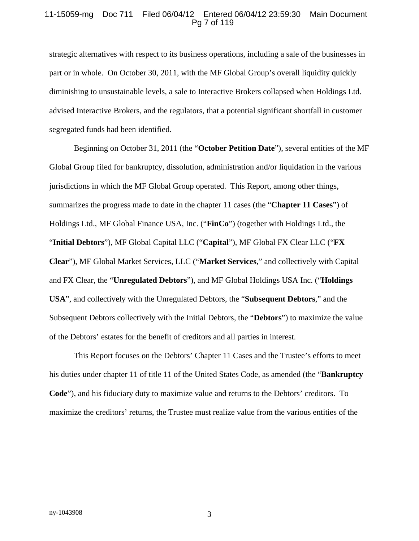#### 11-15059-mg Doc 711 Filed 06/04/12 Entered 06/04/12 23:59:30 Main Document Pg 7 of 119

strategic alternatives with respect to its business operations, including a sale of the businesses in part or in whole. On October 30, 2011, with the MF Global Group's overall liquidity quickly diminishing to unsustainable levels, a sale to Interactive Brokers collapsed when Holdings Ltd. advised Interactive Brokers, and the regulators, that a potential significant shortfall in customer segregated funds had been identified.

Beginning on October 31, 2011 (the "**October Petition Date**"), several entities of the MF Global Group filed for bankruptcy, dissolution, administration and/or liquidation in the various jurisdictions in which the MF Global Group operated. This Report, among other things, summarizes the progress made to date in the chapter 11 cases (the "**Chapter 11 Cases**") of Holdings Ltd., MF Global Finance USA, Inc. ("**FinCo**") (together with Holdings Ltd., the "**Initial Debtors**"), MF Global Capital LLC ("**Capital**"), MF Global FX Clear LLC ("**FX Clear**"), MF Global Market Services, LLC ("**Market Services**," and collectively with Capital and FX Clear, the "**Unregulated Debtors**"), and MF Global Holdings USA Inc. ("**Holdings USA**", and collectively with the Unregulated Debtors, the "**Subsequent Debtors**," and the Subsequent Debtors collectively with the Initial Debtors, the "**Debtors**") to maximize the value of the Debtors' estates for the benefit of creditors and all parties in interest.

This Report focuses on the Debtors' Chapter 11 Cases and the Trustee's efforts to meet his duties under chapter 11 of title 11 of the United States Code, as amended (the "**Bankruptcy Code**"), and his fiduciary duty to maximize value and returns to the Debtors' creditors. To maximize the creditors' returns, the Trustee must realize value from the various entities of the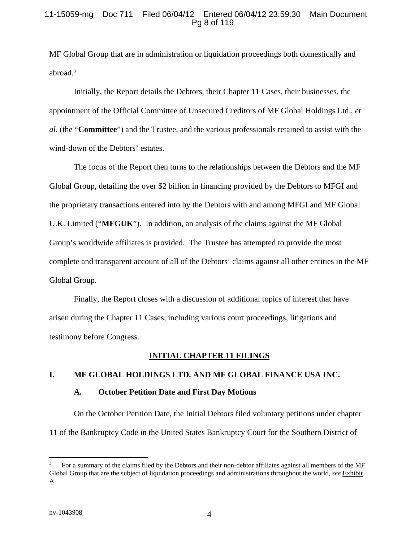# 11-15059-mg Doc 711 Filed 06/04/12 Entered 06/04/12 23:59:30 Main Document Pg 8 of 119

MF Global Group that are in administration or liquidation proceedings both domestically and abroad.<sup>3</sup>

Initially, the Report details the Debtors, their Chapter 11 Cases, their businesses, the appointment of the Official Committee of Unsecured Creditors of MF Global Holdings Ltd., *et al.* (the "**Committee**") and the Trustee, and the various professionals retained to assist with the wind-down of the Debtors' estates.

The focus of the Report then turns to the relationships between the Debtors and the MF Global Group, detailing the over \$2 billion in financing provided by the Debtors to MFGI and the proprietary transactions entered into by the Debtors with and among MFGI and MF Global U.K. Limited ("**MFGUK**"). In addition, an analysis of the claims against the MF Global Group's worldwide affiliates is provided. The Trustee has attempted to provide the most complete and transparent account of all of the Debtors' claims against all other entities in the MF Global Group.

Finally, the Report closes with a discussion of additional topics of interest that have arisen during the Chapter 11 Cases, including various court proceedings, litigations and testimony before Congress.

#### **INITIAL CHAPTER 11 FILINGS**

#### **I. MF GLOBAL HOLDINGS LTD. AND MF GLOBAL FINANCE USA INC.**

#### **A. October Petition Date and First Day Motions**

On the October Petition Date, the Initial Debtors filed voluntary petitions under chapter 11 of the Bankruptcy Code in the United States Bankruptcy Court for the Southern District of

 $\overline{a}$ 

<sup>3</sup> For a summary of the claims filed by the Debtors and their non-debtor affiliates against all members of the MF Global Group that are the subject of liquidation proceedings and administrations throughout the world, *see* Exhibit A.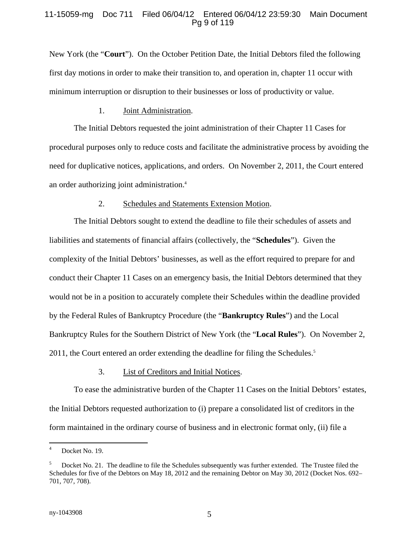### 11-15059-mg Doc 711 Filed 06/04/12 Entered 06/04/12 23:59:30 Main Document Pg 9 of 119

New York (the "**Court**"). On the October Petition Date, the Initial Debtors filed the following first day motions in order to make their transition to, and operation in, chapter 11 occur with minimum interruption or disruption to their businesses or loss of productivity or value.

#### 1. Joint Administration.

The Initial Debtors requested the joint administration of their Chapter 11 Cases for procedural purposes only to reduce costs and facilitate the administrative process by avoiding the need for duplicative notices, applications, and orders. On November 2, 2011, the Court entered an order authorizing joint administration.4

#### 2. Schedules and Statements Extension Motion.

The Initial Debtors sought to extend the deadline to file their schedules of assets and liabilities and statements of financial affairs (collectively, the "**Schedules**"). Given the complexity of the Initial Debtors' businesses, as well as the effort required to prepare for and conduct their Chapter 11 Cases on an emergency basis, the Initial Debtors determined that they would not be in a position to accurately complete their Schedules within the deadline provided by the Federal Rules of Bankruptcy Procedure (the "**Bankruptcy Rules**") and the Local Bankruptcy Rules for the Southern District of New York (the "**Local Rules**"). On November 2, 2011, the Court entered an order extending the deadline for filing the Schedules.<sup>5</sup>

#### 3. List of Creditors and Initial Notices.

To ease the administrative burden of the Chapter 11 Cases on the Initial Debtors' estates, the Initial Debtors requested authorization to (i) prepare a consolidated list of creditors in the form maintained in the ordinary course of business and in electronic format only, (ii) file a

 $\overline{a}$ 

<sup>4</sup> Docket No. 19.

<sup>5</sup> Docket No. 21. The deadline to file the Schedules subsequently was further extended. The Trustee filed the Schedules for five of the Debtors on May 18, 2012 and the remaining Debtor on May 30, 2012 (Docket Nos. 692– 701, 707, 708).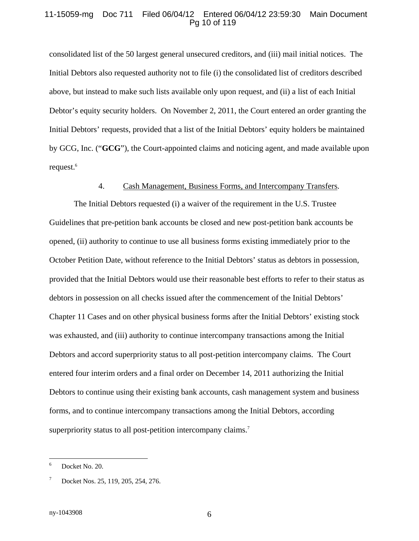#### 11-15059-mg Doc 711 Filed 06/04/12 Entered 06/04/12 23:59:30 Main Document Pg 10 of 119

consolidated list of the 50 largest general unsecured creditors, and (iii) mail initial notices. The Initial Debtors also requested authority not to file (i) the consolidated list of creditors described above, but instead to make such lists available only upon request, and (ii) a list of each Initial Debtor's equity security holders. On November 2, 2011, the Court entered an order granting the Initial Debtors' requests*,* provided that a list of the Initial Debtors' equity holders be maintained by GCG, Inc. ("**GCG**"), the Court-appointed claims and noticing agent, and made available upon request.<sup>6</sup>

# 4. Cash Management, Business Forms, and Intercompany Transfers.

The Initial Debtors requested (i) a waiver of the requirement in the U.S. Trustee Guidelines that pre-petition bank accounts be closed and new post-petition bank accounts be opened, (ii) authority to continue to use all business forms existing immediately prior to the October Petition Date, without reference to the Initial Debtors' status as debtors in possession, provided that the Initial Debtors would use their reasonable best efforts to refer to their status as debtors in possession on all checks issued after the commencement of the Initial Debtors' Chapter 11 Cases and on other physical business forms after the Initial Debtors' existing stock was exhausted, and (iii) authority to continue intercompany transactions among the Initial Debtors and accord superpriority status to all post-petition intercompany claims. The Court entered four interim orders and a final order on December 14, 2011 authorizing the Initial Debtors to continue using their existing bank accounts, cash management system and business forms, and to continue intercompany transactions among the Initial Debtors, according superpriority status to all post-petition intercompany claims.<sup>7</sup>

 6 Docket No. 20.

<sup>7</sup> Docket Nos. 25, 119, 205, 254, 276.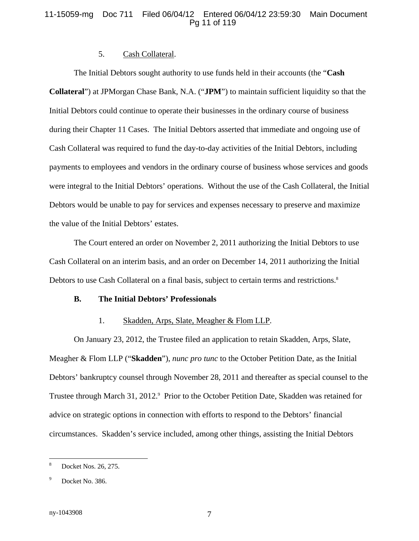# 11-15059-mg Doc 711 Filed 06/04/12 Entered 06/04/12 23:59:30 Main Document Pg 11 of 119

#### 5. Cash Collateral.

The Initial Debtors sought authority to use funds held in their accounts (the "**Cash Collateral**") at JPMorgan Chase Bank, N.A. ("**JPM**") to maintain sufficient liquidity so that the Initial Debtors could continue to operate their businesses in the ordinary course of business during their Chapter 11 Cases. The Initial Debtors asserted that immediate and ongoing use of Cash Collateral was required to fund the day-to-day activities of the Initial Debtors, including payments to employees and vendors in the ordinary course of business whose services and goods were integral to the Initial Debtors' operations. Without the use of the Cash Collateral, the Initial Debtors would be unable to pay for services and expenses necessary to preserve and maximize the value of the Initial Debtors' estates.

The Court entered an order on November 2, 2011 authorizing the Initial Debtors to use Cash Collateral on an interim basis, and an order on December 14, 2011 authorizing the Initial Debtors to use Cash Collateral on a final basis, subject to certain terms and restrictions.<sup>8</sup>

#### **B. The Initial Debtors' Professionals**

#### 1. Skadden, Arps, Slate, Meagher & Flom LLP.

On January 23, 2012, the Trustee filed an application to retain Skadden, Arps, Slate, Meagher & Flom LLP ("**Skadden**"), *nunc pro tunc* to the October Petition Date, as the Initial Debtors' bankruptcy counsel through November 28, 2011 and thereafter as special counsel to the Trustee through March 31, 2012.<sup>9</sup> Prior to the October Petition Date, Skadden was retained for advice on strategic options in connection with efforts to respond to the Debtors' financial circumstances. Skadden's service included, among other things, assisting the Initial Debtors

 $\overline{a}$ 

<sup>8</sup> Docket Nos. 26, 275.

<sup>9</sup> Docket No. 386.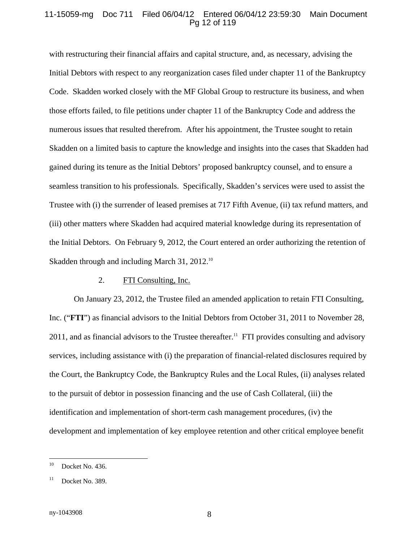#### 11-15059-mg Doc 711 Filed 06/04/12 Entered 06/04/12 23:59:30 Main Document Pg 12 of 119

with restructuring their financial affairs and capital structure, and, as necessary, advising the Initial Debtors with respect to any reorganization cases filed under chapter 11 of the Bankruptcy Code. Skadden worked closely with the MF Global Group to restructure its business, and when those efforts failed, to file petitions under chapter 11 of the Bankruptcy Code and address the numerous issues that resulted therefrom. After his appointment, the Trustee sought to retain Skadden on a limited basis to capture the knowledge and insights into the cases that Skadden had gained during its tenure as the Initial Debtors' proposed bankruptcy counsel, and to ensure a seamless transition to his professionals. Specifically, Skadden's services were used to assist the Trustee with (i) the surrender of leased premises at 717 Fifth Avenue, (ii) tax refund matters, and (iii) other matters where Skadden had acquired material knowledge during its representation of the Initial Debtors. On February 9, 2012, the Court entered an order authorizing the retention of Skadden through and including March 31, 2012.<sup>10</sup>

#### 2. FTI Consulting, Inc.

On January 23, 2012, the Trustee filed an amended application to retain FTI Consulting, Inc. ("**FTI**") as financial advisors to the Initial Debtors from October 31, 2011 to November 28,  $2011$ , and as financial advisors to the Trustee thereafter.<sup>11</sup> FTI provides consulting and advisory services, including assistance with (i) the preparation of financial-related disclosures required by the Court, the Bankruptcy Code, the Bankruptcy Rules and the Local Rules, (ii) analyses related to the pursuit of debtor in possession financing and the use of Cash Collateral, (iii) the identification and implementation of short-term cash management procedures, (iv) the development and implementation of key employee retention and other critical employee benefit

 $10$ Docket No. 436.

 $11$  Docket No. 389.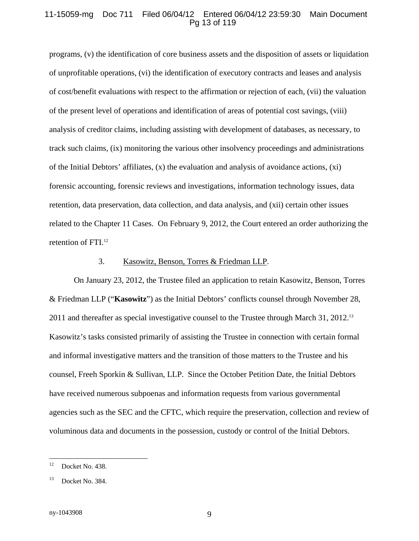#### 11-15059-mg Doc 711 Filed 06/04/12 Entered 06/04/12 23:59:30 Main Document Pg 13 of 119

programs, (v) the identification of core business assets and the disposition of assets or liquidation of unprofitable operations, (vi) the identification of executory contracts and leases and analysis of cost/benefit evaluations with respect to the affirmation or rejection of each, (vii) the valuation of the present level of operations and identification of areas of potential cost savings, (viii) analysis of creditor claims, including assisting with development of databases, as necessary, to track such claims, (ix) monitoring the various other insolvency proceedings and administrations of the Initial Debtors' affiliates,  $(x)$  the evaluation and analysis of avoidance actions,  $(xi)$ forensic accounting, forensic reviews and investigations, information technology issues, data retention, data preservation, data collection, and data analysis, and (xii) certain other issues related to the Chapter 11 Cases. On February 9, 2012, the Court entered an order authorizing the retention of FTI.<sup>12</sup>

#### 3. Kasowitz, Benson, Torres & Friedman LLP.

On January 23, 2012, the Trustee filed an application to retain Kasowitz, Benson, Torres & Friedman LLP ("**Kasowitz**") as the Initial Debtors' conflicts counsel through November 28, 2011 and thereafter as special investigative counsel to the Trustee through March 31, 2012.<sup>13</sup> Kasowitz's tasks consisted primarily of assisting the Trustee in connection with certain formal and informal investigative matters and the transition of those matters to the Trustee and his counsel, Freeh Sporkin & Sullivan, LLP. Since the October Petition Date, the Initial Debtors have received numerous subpoenas and information requests from various governmental agencies such as the SEC and the CFTC, which require the preservation, collection and review of voluminous data and documents in the possession, custody or control of the Initial Debtors.

 $12$ Docket No. 438.

<sup>&</sup>lt;sup>13</sup> Docket No. 384.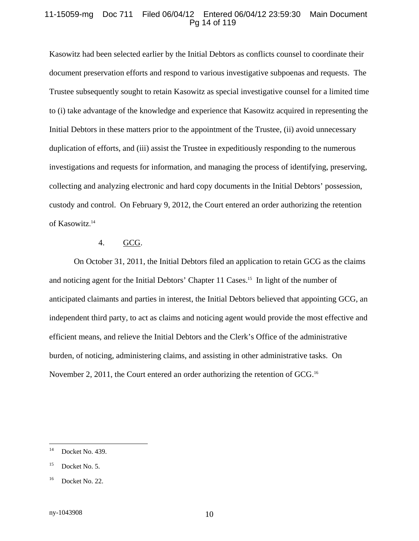#### 11-15059-mg Doc 711 Filed 06/04/12 Entered 06/04/12 23:59:30 Main Document Pg 14 of 119

Kasowitz had been selected earlier by the Initial Debtors as conflicts counsel to coordinate their document preservation efforts and respond to various investigative subpoenas and requests. The Trustee subsequently sought to retain Kasowitz as special investigative counsel for a limited time to (i) take advantage of the knowledge and experience that Kasowitz acquired in representing the Initial Debtors in these matters prior to the appointment of the Trustee, (ii) avoid unnecessary duplication of efforts, and (iii) assist the Trustee in expeditiously responding to the numerous investigations and requests for information, and managing the process of identifying, preserving, collecting and analyzing electronic and hard copy documents in the Initial Debtors' possession, custody and control. On February 9, 2012, the Court entered an order authorizing the retention of Kasowitz. 14

#### 4. GCG.

On October 31, 2011, the Initial Debtors filed an application to retain GCG as the claims and noticing agent for the Initial Debtors' Chapter 11 Cases.<sup>15</sup> In light of the number of anticipated claimants and parties in interest, the Initial Debtors believed that appointing GCG, an independent third party, to act as claims and noticing agent would provide the most effective and efficient means, and relieve the Initial Debtors and the Clerk's Office of the administrative burden, of noticing, administering claims, and assisting in other administrative tasks. On November 2, 2011, the Court entered an order authorizing the retention of GCG.<sup>16</sup>

 $14$ Docket No. 439.

 $^{15}$  Docket No. 5.

<sup>&</sup>lt;sup>16</sup> Docket No. 22.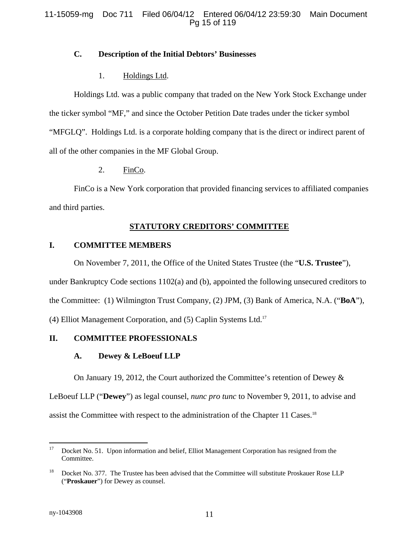# **C. Description of the Initial Debtors' Businesses**

# 1. Holdings Ltd.

Holdings Ltd. was a public company that traded on the New York Stock Exchange under the ticker symbol "MF," and since the October Petition Date trades under the ticker symbol "MFGLQ". Holdings Ltd. is a corporate holding company that is the direct or indirect parent of all of the other companies in the MF Global Group.

2. FinCo.

FinCo is a New York corporation that provided financing services to affiliated companies and third parties.

# **STATUTORY CREDITORS' COMMITTEE**

# **I. COMMITTEE MEMBERS**

On November 7, 2011, the Office of the United States Trustee (the "**U.S. Trustee**"), under Bankruptcy Code sections 1102(a) and (b), appointed the following unsecured creditors to the Committee: (1) Wilmington Trust Company, (2) JPM, (3) Bank of America, N.A. ("**BoA**"), (4) Elliot Management Corporation, and (5) Caplin Systems Ltd.17

# **II. COMMITTEE PROFESSIONALS**

# **A. Dewey & LeBoeuf LLP**

On January 19, 2012, the Court authorized the Committee's retention of Dewey & LeBoeuf LLP ("**Dewey**") as legal counsel, *nunc pro tunc* to November 9, 2011, to advise and assist the Committee with respect to the administration of the Chapter 11 Cases.18

<sup>1</sup> <sup>17</sup> Docket No. 51. Upon information and belief, Elliot Management Corporation has resigned from the Committee.

<sup>&</sup>lt;sup>18</sup> Docket No. 377. The Trustee has been advised that the Committee will substitute Proskauer Rose LLP ("**Proskauer**") for Dewey as counsel.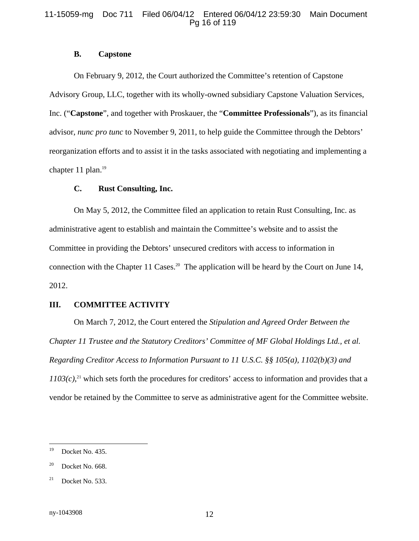#### 11-15059-mg Doc 711 Filed 06/04/12 Entered 06/04/12 23:59:30 Main Document Pg 16 of 119

#### **B. Capstone**

On February 9, 2012, the Court authorized the Committee's retention of Capstone Advisory Group, LLC, together with its wholly-owned subsidiary Capstone Valuation Services, Inc. ("**Capstone**", and together with Proskauer, the "**Committee Professionals**"), as its financial advisor, *nunc pro tunc* to November 9, 2011, to help guide the Committee through the Debtors' reorganization efforts and to assist it in the tasks associated with negotiating and implementing a chapter 11 plan. $19$ 

#### **C. Rust Consulting, Inc.**

On May 5, 2012, the Committee filed an application to retain Rust Consulting, Inc. as administrative agent to establish and maintain the Committee's website and to assist the Committee in providing the Debtors' unsecured creditors with access to information in connection with the Chapter 11 Cases.<sup>20</sup> The application will be heard by the Court on June 14, 2012.

### **III. COMMITTEE ACTIVITY**

On March 7, 2012, the Court entered the *Stipulation and Agreed Order Between the Chapter 11 Trustee and the Statutory Creditors' Committee of MF Global Holdings Ltd., et al. Regarding Creditor Access to Information Pursuant to 11 U.S.C. §§ 105(a), 1102(b)(3) and*   $1103(c)$ <sup>21</sup> which sets forth the procedures for creditors' access to information and provides that a vendor be retained by the Committee to serve as administrative agent for the Committee website.

<sup>19</sup> Docket No. 435.

 $20$  Docket No. 668.

 $21$  Docket No. 533.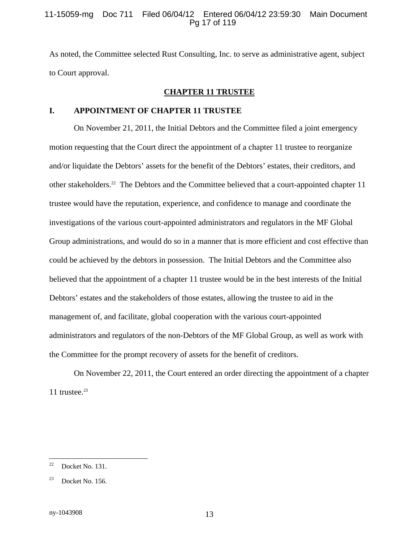#### 11-15059-mg Doc 711 Filed 06/04/12 Entered 06/04/12 23:59:30 Main Document Pg 17 of 119

As noted, the Committee selected Rust Consulting, Inc. to serve as administrative agent, subject to Court approval.

#### **CHAPTER 11 TRUSTEE**

# **I. APPOINTMENT OF CHAPTER 11 TRUSTEE**

On November 21, 2011, the Initial Debtors and the Committee filed a joint emergency motion requesting that the Court direct the appointment of a chapter 11 trustee to reorganize and/or liquidate the Debtors' assets for the benefit of the Debtors' estates, their creditors, and other stakeholders.22 The Debtors and the Committee believed that a court-appointed chapter 11 trustee would have the reputation, experience, and confidence to manage and coordinate the investigations of the various court-appointed administrators and regulators in the MF Global Group administrations, and would do so in a manner that is more efficient and cost effective than could be achieved by the debtors in possession. The Initial Debtors and the Committee also believed that the appointment of a chapter 11 trustee would be in the best interests of the Initial Debtors' estates and the stakeholders of those estates, allowing the trustee to aid in the management of, and facilitate, global cooperation with the various court-appointed administrators and regulators of the non-Debtors of the MF Global Group, as well as work with the Committee for the prompt recovery of assets for the benefit of creditors.

On November 22, 2011, the Court entered an order directing the appointment of a chapter 11 trustee. $23$ 

 $22$ Docket No. 131.

 $23$  Docket No. 156.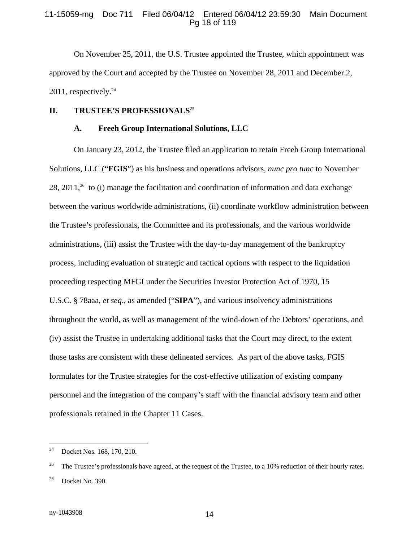#### 11-15059-mg Doc 711 Filed 06/04/12 Entered 06/04/12 23:59:30 Main Document Pg 18 of 119

On November 25, 2011, the U.S. Trustee appointed the Trustee, which appointment was approved by the Court and accepted by the Trustee on November 28, 2011 and December 2,  $2011$ , respectively.<sup>24</sup>

#### **II. TRUSTEE'S PROFESSIONALS**<sup>25</sup>

#### **A. Freeh Group International Solutions, LLC**

On January 23, 2012, the Trustee filed an application to retain Freeh Group International Solutions, LLC ("**FGIS**") as his business and operations advisors, *nunc pro tunc* to November 28, 2011,<sup>26</sup> to (i) manage the facilitation and coordination of information and data exchange between the various worldwide administrations, (ii) coordinate workflow administration between the Trustee's professionals, the Committee and its professionals, and the various worldwide administrations, (iii) assist the Trustee with the day-to-day management of the bankruptcy process, including evaluation of strategic and tactical options with respect to the liquidation proceeding respecting MFGI under the Securities Investor Protection Act of 1970, 15 U.S.C. § 78aaa, *et seq*., as amended ("**SIPA**"), and various insolvency administrations throughout the world, as well as management of the wind-down of the Debtors' operations, and (iv) assist the Trustee in undertaking additional tasks that the Court may direct, to the extent those tasks are consistent with these delineated services. As part of the above tasks, FGIS formulates for the Trustee strategies for the cost-effective utilization of existing company personnel and the integration of the company's staff with the financial advisory team and other professionals retained in the Chapter 11 Cases.

<sup>24</sup> <sup>24</sup>Docket Nos. 168, 170, 210.

<sup>&</sup>lt;sup>25</sup> The Trustee's professionals have agreed, at the request of the Trustee, to a 10% reduction of their hourly rates.  $26$  Docket No. 390.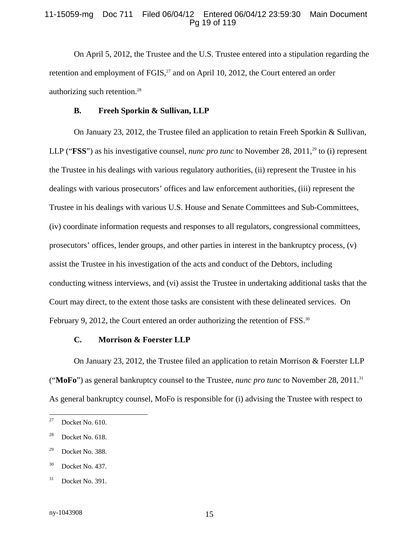#### 11-15059-mg Doc 711 Filed 06/04/12 Entered 06/04/12 23:59:30 Main Document Pg 19 of 119

On April 5, 2012, the Trustee and the U.S. Trustee entered into a stipulation regarding the retention and employment of  $FGIS<sub>1</sub><sup>27</sup>$  and on April 10, 2012, the Court entered an order authorizing such retention.28

#### **B. Freeh Sporkin & Sullivan, LLP**

On January 23, 2012, the Trustee filed an application to retain Freeh Sporkin & Sullivan, LLP ("**FSS**") as his investigative counsel, *nunc pro tunc* to November 28, 2011,<sup>29</sup> to (i) represent the Trustee in his dealings with various regulatory authorities, (ii) represent the Trustee in his dealings with various prosecutors' offices and law enforcement authorities, (iii) represent the Trustee in his dealings with various U.S. House and Senate Committees and Sub-Committees, (iv) coordinate information requests and responses to all regulators, congressional committees, prosecutors' offices, lender groups, and other parties in interest in the bankruptcy process, (v) assist the Trustee in his investigation of the acts and conduct of the Debtors, including conducting witness interviews, and (vi) assist the Trustee in undertaking additional tasks that the Court may direct, to the extent those tasks are consistent with these delineated services. On February 9, 2012, the Court entered an order authorizing the retention of FSS.<sup>30</sup>

#### **C. Morrison & Foerster LLP**

On January 23, 2012, the Trustee filed an application to retain Morrison & Foerster LLP ("**MoFo**") as general bankruptcy counsel to the Trustee, *nunc pro tunc* to November 28, 2011.31 As general bankruptcy counsel, MoFo is responsible for (i) advising the Trustee with respect to

<sup>27</sup> Docket No. 610.

 $28$  Docket No. 618.

 $29$  Docket No. 388.

<sup>30</sup> Docket No. 437.

<sup>31</sup> Docket No. 391.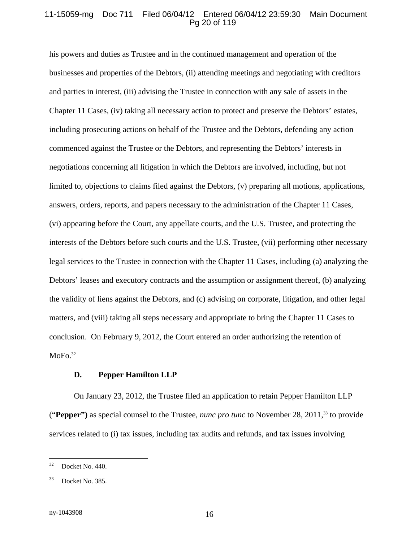#### 11-15059-mg Doc 711 Filed 06/04/12 Entered 06/04/12 23:59:30 Main Document Pg 20 of 119

his powers and duties as Trustee and in the continued management and operation of the businesses and properties of the Debtors, (ii) attending meetings and negotiating with creditors and parties in interest, (iii) advising the Trustee in connection with any sale of assets in the Chapter 11 Cases, (iv) taking all necessary action to protect and preserve the Debtors' estates, including prosecuting actions on behalf of the Trustee and the Debtors, defending any action commenced against the Trustee or the Debtors, and representing the Debtors' interests in negotiations concerning all litigation in which the Debtors are involved, including, but not limited to, objections to claims filed against the Debtors, (v) preparing all motions, applications, answers, orders, reports, and papers necessary to the administration of the Chapter 11 Cases, (vi) appearing before the Court, any appellate courts, and the U.S. Trustee, and protecting the interests of the Debtors before such courts and the U.S. Trustee, (vii) performing other necessary legal services to the Trustee in connection with the Chapter 11 Cases, including (a) analyzing the Debtors' leases and executory contracts and the assumption or assignment thereof, (b) analyzing the validity of liens against the Debtors, and (c) advising on corporate, litigation, and other legal matters, and (viii) taking all steps necessary and appropriate to bring the Chapter 11 Cases to conclusion. On February 9, 2012, the Court entered an order authorizing the retention of  $MoFo.<sup>32</sup>$ 

#### **D. Pepper Hamilton LLP**

On January 23, 2012, the Trustee filed an application to retain Pepper Hamilton LLP ("**Pepper")** as special counsel to the Trustee, *nunc pro tunc* to November 28, 2011,33 to provide services related to (i) tax issues, including tax audits and refunds, and tax issues involving

 $32$ Docket No. 440.

<sup>33</sup> Docket No. 385.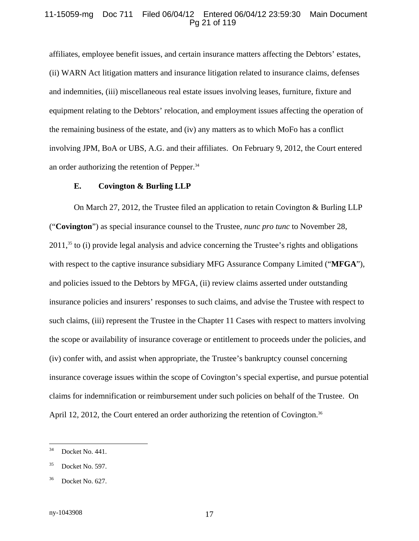#### 11-15059-mg Doc 711 Filed 06/04/12 Entered 06/04/12 23:59:30 Main Document Pg 21 of 119

affiliates, employee benefit issues, and certain insurance matters affecting the Debtors' estates, (ii) WARN Act litigation matters and insurance litigation related to insurance claims, defenses and indemnities, (iii) miscellaneous real estate issues involving leases, furniture, fixture and equipment relating to the Debtors' relocation, and employment issues affecting the operation of the remaining business of the estate, and (iv) any matters as to which MoFo has a conflict involving JPM, BoA or UBS, A.G. and their affiliates. On February 9, 2012, the Court entered an order authorizing the retention of Pepper.34

#### **E. Covington & Burling LLP**

On March 27, 2012, the Trustee filed an application to retain Covington & Burling LLP ("**Covington**") as special insurance counsel to the Trustee, *nunc pro tunc* to November 28, 2011,<sup>35</sup> to (i) provide legal analysis and advice concerning the Trustee's rights and obligations with respect to the captive insurance subsidiary MFG Assurance Company Limited ("**MFGA**"), and policies issued to the Debtors by MFGA, (ii) review claims asserted under outstanding insurance policies and insurers' responses to such claims, and advise the Trustee with respect to such claims, (iii) represent the Trustee in the Chapter 11 Cases with respect to matters involving the scope or availability of insurance coverage or entitlement to proceeds under the policies, and (iv) confer with, and assist when appropriate, the Trustee's bankruptcy counsel concerning insurance coverage issues within the scope of Covington's special expertise, and pursue potential claims for indemnification or reimbursement under such policies on behalf of the Trustee. On April 12, 2012, the Court entered an order authorizing the retention of Covington.<sup>36</sup>

<sup>34</sup> Docket No. 441.

<sup>35</sup> Docket No. 597.

Docket No. 627.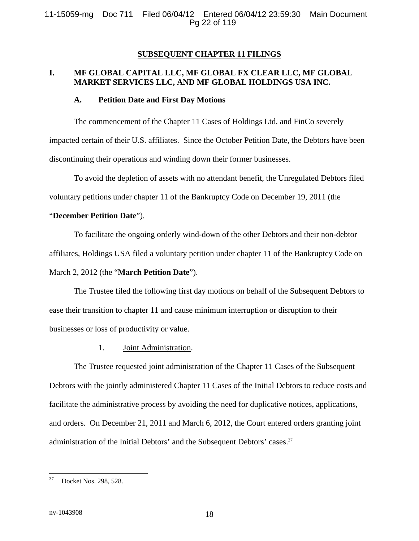#### **SUBSEQUENT CHAPTER 11 FILINGS**

# **I. MF GLOBAL CAPITAL LLC, MF GLOBAL FX CLEAR LLC, MF GLOBAL MARKET SERVICES LLC, AND MF GLOBAL HOLDINGS USA INC.**

#### **A. Petition Date and First Day Motions**

The commencement of the Chapter 11 Cases of Holdings Ltd. and FinCo severely impacted certain of their U.S. affiliates. Since the October Petition Date, the Debtors have been discontinuing their operations and winding down their former businesses.

To avoid the depletion of assets with no attendant benefit, the Unregulated Debtors filed voluntary petitions under chapter 11 of the Bankruptcy Code on December 19, 2011 (the

#### "**December Petition Date**").

To facilitate the ongoing orderly wind-down of the other Debtors and their non-debtor affiliates, Holdings USA filed a voluntary petition under chapter 11 of the Bankruptcy Code on March 2, 2012 (the "**March Petition Date**").

The Trustee filed the following first day motions on behalf of the Subsequent Debtors to ease their transition to chapter 11 and cause minimum interruption or disruption to their businesses or loss of productivity or value.

1. Joint Administration.

The Trustee requested joint administration of the Chapter 11 Cases of the Subsequent Debtors with the jointly administered Chapter 11 Cases of the Initial Debtors to reduce costs and facilitate the administrative process by avoiding the need for duplicative notices, applications, and orders. On December 21, 2011 and March 6, 2012, the Court entered orders granting joint administration of the Initial Debtors' and the Subsequent Debtors' cases.<sup>37</sup>

<sup>37</sup> Docket Nos. 298, 528.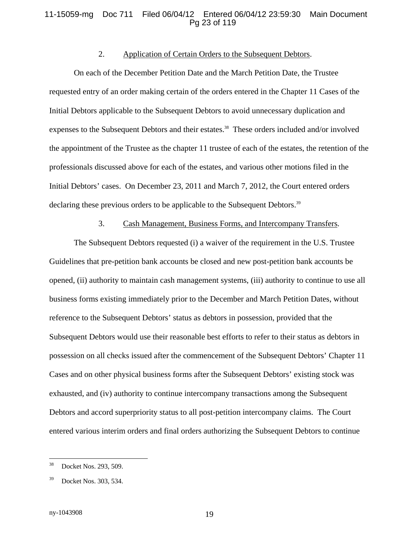#### 11-15059-mg Doc 711 Filed 06/04/12 Entered 06/04/12 23:59:30 Main Document Pg 23 of 119

#### 2. Application of Certain Orders to the Subsequent Debtors.

On each of the December Petition Date and the March Petition Date, the Trustee requested entry of an order making certain of the orders entered in the Chapter 11 Cases of the Initial Debtors applicable to the Subsequent Debtors to avoid unnecessary duplication and expenses to the Subsequent Debtors and their estates.<sup>38</sup> These orders included and/or involved the appointment of the Trustee as the chapter 11 trustee of each of the estates, the retention of the professionals discussed above for each of the estates, and various other motions filed in the Initial Debtors' cases. On December 23, 2011 and March 7, 2012, the Court entered orders declaring these previous orders to be applicable to the Subsequent Debtors.<sup>39</sup>

# 3. Cash Management, Business Forms, and Intercompany Transfers.

The Subsequent Debtors requested (i) a waiver of the requirement in the U.S. Trustee Guidelines that pre-petition bank accounts be closed and new post-petition bank accounts be opened, (ii) authority to maintain cash management systems, (iii) authority to continue to use all business forms existing immediately prior to the December and March Petition Dates, without reference to the Subsequent Debtors' status as debtors in possession, provided that the Subsequent Debtors would use their reasonable best efforts to refer to their status as debtors in possession on all checks issued after the commencement of the Subsequent Debtors' Chapter 11 Cases and on other physical business forms after the Subsequent Debtors' existing stock was exhausted, and (iv) authority to continue intercompany transactions among the Subsequent Debtors and accord superpriority status to all post-petition intercompany claims. The Court entered various interim orders and final orders authorizing the Subsequent Debtors to continue

<sup>38</sup> Docket Nos. 293, 509.

Docket Nos. 303, 534.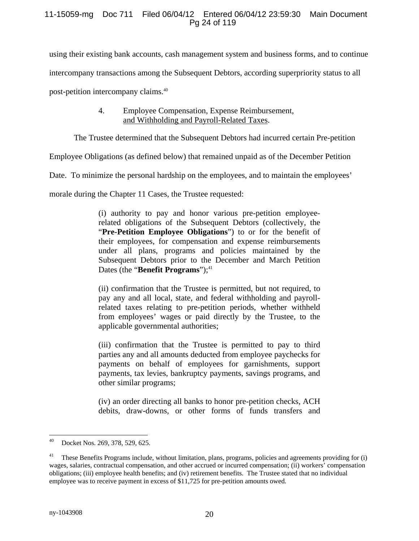# 11-15059-mg Doc 711 Filed 06/04/12 Entered 06/04/12 23:59:30 Main Document Pg 24 of 119

using their existing bank accounts, cash management system and business forms, and to continue intercompany transactions among the Subsequent Debtors, according superpriority status to all post-petition intercompany claims.40

# 4. Employee Compensation, Expense Reimbursement, and Withholding and Payroll-Related Taxes.

The Trustee determined that the Subsequent Debtors had incurred certain Pre-petition

Employee Obligations (as defined below) that remained unpaid as of the December Petition

Date. To minimize the personal hardship on the employees, and to maintain the employees'

morale during the Chapter 11 Cases, the Trustee requested:

(i) authority to pay and honor various pre-petition employeerelated obligations of the Subsequent Debtors (collectively, the "**Pre-Petition Employee Obligations**") to or for the benefit of their employees, for compensation and expense reimbursements under all plans, programs and policies maintained by the Subsequent Debtors prior to the December and March Petition Dates (the "**Benefit Programs**");<sup>41</sup>

(ii) confirmation that the Trustee is permitted, but not required, to pay any and all local, state, and federal withholding and payrollrelated taxes relating to pre-petition periods, whether withheld from employees' wages or paid directly by the Trustee, to the applicable governmental authorities;

(iii) confirmation that the Trustee is permitted to pay to third parties any and all amounts deducted from employee paychecks for payments on behalf of employees for garnishments, support payments, tax levies, bankruptcy payments, savings programs, and other similar programs;

(iv) an order directing all banks to honor pre-petition checks, ACH debits, draw-downs, or other forms of funds transfers and

<sup>40</sup> Docket Nos. 269, 378, 529, 625.

<sup>41</sup> These Benefits Programs include, without limitation, plans, programs, policies and agreements providing for (i) wages, salaries, contractual compensation, and other accrued or incurred compensation; (ii) workers' compensation obligations; (iii) employee health benefits; and (iv) retirement benefits. The Trustee stated that no individual employee was to receive payment in excess of \$11,725 for pre-petition amounts owed.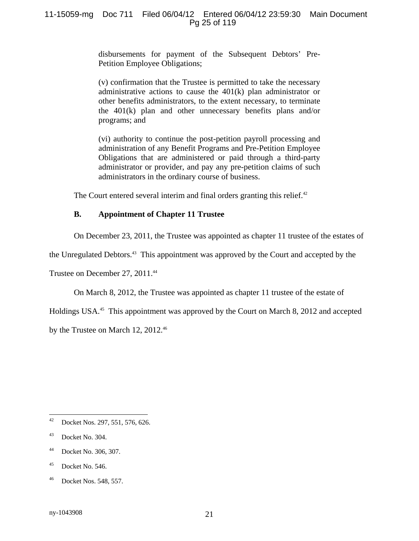disbursements for payment of the Subsequent Debtors' Pre-Petition Employee Obligations;

(v) confirmation that the Trustee is permitted to take the necessary administrative actions to cause the 401(k) plan administrator or other benefits administrators, to the extent necessary, to terminate the 401(k) plan and other unnecessary benefits plans and/or programs; and

(vi) authority to continue the post-petition payroll processing and administration of any Benefit Programs and Pre-Petition Employee Obligations that are administered or paid through a third-party administrator or provider, and pay any pre-petition claims of such administrators in the ordinary course of business.

The Court entered several interim and final orders granting this relief.<sup>42</sup>

# **B. Appointment of Chapter 11 Trustee**

On December 23, 2011, the Trustee was appointed as chapter 11 trustee of the estates of

the Unregulated Debtors.43 This appointment was approved by the Court and accepted by the

Trustee on December 27, 2011.<sup>44</sup>

On March 8, 2012, the Trustee was appointed as chapter 11 trustee of the estate of

Holdings USA.<sup>45</sup> This appointment was approved by the Court on March 8, 2012 and accepted

by the Trustee on March 12, 2012.<sup>46</sup>

- 44 Docket No. 306, 307.
- $45$  Docket No. 546.

<sup>42</sup> Docket Nos. 297, 551, 576, 626.

 $43$  Docket No. 304.

<sup>46</sup> Docket Nos. 548, 557.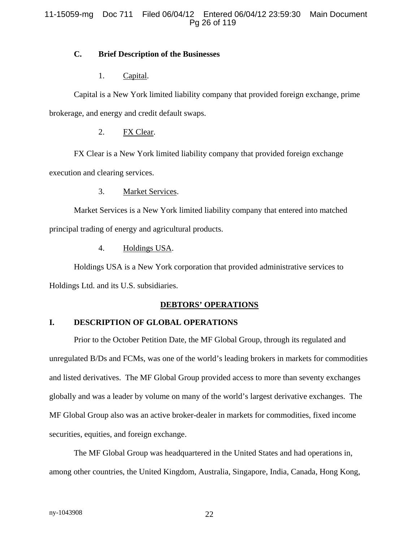# 11-15059-mg Doc 711 Filed 06/04/12 Entered 06/04/12 23:59:30 Main Document Pg 26 of 119

# **C. Brief Description of the Businesses**

# 1. Capital.

Capital is a New York limited liability company that provided foreign exchange, prime brokerage, and energy and credit default swaps.

### 2. FX Clear.

FX Clear is a New York limited liability company that provided foreign exchange execution and clearing services.

#### 3. Market Services.

Market Services is a New York limited liability company that entered into matched principal trading of energy and agricultural products.

# 4. Holdings USA.

Holdings USA is a New York corporation that provided administrative services to Holdings Ltd. and its U.S. subsidiaries.

# **DEBTORS' OPERATIONS**

# **I. DESCRIPTION OF GLOBAL OPERATIONS**

Prior to the October Petition Date, the MF Global Group, through its regulated and unregulated B/Ds and FCMs, was one of the world's leading brokers in markets for commodities and listed derivatives. The MF Global Group provided access to more than seventy exchanges globally and was a leader by volume on many of the world's largest derivative exchanges. The MF Global Group also was an active broker-dealer in markets for commodities, fixed income securities, equities, and foreign exchange.

The MF Global Group was headquartered in the United States and had operations in, among other countries, the United Kingdom, Australia, Singapore, India, Canada, Hong Kong,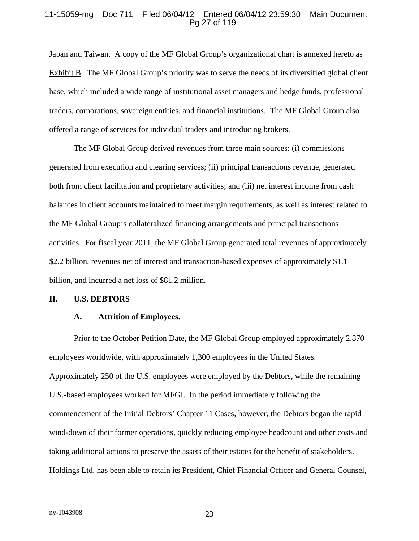#### 11-15059-mg Doc 711 Filed 06/04/12 Entered 06/04/12 23:59:30 Main Document Pg 27 of 119

Japan and Taiwan. A copy of the MF Global Group's organizational chart is annexed hereto as Exhibit B. The MF Global Group's priority was to serve the needs of its diversified global client base, which included a wide range of institutional asset managers and hedge funds, professional traders, corporations, sovereign entities, and financial institutions. The MF Global Group also offered a range of services for individual traders and introducing brokers.

The MF Global Group derived revenues from three main sources: (i) commissions generated from execution and clearing services; (ii) principal transactions revenue, generated both from client facilitation and proprietary activities; and (iii) net interest income from cash balances in client accounts maintained to meet margin requirements, as well as interest related to the MF Global Group's collateralized financing arrangements and principal transactions activities. For fiscal year 2011, the MF Global Group generated total revenues of approximately \$2.2 billion, revenues net of interest and transaction-based expenses of approximately \$1.1 billion, and incurred a net loss of \$81.2 million.

#### **II. U.S. DEBTORS**

#### **A. Attrition of Employees.**

Prior to the October Petition Date, the MF Global Group employed approximately 2,870 employees worldwide, with approximately 1,300 employees in the United States. Approximately 250 of the U.S. employees were employed by the Debtors, while the remaining U.S.-based employees worked for MFGI. In the period immediately following the commencement of the Initial Debtors' Chapter 11 Cases, however, the Debtors began the rapid wind-down of their former operations, quickly reducing employee headcount and other costs and taking additional actions to preserve the assets of their estates for the benefit of stakeholders. Holdings Ltd. has been able to retain its President, Chief Financial Officer and General Counsel,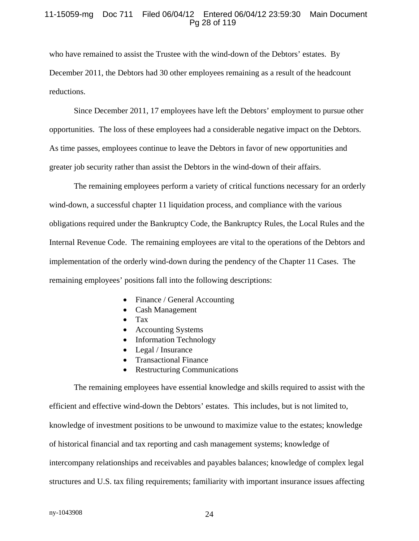#### 11-15059-mg Doc 711 Filed 06/04/12 Entered 06/04/12 23:59:30 Main Document Pg 28 of 119

who have remained to assist the Trustee with the wind-down of the Debtors' estates. By December 2011, the Debtors had 30 other employees remaining as a result of the headcount reductions.

Since December 2011, 17 employees have left the Debtors' employment to pursue other opportunities. The loss of these employees had a considerable negative impact on the Debtors. As time passes, employees continue to leave the Debtors in favor of new opportunities and greater job security rather than assist the Debtors in the wind-down of their affairs.

The remaining employees perform a variety of critical functions necessary for an orderly wind-down, a successful chapter 11 liquidation process, and compliance with the various obligations required under the Bankruptcy Code, the Bankruptcy Rules, the Local Rules and the Internal Revenue Code. The remaining employees are vital to the operations of the Debtors and implementation of the orderly wind-down during the pendency of the Chapter 11 Cases. The remaining employees' positions fall into the following descriptions:

- Finance / General Accounting
- Cash Management
- Tax
- Accounting Systems
- Information Technology
- Legal / Insurance
- Transactional Finance
- Restructuring Communications

The remaining employees have essential knowledge and skills required to assist with the efficient and effective wind-down the Debtors' estates. This includes, but is not limited to, knowledge of investment positions to be unwound to maximize value to the estates; knowledge of historical financial and tax reporting and cash management systems; knowledge of intercompany relationships and receivables and payables balances; knowledge of complex legal structures and U.S. tax filing requirements; familiarity with important insurance issues affecting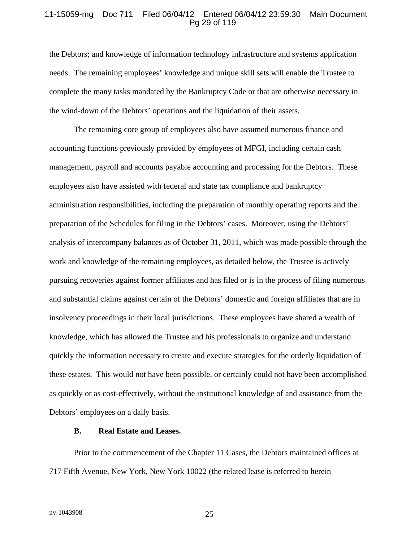#### 11-15059-mg Doc 711 Filed 06/04/12 Entered 06/04/12 23:59:30 Main Document Pg 29 of 119

the Debtors; and knowledge of information technology infrastructure and systems application needs. The remaining employees' knowledge and unique skill sets will enable the Trustee to complete the many tasks mandated by the Bankruptcy Code or that are otherwise necessary in the wind-down of the Debtors' operations and the liquidation of their assets.

The remaining core group of employees also have assumed numerous finance and accounting functions previously provided by employees of MFGI, including certain cash management, payroll and accounts payable accounting and processing for the Debtors. These employees also have assisted with federal and state tax compliance and bankruptcy administration responsibilities, including the preparation of monthly operating reports and the preparation of the Schedules for filing in the Debtors' cases. Moreover, using the Debtors' analysis of intercompany balances as of October 31, 2011, which was made possible through the work and knowledge of the remaining employees, as detailed below, the Trustee is actively pursuing recoveries against former affiliates and has filed or is in the process of filing numerous and substantial claims against certain of the Debtors' domestic and foreign affiliates that are in insolvency proceedings in their local jurisdictions. These employees have shared a wealth of knowledge, which has allowed the Trustee and his professionals to organize and understand quickly the information necessary to create and execute strategies for the orderly liquidation of these estates. This would not have been possible, or certainly could not have been accomplished as quickly or as cost-effectively, without the institutional knowledge of and assistance from the Debtors' employees on a daily basis.

#### **B. Real Estate and Leases.**

Prior to the commencement of the Chapter 11 Cases, the Debtors maintained offices at 717 Fifth Avenue, New York, New York 10022 (the related lease is referred to herein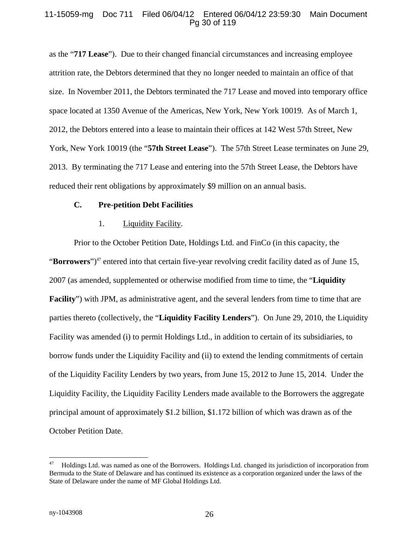# 11-15059-mg Doc 711 Filed 06/04/12 Entered 06/04/12 23:59:30 Main Document Pg 30 of 119

as the "**717 Lease**"). Due to their changed financial circumstances and increasing employee attrition rate, the Debtors determined that they no longer needed to maintain an office of that size. In November 2011, the Debtors terminated the 717 Lease and moved into temporary office space located at 1350 Avenue of the Americas, New York, New York 10019. As of March 1, 2012, the Debtors entered into a lease to maintain their offices at 142 West 57th Street, New York, New York 10019 (the "**57th Street Lease**"). The 57th Street Lease terminates on June 29, 2013. By terminating the 717 Lease and entering into the 57th Street Lease, the Debtors have reduced their rent obligations by approximately \$9 million on an annual basis.

#### **C. Pre-petition Debt Facilities**

#### 1. Liquidity Facility.

Prior to the October Petition Date, Holdings Ltd. and FinCo (in this capacity, the "**Borrowers**")<sup>47</sup> entered into that certain five-year revolving credit facility dated as of June 15, 2007 (as amended, supplemented or otherwise modified from time to time, the "**Liquidity Facility**") with JPM, as administrative agent, and the several lenders from time to time that are parties thereto (collectively, the "**Liquidity Facility Lenders**"). On June 29, 2010, the Liquidity Facility was amended (i) to permit Holdings Ltd., in addition to certain of its subsidiaries, to borrow funds under the Liquidity Facility and (ii) to extend the lending commitments of certain of the Liquidity Facility Lenders by two years, from June 15, 2012 to June 15, 2014. Under the Liquidity Facility, the Liquidity Facility Lenders made available to the Borrowers the aggregate principal amount of approximately \$1.2 billion, \$1.172 billion of which was drawn as of the October Petition Date.

 $\overline{a}$ 

<sup>47</sup> Holdings Ltd. was named as one of the Borrowers. Holdings Ltd. changed its jurisdiction of incorporation from Bermuda to the State of Delaware and has continued its existence as a corporation organized under the laws of the State of Delaware under the name of MF Global Holdings Ltd.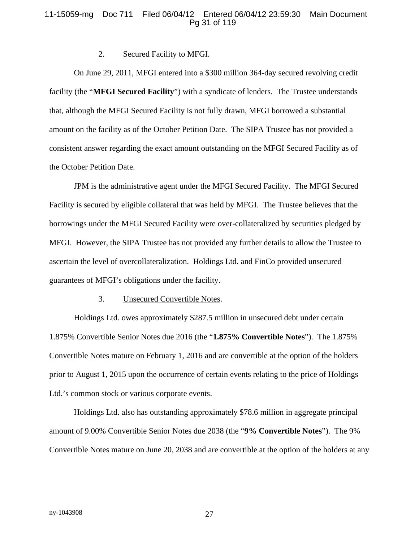## 11-15059-mg Doc 711 Filed 06/04/12 Entered 06/04/12 23:59:30 Main Document Pg 31 of 119

#### 2. Secured Facility to MFGI.

On June 29, 2011, MFGI entered into a \$300 million 364-day secured revolving credit facility (the "**MFGI Secured Facility**") with a syndicate of lenders. The Trustee understands that, although the MFGI Secured Facility is not fully drawn, MFGI borrowed a substantial amount on the facility as of the October Petition Date. The SIPA Trustee has not provided a consistent answer regarding the exact amount outstanding on the MFGI Secured Facility as of the October Petition Date.

JPM is the administrative agent under the MFGI Secured Facility. The MFGI Secured Facility is secured by eligible collateral that was held by MFGI. The Trustee believes that the borrowings under the MFGI Secured Facility were over-collateralized by securities pledged by MFGI. However, the SIPA Trustee has not provided any further details to allow the Trustee to ascertain the level of overcollateralization. Holdings Ltd. and FinCo provided unsecured guarantees of MFGI's obligations under the facility.

#### 3. Unsecured Convertible Notes.

Holdings Ltd. owes approximately \$287.5 million in unsecured debt under certain 1.875% Convertible Senior Notes due 2016 (the "**1.875% Convertible Notes**"). The 1.875% Convertible Notes mature on February 1, 2016 and are convertible at the option of the holders prior to August 1, 2015 upon the occurrence of certain events relating to the price of Holdings Ltd.'s common stock or various corporate events.

Holdings Ltd. also has outstanding approximately \$78.6 million in aggregate principal amount of 9.00% Convertible Senior Notes due 2038 (the "**9% Convertible Notes**"). The 9% Convertible Notes mature on June 20, 2038 and are convertible at the option of the holders at any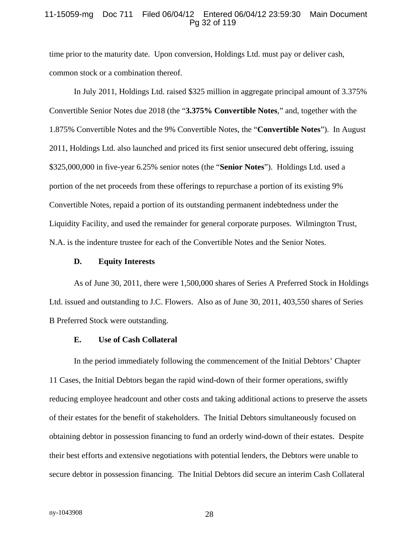#### 11-15059-mg Doc 711 Filed 06/04/12 Entered 06/04/12 23:59:30 Main Document Pg 32 of 119

time prior to the maturity date. Upon conversion, Holdings Ltd. must pay or deliver cash, common stock or a combination thereof.

In July 2011, Holdings Ltd. raised \$325 million in aggregate principal amount of 3.375% Convertible Senior Notes due 2018 (the "**3.375% Convertible Notes**," and, together with the 1.875% Convertible Notes and the 9% Convertible Notes, the "**Convertible Notes**"). In August 2011, Holdings Ltd. also launched and priced its first senior unsecured debt offering, issuing \$325,000,000 in five-year 6.25% senior notes (the "**Senior Notes**"). Holdings Ltd. used a portion of the net proceeds from these offerings to repurchase a portion of its existing 9% Convertible Notes, repaid a portion of its outstanding permanent indebtedness under the Liquidity Facility, and used the remainder for general corporate purposes. Wilmington Trust, N.A. is the indenture trustee for each of the Convertible Notes and the Senior Notes.

#### **D. Equity Interests**

As of June 30, 2011, there were 1,500,000 shares of Series A Preferred Stock in Holdings Ltd. issued and outstanding to J.C. Flowers. Also as of June 30, 2011, 403,550 shares of Series B Preferred Stock were outstanding.

#### **E. Use of Cash Collateral**

In the period immediately following the commencement of the Initial Debtors' Chapter 11 Cases, the Initial Debtors began the rapid wind-down of their former operations, swiftly reducing employee headcount and other costs and taking additional actions to preserve the assets of their estates for the benefit of stakeholders. The Initial Debtors simultaneously focused on obtaining debtor in possession financing to fund an orderly wind-down of their estates. Despite their best efforts and extensive negotiations with potential lenders, the Debtors were unable to secure debtor in possession financing. The Initial Debtors did secure an interim Cash Collateral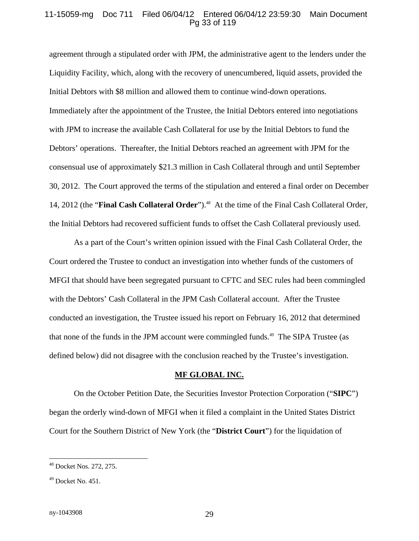#### 11-15059-mg Doc 711 Filed 06/04/12 Entered 06/04/12 23:59:30 Main Document Pg 33 of 119

agreement through a stipulated order with JPM, the administrative agent to the lenders under the Liquidity Facility, which, along with the recovery of unencumbered, liquid assets, provided the Initial Debtors with \$8 million and allowed them to continue wind-down operations. Immediately after the appointment of the Trustee, the Initial Debtors entered into negotiations with JPM to increase the available Cash Collateral for use by the Initial Debtors to fund the Debtors' operations. Thereafter, the Initial Debtors reached an agreement with JPM for the consensual use of approximately \$21.3 million in Cash Collateral through and until September 30, 2012. The Court approved the terms of the stipulation and entered a final order on December 14, 2012 (the "**Final Cash Collateral Order**").<sup>48</sup> At the time of the Final Cash Collateral Order, the Initial Debtors had recovered sufficient funds to offset the Cash Collateral previously used.

As a part of the Court's written opinion issued with the Final Cash Collateral Order, the Court ordered the Trustee to conduct an investigation into whether funds of the customers of MFGI that should have been segregated pursuant to CFTC and SEC rules had been commingled with the Debtors' Cash Collateral in the JPM Cash Collateral account. After the Trustee conducted an investigation, the Trustee issued his report on February 16, 2012 that determined that none of the funds in the JPM account were commingled funds.<sup>49</sup> The SIPA Trustee (as defined below) did not disagree with the conclusion reached by the Trustee's investigation.

#### **MF GLOBAL INC.**

On the October Petition Date, the Securities Investor Protection Corporation ("**SIPC**") began the orderly wind-down of MFGI when it filed a complaint in the United States District Court for the Southern District of New York (the "**District Court**") for the liquidation of

 $\overline{a}$ 

<sup>48</sup> Docket Nos. 272, 275.

 $49$  Docket No. 451.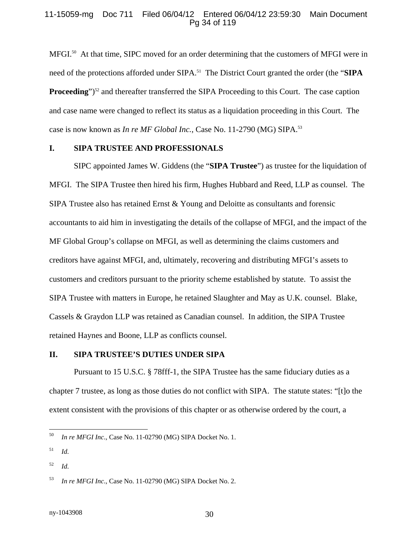#### 11-15059-mg Doc 711 Filed 06/04/12 Entered 06/04/12 23:59:30 Main Document Pg 34 of 119

MFGI.<sup>50</sup> At that time, SIPC moved for an order determining that the customers of MFGI were in need of the protections afforded under SIPA.<sup>51</sup> The District Court granted the order (the "SIPA **Proceeding**")<sup>52</sup> and thereafter transferred the SIPA Proceeding to this Court. The case caption and case name were changed to reflect its status as a liquidation proceeding in this Court. The case is now known as *In re MF Global Inc.*, Case No. 11-2790 (MG) SIPA.<sup>53</sup>

### **I. SIPA TRUSTEE AND PROFESSIONALS**

SIPC appointed James W. Giddens (the "**SIPA Trustee**") as trustee for the liquidation of MFGI. The SIPA Trustee then hired his firm, Hughes Hubbard and Reed, LLP as counsel. The SIPA Trustee also has retained Ernst & Young and Deloitte as consultants and forensic accountants to aid him in investigating the details of the collapse of MFGI, and the impact of the MF Global Group's collapse on MFGI, as well as determining the claims customers and creditors have against MFGI, and, ultimately, recovering and distributing MFGI's assets to customers and creditors pursuant to the priority scheme established by statute. To assist the SIPA Trustee with matters in Europe, he retained Slaughter and May as U.K. counsel. Blake, Cassels & Graydon LLP was retained as Canadian counsel. In addition, the SIPA Trustee retained Haynes and Boone, LLP as conflicts counsel.

# **II. SIPA TRUSTEE'S DUTIES UNDER SIPA**

Pursuant to 15 U.S.C. § 78fff-1, the SIPA Trustee has the same fiduciary duties as a chapter 7 trustee, as long as those duties do not conflict with SIPA. The statute states: "[t]o the extent consistent with the provisions of this chapter or as otherwise ordered by the court, a

52 *Id*.

 $50\,$ 50 *In re MFGI Inc*.*,* Case No. 11-02790 (MG) SIPA Docket No. 1.

<sup>51</sup> *Id*.

<sup>53</sup> *In re MFGI Inc*.*,* Case No. 11-02790 (MG) SIPA Docket No. 2.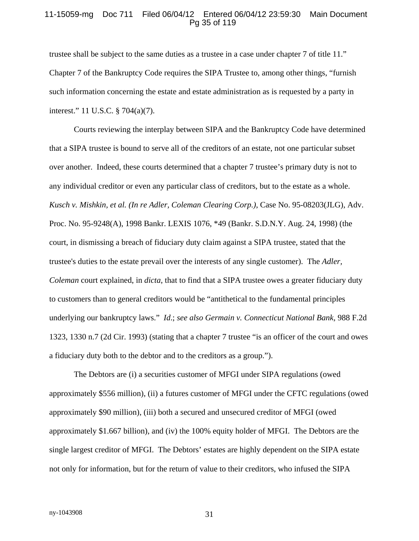#### 11-15059-mg Doc 711 Filed 06/04/12 Entered 06/04/12 23:59:30 Main Document Pg 35 of 119

trustee shall be subject to the same duties as a trustee in a case under chapter 7 of title 11." Chapter 7 of the Bankruptcy Code requires the SIPA Trustee to, among other things, "furnish such information concerning the estate and estate administration as is requested by a party in interest." 11 U.S.C. § 704(a)(7).

Courts reviewing the interplay between SIPA and the Bankruptcy Code have determined that a SIPA trustee is bound to serve all of the creditors of an estate, not one particular subset over another. Indeed, these courts determined that a chapter 7 trustee's primary duty is not to any individual creditor or even any particular class of creditors, but to the estate as a whole. *Kusch v. Mishkin, et al. (In re Adler, Coleman Clearing Corp.)*, Case No. 95-08203(JLG), Adv. Proc. No. 95-9248(A), 1998 Bankr. LEXIS 1076, \*49 (Bankr. S.D.N.Y. Aug. 24, 1998) (the court, in dismissing a breach of fiduciary duty claim against a SIPA trustee, stated that the trustee's duties to the estate prevail over the interests of any single customer). The *Adler, Coleman* court explained, in *dicta*, that to find that a SIPA trustee owes a greater fiduciary duty to customers than to general creditors would be "antithetical to the fundamental principles underlying our bankruptcy laws." *Id*.; *see also Germain v. Connecticut National Bank,* 988 F.2d 1323, 1330 n.7 (2d Cir. 1993) (stating that a chapter 7 trustee "is an officer of the court and owes a fiduciary duty both to the debtor and to the creditors as a group.").

The Debtors are (i) a securities customer of MFGI under SIPA regulations (owed approximately \$556 million), (ii) a futures customer of MFGI under the CFTC regulations (owed approximately \$90 million), (iii) both a secured and unsecured creditor of MFGI (owed approximately \$1.667 billion), and (iv) the 100% equity holder of MFGI. The Debtors are the single largest creditor of MFGI. The Debtors' estates are highly dependent on the SIPA estate not only for information, but for the return of value to their creditors, who infused the SIPA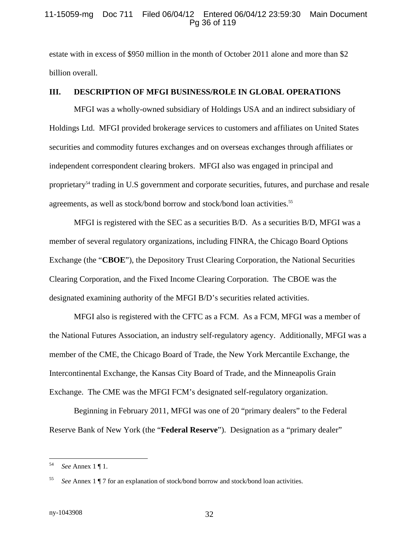#### 11-15059-mg Doc 711 Filed 06/04/12 Entered 06/04/12 23:59:30 Main Document Pg 36 of 119

estate with in excess of \$950 million in the month of October 2011 alone and more than \$2 billion overall.

# **III. DESCRIPTION OF MFGI BUSINESS/ROLE IN GLOBAL OPERATIONS**

MFGI was a wholly-owned subsidiary of Holdings USA and an indirect subsidiary of Holdings Ltd. MFGI provided brokerage services to customers and affiliates on United States securities and commodity futures exchanges and on overseas exchanges through affiliates or independent correspondent clearing brokers. MFGI also was engaged in principal and proprietary<sup>54</sup> trading in U.S government and corporate securities, futures, and purchase and resale agreements, as well as stock/bond borrow and stock/bond loan activities.<sup>55</sup>

MFGI is registered with the SEC as a securities B/D. As a securities B/D, MFGI was a member of several regulatory organizations, including FINRA, the Chicago Board Options Exchange (the "**CBOE**"), the Depository Trust Clearing Corporation, the National Securities Clearing Corporation, and the Fixed Income Clearing Corporation. The CBOE was the designated examining authority of the MFGI B/D's securities related activities.

MFGI also is registered with the CFTC as a FCM. As a FCM, MFGI was a member of the National Futures Association, an industry self-regulatory agency. Additionally, MFGI was a member of the CME, the Chicago Board of Trade, the New York Mercantile Exchange, the Intercontinental Exchange, the Kansas City Board of Trade, and the Minneapolis Grain Exchange. The CME was the MFGI FCM's designated self-regulatory organization.

Beginning in February 2011, MFGI was one of 20 "primary dealers" to the Federal Reserve Bank of New York (the "**Federal Reserve**"). Designation as a "primary dealer"

<sup>54</sup> 54 *See* Annex 1 ¶ 1.

<sup>55</sup> *See* Annex 1 ¶ 7 for an explanation of stock/bond borrow and stock/bond loan activities.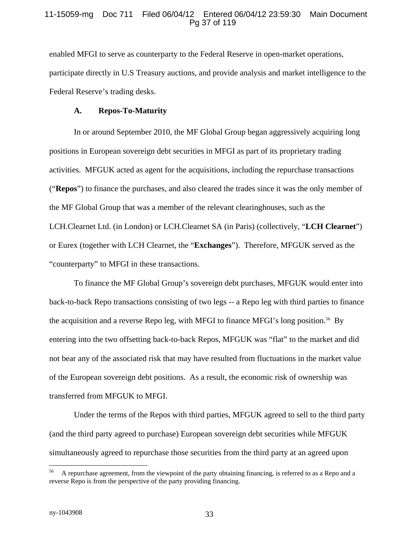### 11-15059-mg Doc 711 Filed 06/04/12 Entered 06/04/12 23:59:30 Main Document Pg 37 of 119

enabled MFGI to serve as counterparty to the Federal Reserve in open-market operations, participate directly in U.S Treasury auctions, and provide analysis and market intelligence to the Federal Reserve's trading desks.

#### **A. Repos-To-Maturity**

In or around September 2010, the MF Global Group began aggressively acquiring long positions in European sovereign debt securities in MFGI as part of its proprietary trading activities. MFGUK acted as agent for the acquisitions, including the repurchase transactions ("**Repos**") to finance the purchases, and also cleared the trades since it was the only member of the MF Global Group that was a member of the relevant clearinghouses, such as the LCH.Clearnet Ltd. (in London) or LCH.Clearnet SA (in Paris) (collectively, "**LCH Clearnet**") or Eurex (together with LCH Clearnet, the "**Exchanges**"). Therefore, MFGUK served as the "counterparty" to MFGI in these transactions.

To finance the MF Global Group's sovereign debt purchases, MFGUK would enter into back-to-back Repo transactions consisting of two legs -- a Repo leg with third parties to finance the acquisition and a reverse Repo leg, with MFGI to finance MFGI's long position.<sup>56</sup> By entering into the two offsetting back-to-back Repos, MFGUK was "flat" to the market and did not bear any of the associated risk that may have resulted from fluctuations in the market value of the European sovereign debt positions. As a result, the economic risk of ownership was transferred from MFGUK to MFGI.

Under the terms of the Repos with third parties, MFGUK agreed to sell to the third party (and the third party agreed to purchase) European sovereign debt securities while MFGUK simultaneously agreed to repurchase those securities from the third party at an agreed upon

 $\overline{a}$ 

<sup>56</sup> A repurchase agreement, from the viewpoint of the party obtaining financing, is referred to as a Repo and a reverse Repo is from the perspective of the party providing financing.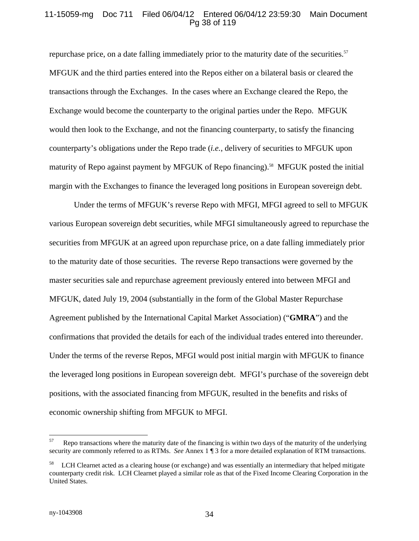### 11-15059-mg Doc 711 Filed 06/04/12 Entered 06/04/12 23:59:30 Main Document Pg 38 of 119

repurchase price, on a date falling immediately prior to the maturity date of the securities.<sup>57</sup> MFGUK and the third parties entered into the Repos either on a bilateral basis or cleared the transactions through the Exchanges. In the cases where an Exchange cleared the Repo, the Exchange would become the counterparty to the original parties under the Repo. MFGUK would then look to the Exchange, and not the financing counterparty, to satisfy the financing counterparty's obligations under the Repo trade (*i.e.*, delivery of securities to MFGUK upon maturity of Repo against payment by MFGUK of Repo financing).<sup>58</sup> MFGUK posted the initial margin with the Exchanges to finance the leveraged long positions in European sovereign debt.

Under the terms of MFGUK's reverse Repo with MFGI, MFGI agreed to sell to MFGUK various European sovereign debt securities, while MFGI simultaneously agreed to repurchase the securities from MFGUK at an agreed upon repurchase price, on a date falling immediately prior to the maturity date of those securities. The reverse Repo transactions were governed by the master securities sale and repurchase agreement previously entered into between MFGI and MFGUK, dated July 19, 2004 (substantially in the form of the Global Master Repurchase Agreement published by the International Capital Market Association) ("**GMRA**") and the confirmations that provided the details for each of the individual trades entered into thereunder. Under the terms of the reverse Repos, MFGI would post initial margin with MFGUK to finance the leveraged long positions in European sovereign debt. MFGI's purchase of the sovereign debt positions, with the associated financing from MFGUK, resulted in the benefits and risks of economic ownership shifting from MFGUK to MFGI.

<sup>57</sup> 57 Repo transactions where the maturity date of the financing is within two days of the maturity of the underlying security are commonly referred to as RTMs. *See* Annex 1 ¶ 3 for a more detailed explanation of RTM transactions.

<sup>&</sup>lt;sup>58</sup> LCH Clearnet acted as a clearing house (or exchange) and was essentially an intermediary that helped mitigate counterparty credit risk. LCH Clearnet played a similar role as that of the Fixed Income Clearing Corporation in the United States.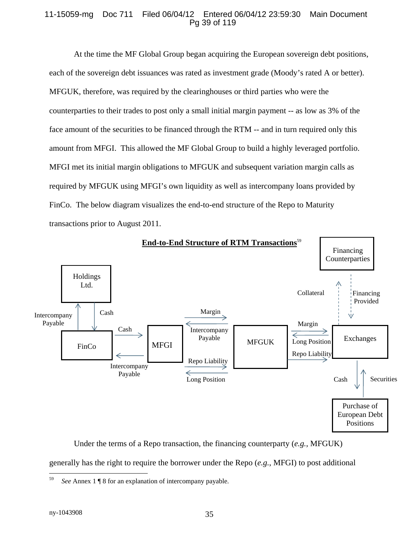### 11-15059-mg Doc 711 Filed 06/04/12 Entered 06/04/12 23:59:30 Main Document Pg 39 of 119

At the time the MF Global Group began acquiring the European sovereign debt positions, each of the sovereign debt issuances was rated as investment grade (Moody's rated A or better). MFGUK, therefore, was required by the clearinghouses or third parties who were the counterparties to their trades to post only a small initial margin payment -- as low as 3% of the face amount of the securities to be financed through the RTM -- and in turn required only this amount from MFGI. This allowed the MF Global Group to build a highly leveraged portfolio. MFGI met its initial margin obligations to MFGUK and subsequent variation margin calls as required by MFGUK using MFGI's own liquidity as well as intercompany loans provided by FinCo. The below diagram visualizes the end-to-end structure of the Repo to Maturity transactions prior to August 2011.



Under the terms of a Repo transaction, the financing counterparty (*e.g.*, MFGUK) generally has the right to require the borrower under the Repo (*e.g.*, MFGI) to post additional

<sup>59</sup> 59 *See* Annex 1 ¶ 8 for an explanation of intercompany payable.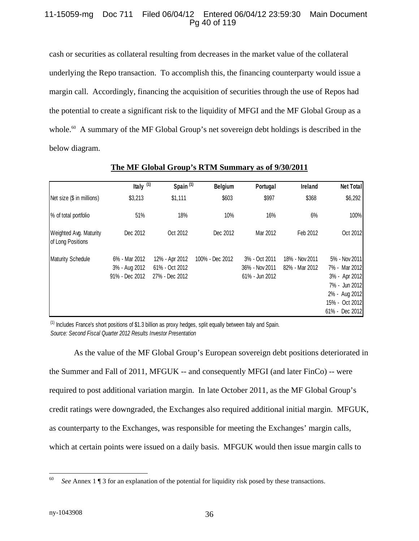### 11-15059-mg Doc 711 Filed 06/04/12 Entered 06/04/12 23:59:30 Main Document Pg 40 of 119

cash or securities as collateral resulting from decreases in the market value of the collateral underlying the Repo transaction. To accomplish this, the financing counterparty would issue a margin call. Accordingly, financing the acquisition of securities through the use of Repos had the potential to create a significant risk to the liquidity of MFGI and the MF Global Group as a whole.<sup>60</sup> A summary of the MF Global Group's net sovereign debt holdings is described in the below diagram.

|                                             | Italy $(1)$                                      | Spain <sup>(1)</sup>                               | <b>Belgium</b>  | Portugal                                          | Ireland                          | <b>Net Total</b>                                                                                                      |
|---------------------------------------------|--------------------------------------------------|----------------------------------------------------|-----------------|---------------------------------------------------|----------------------------------|-----------------------------------------------------------------------------------------------------------------------|
| Net size (\$ in millions)                   | \$3,213                                          | \$1,111                                            | \$603           | \$997                                             | \$368                            | \$6,292                                                                                                               |
| % of total portfolio                        | 51%                                              | 18%                                                | 10%             | 16%                                               | 6%                               | 100%                                                                                                                  |
| Weighted Avg. Maturity<br>of Long Positions | Dec 2012                                         | Oct 2012                                           | Dec 2012        | Mar 2012                                          | Feb 2012                         | Oct 2012                                                                                                              |
| <b>Maturity Schedule</b>                    | 6% - Mar 2012<br>3% - Aug 2012<br>91% - Dec 2012 | 12% - Apr 2012<br>61% - Oct 2012<br>27% - Dec 2012 | 100% - Dec 2012 | 3% - Oct 2011<br>36% - Nov 2011<br>61% - Jun 2012 | 18% - Nov 2011<br>82% - Mar 2012 | 5% - Nov 2011<br>7% - Mar 2012<br>3% - Apr 2012<br>7% - Jun 2012<br>2% - Aug 2012<br>15% - Oct 2012<br>61% - Dec 2012 |

### **The MF Global Group's RTM Summary as of 9/30/2011**

 $<sup>(1)</sup>$  Includes France's short positions of \$1.3 billion as proxy hedges, split equally between Italy and Spain.</sup> *Source: Second Fiscal Quarter 2012 Results Investor Presentation*

As the value of the MF Global Group's European sovereign debt positions deteriorated in the Summer and Fall of 2011, MFGUK -- and consequently MFGI (and later FinCo) -- were required to post additional variation margin. In late October 2011, as the MF Global Group's credit ratings were downgraded, the Exchanges also required additional initial margin. MFGUK, as counterparty to the Exchanges, was responsible for meeting the Exchanges' margin calls, which at certain points were issued on a daily basis. MFGUK would then issue margin calls to

<sup>60</sup> See Annex 1 ¶ 3 for an explanation of the potential for liquidity risk posed by these transactions.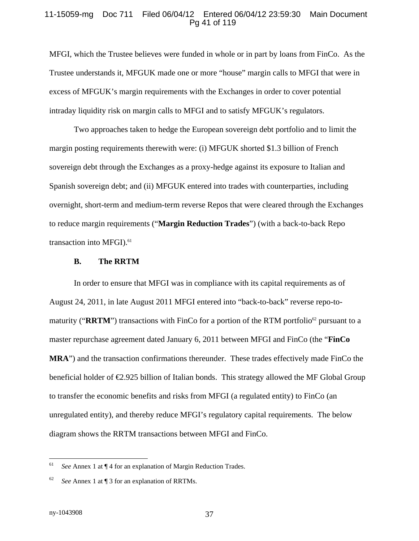#### 11-15059-mg Doc 711 Filed 06/04/12 Entered 06/04/12 23:59:30 Main Document Pg 41 of 119

MFGI, which the Trustee believes were funded in whole or in part by loans from FinCo. As the Trustee understands it, MFGUK made one or more "house" margin calls to MFGI that were in excess of MFGUK's margin requirements with the Exchanges in order to cover potential intraday liquidity risk on margin calls to MFGI and to satisfy MFGUK's regulators.

Two approaches taken to hedge the European sovereign debt portfolio and to limit the margin posting requirements therewith were: (i) MFGUK shorted \$1.3 billion of French sovereign debt through the Exchanges as a proxy-hedge against its exposure to Italian and Spanish sovereign debt; and (ii) MFGUK entered into trades with counterparties, including overnight, short-term and medium-term reverse Repos that were cleared through the Exchanges to reduce margin requirements ("**Margin Reduction Trades**") (with a back-to-back Repo transaction into MFGI).<sup>61</sup>

#### **B. The RRTM**

In order to ensure that MFGI was in compliance with its capital requirements as of August 24, 2011, in late August 2011 MFGI entered into "back-to-back" reverse repo-tomaturity ("**RRTM**") transactions with FinCo for a portion of the RTM portfolio<sup>62</sup> pursuant to a master repurchase agreement dated January 6, 2011 between MFGI and FinCo (the "**FinCo MRA**") and the transaction confirmations thereunder. These trades effectively made FinCo the beneficial holder of  $\epsilon$ 2.925 billion of Italian bonds. This strategy allowed the MF Global Group to transfer the economic benefits and risks from MFGI (a regulated entity) to FinCo (an unregulated entity), and thereby reduce MFGI's regulatory capital requirements. The below diagram shows the RRTM transactions between MFGI and FinCo.

<sup>61</sup> See Annex 1 at  $\P$  4 for an explanation of Margin Reduction Trades.

<sup>62</sup> *See* Annex 1 at ¶ 3 for an explanation of RRTMs.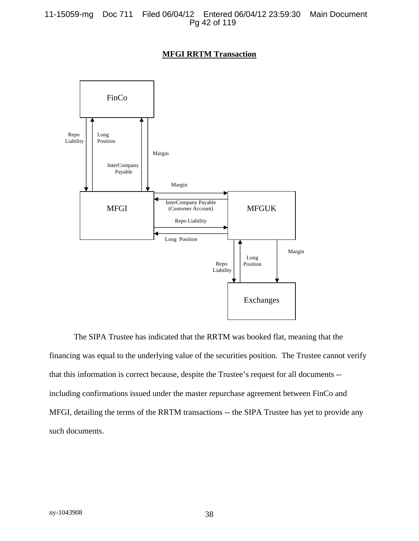### **MFGI RRTM Transaction**



The SIPA Trustee has indicated that the RRTM was booked flat, meaning that the financing was equal to the underlying value of the securities position. The Trustee cannot verify that this information is correct because, despite the Trustee's request for all documents - including confirmations issued under the master repurchase agreement between FinCo and MFGI, detailing the terms of the RRTM transactions -- the SIPA Trustee has yet to provide any such documents.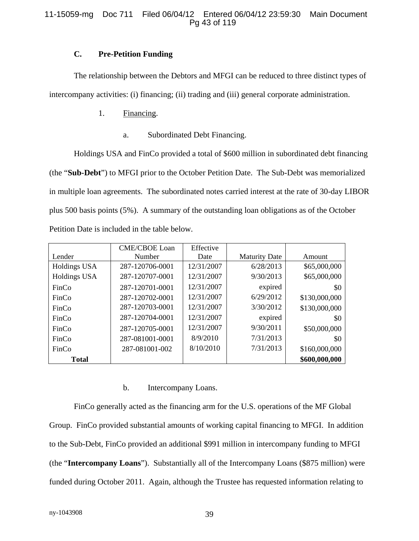### 11-15059-mg Doc 711 Filed 06/04/12 Entered 06/04/12 23:59:30 Main Document Pg 43 of 119

### **C. Pre-Petition Funding**

The relationship between the Debtors and MFGI can be reduced to three distinct types of intercompany activities: (i) financing; (ii) trading and (iii) general corporate administration.

- 1. Financing.
	- a. Subordinated Debt Financing.

Holdings USA and FinCo provided a total of \$600 million in subordinated debt financing (the "**Sub-Debt**") to MFGI prior to the October Petition Date. The Sub-Debt was memorialized in multiple loan agreements. The subordinated notes carried interest at the rate of 30-day LIBOR plus 500 basis points (5%). A summary of the outstanding loan obligations as of the October Petition Date is included in the table below.

|              | <b>CME/CBOE Loan</b> | Effective  |                      |               |
|--------------|----------------------|------------|----------------------|---------------|
| Lender       | Number               | Date       | <b>Maturity Date</b> | Amount        |
| Holdings USA | 287-120706-0001      | 12/31/2007 | 6/28/2013            | \$65,000,000  |
| Holdings USA | 287-120707-0001      | 12/31/2007 | 9/30/2013            | \$65,000,000  |
| FinCo        | 287-120701-0001      | 12/31/2007 | expired              | \$0           |
| FinCo        | 287-120702-0001      | 12/31/2007 | 6/29/2012            | \$130,000,000 |
| FinCo        | 287-120703-0001      | 12/31/2007 | 3/30/2012            | \$130,000,000 |
| FinCo        | 287-120704-0001      | 12/31/2007 | expired              | \$0           |
| FinCo        | 287-120705-0001      | 12/31/2007 | 9/30/2011            | \$50,000,000  |
| FinCo        | 287-081001-0001      | 8/9/2010   | 7/31/2013            | \$0           |
| FinCo        | 287-081001-002       | 8/10/2010  | 7/31/2013            | \$160,000,000 |
| <b>Total</b> |                      |            |                      | \$600,000,000 |

#### b. Intercompany Loans.

FinCo generally acted as the financing arm for the U.S. operations of the MF Global Group. FinCo provided substantial amounts of working capital financing to MFGI. In addition to the Sub-Debt, FinCo provided an additional \$991 million in intercompany funding to MFGI (the "**Intercompany Loans**"). Substantially all of the Intercompany Loans (\$875 million) were funded during October 2011. Again, although the Trustee has requested information relating to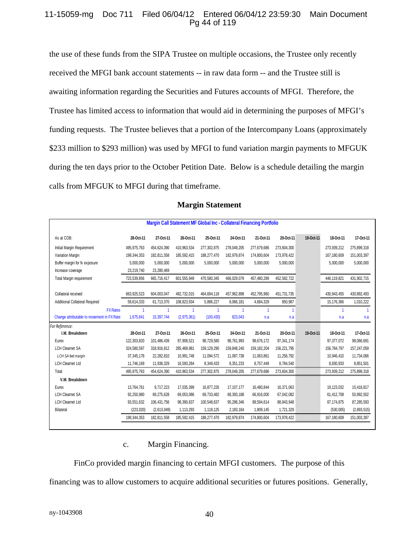### 11-15059-mg Doc 711 Filed 06/04/12 Entered 06/04/12 23:59:30 Main Document Pg 44 of 119

the use of these funds from the SIPA Trustee on multiple occasions, the Trustee only recently received the MFGI bank account statements -- in raw data form -- and the Trustee still is awaiting information regarding the Securities and Futures accounts of MFGI. Therefore, the Trustee has limited access to information that would aid in determining the purposes of MFGI's funding requests. The Trustee believes that a portion of the Intercompany Loans (approximately \$233 million to \$293 million) was used by MFGI to fund variation margin payments to MFGUK during the ten days prior to the October Petition Date. Below is a schedule detailing the margin calls from MFGUK to MFGI during that timeframe.

| Margin Call Statement MF Global Inc - Collateral Financing Portfolio |              |             |             |             |             |               |             |           |              |             |
|----------------------------------------------------------------------|--------------|-------------|-------------|-------------|-------------|---------------|-------------|-----------|--------------|-------------|
| As at COB:                                                           | 28-Oct-11    | 27-Oct-11   | 26-Oct-11   | 25-Oct-11   | 24-Oct-11   | 21-Oct-11     | 20-Oct-11   | 19-Oct-11 | 18-Oct-11    | 17-Oct-11   |
| Initial Margin Requirement                                           | 495,975,763  | 454,624,390 | 410,963,534 | 277,302,875 | 278,049,205 | 277,679,686   | 273,604,300 |           | 273,939,212  | 275,899,318 |
| Variation Margin                                                     | 199,344,353  | 182.811.558 | 185,592,415 | 188,277,470 | 182,979,874 | 174.800.604   | 173,978,422 |           | 167.180.609  | 151,003,397 |
| Buffer margin for fx exposure                                        | 5,000,000    | 5,000,000   | 5,000,000   | 5,000,000   | 5,000,000   | 5,000,000     | 5,000,000   |           | 5.000.000    | 5,000,000   |
| Increase coverage                                                    | 23,219,740   | 23,280,469  |             |             |             |               |             |           |              |             |
| Total Margin requirement                                             | 723,539,856  | 665,716,417 | 601,555,949 | 470,580,345 | 466,029,079 | 457,480,289   | 452,582,722 |           | 446.119.821  | 431,902,715 |
| Collateral received                                                  | 663,925,523  | 604,003,047 | 492,732,015 | 464,694,118 | 457,962,898 | 452,795,960   | 451,731,735 |           | 430,943,455  | 430,892,493 |
| Additional Collateral Required                                       | 59,614,333   | 61,713,370  | 108,823,934 | 5,886,227   | 8,066,181   | 4,684,329     | 850,987     |           | 15,176,366   | 1,010,222   |
| <b>FX Rates</b>                                                      | 1            |             | 1           | 1           | 1           | 1             | 1           |           | -1           | -1          |
| Change attributable to movement in FX Rate                           | 1,675,841    | 15,397,744  | (2,975,361) | (100, 430)  | 823,043     | n.a           | n.a         |           | n.a          | n.a         |
| For Reference:                                                       |              |             |             |             |             |               |             |           |              |             |
| I.M. Breakdown                                                       | 28-Oct-11    | 27-Oct-11   | 26-Oct-11   | 25-Oct-11   | 24-Oct-11   | 21-Oct-11     | 20-Oct-11   | 19-Oct-11 | 18-Oct-11    | 17-Oct-11   |
| Eurex                                                                | 122,303,820  | 101,486,439 | 97,908,521  | 98,729,580  | 98,761,993  | 98,676,172    | 97,341,174  |           | 97,377,072   | 98,066,691  |
| <b>LCH Clearnet SA</b>                                               | 324,580,597  | 318,916,812 | 285,469,981 | 159,129,290 | 159,848,240 | 159, 182, 204 | 156,221,795 |           | 156,784,797  | 157,247,059 |
| LCH SA fwd margin                                                    | 37, 345, 178 | 22,282,810  | 10,991,748  | 11,094,572  | 11,087,738  | 11,063,861    | 11,256,792  |           | 10,946,410   | 11,734,066  |
| <b>LCH Clearnet Ltd</b>                                              | 11,746,169   | 11,938,329  | 16,593,284  | 8,349,433   | 8,351,233   | 8,757,449     | 8,784,540   |           | 8,830,933    | 8,851,501   |
| Total                                                                | 495,975,763  | 454,624,390 | 410,963,534 | 277,302,875 | 278,049,205 | 277,679,686   | 273,604,300 |           | 273,939,212  | 275,899,318 |
| V.M. Breakdown                                                       |              |             |             |             |             |               |             |           |              |             |
| Eurex                                                                | 13,764,761   | 9.717.223   | 17,035,399  | 16.877.226  | 17.107.177  | 16,480,844    | 16,371,063  |           | 19,123,032   | 15,418,817  |
| <b>LCH Clearnet SA</b>                                               | 92,250,980   | 69.275.628  | 69,053,086  | 69,733,482  | 68,393,188  | 66,916,000    | 67,042,082  |           | 61.412.708   | 50,992,502  |
| <b>LCH Clearnet Ltd</b>                                              | 93,551,632   | 106,431,756 | 98,390,637  | 100,548,637 | 95,296,346  | 89,594,614    | 88,843,948  |           | 87, 174, 875 | 87,285,593  |
| <b>Bilateral</b>                                                     | (223, 020)   | (2,613,049) | 1,113,293   | 1,118,125   | 2,183,164   | 1,809,145     | 1,721,329   |           | (530,005)    | (2,693,515) |
|                                                                      | 199,344,353  | 182,811,558 | 185,592,415 | 188,277,470 | 182,979,874 | 174,800,604   | 173,978,422 |           | 167,180,609  | 151,003,397 |

### **Margin Statement**

#### c. Margin Financing.

FinCo provided margin financing to certain MFGI customers. The purpose of this

financing was to allow customers to acquire additional securities or futures positions. Generally,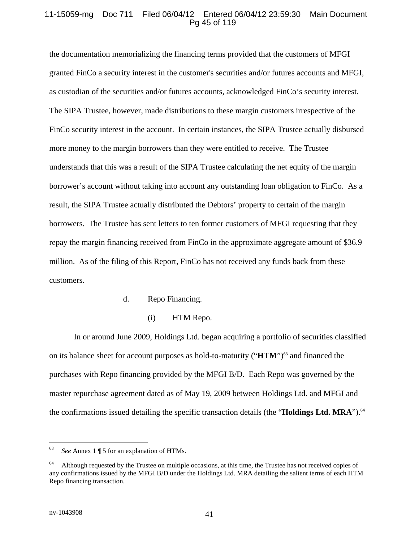### 11-15059-mg Doc 711 Filed 06/04/12 Entered 06/04/12 23:59:30 Main Document Pg 45 of 119

the documentation memorializing the financing terms provided that the customers of MFGI granted FinCo a security interest in the customer's securities and/or futures accounts and MFGI, as custodian of the securities and/or futures accounts, acknowledged FinCo's security interest. The SIPA Trustee, however, made distributions to these margin customers irrespective of the FinCo security interest in the account. In certain instances, the SIPA Trustee actually disbursed more money to the margin borrowers than they were entitled to receive. The Trustee understands that this was a result of the SIPA Trustee calculating the net equity of the margin borrower's account without taking into account any outstanding loan obligation to FinCo. As a result, the SIPA Trustee actually distributed the Debtors' property to certain of the margin borrowers. The Trustee has sent letters to ten former customers of MFGI requesting that they repay the margin financing received from FinCo in the approximate aggregate amount of \$36.9 million. As of the filing of this Report, FinCo has not received any funds back from these customers.

#### d. Repo Financing.

(i) HTM Repo.

In or around June 2009, Holdings Ltd. began acquiring a portfolio of securities classified on its balance sheet for account purposes as hold-to-maturity ("**HTM**")<sup>63</sup> and financed the purchases with Repo financing provided by the MFGI B/D. Each Repo was governed by the master repurchase agreement dated as of May 19, 2009 between Holdings Ltd. and MFGI and the confirmations issued detailing the specific transaction details (the "**Holdings Ltd. MRA**").<sup>64</sup>

 $\overline{a}$ 

<sup>63</sup> *See* Annex 1 ¶ 5 for an explanation of HTMs.

 $64$  Although requested by the Trustee on multiple occasions, at this time, the Trustee has not received copies of any confirmations issued by the MFGI B/D under the Holdings Ltd. MRA detailing the salient terms of each HTM Repo financing transaction.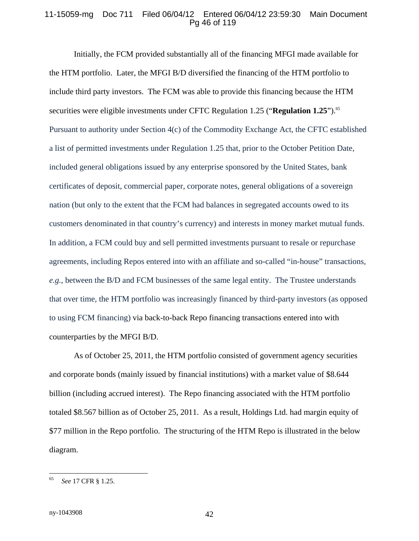### 11-15059-mg Doc 711 Filed 06/04/12 Entered 06/04/12 23:59:30 Main Document Pg 46 of 119

Initially, the FCM provided substantially all of the financing MFGI made available for the HTM portfolio. Later, the MFGI B/D diversified the financing of the HTM portfolio to include third party investors. The FCM was able to provide this financing because the HTM securities were eligible investments under CFTC Regulation 1.25 ("**Regulation 1.25**").<sup>65</sup> Pursuant to authority under Section 4(c) of the Commodity Exchange Act, the CFTC established a list of permitted investments under Regulation 1.25 that, prior to the October Petition Date, included general obligations issued by any enterprise sponsored by the United States, bank certificates of deposit, commercial paper, corporate notes, general obligations of a sovereign nation (but only to the extent that the FCM had balances in segregated accounts owed to its customers denominated in that country's currency) and interests in money market mutual funds. In addition, a FCM could buy and sell permitted investments pursuant to resale or repurchase agreements, including Repos entered into with an affiliate and so-called "in-house" transactions, *e.g.*, between the B/D and FCM businesses of the same legal entity. The Trustee understands that over time, the HTM portfolio was increasingly financed by third-party investors (as opposed to using FCM financing) via back-to-back Repo financing transactions entered into with counterparties by the MFGI B/D.

As of October 25, 2011, the HTM portfolio consisted of government agency securities and corporate bonds (mainly issued by financial institutions) with a market value of \$8.644 billion (including accrued interest). The Repo financing associated with the HTM portfolio totaled \$8.567 billion as of October 25, 2011. As a result, Holdings Ltd. had margin equity of \$77 million in the Repo portfolio. The structuring of the HTM Repo is illustrated in the below diagram.

<sup>65</sup> 65 *See* 17 CFR § 1.25.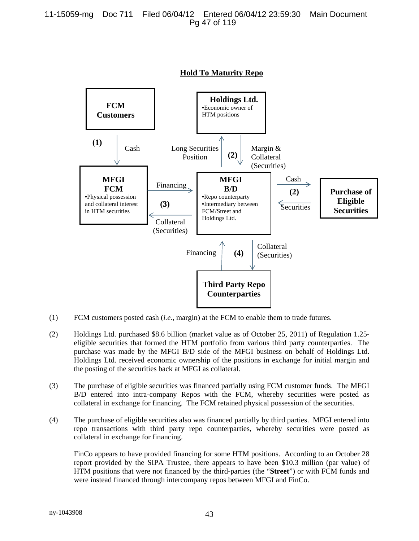

**Hold To Maturity Repo**

- (1) FCM customers posted cash (*i.e.*, margin) at the FCM to enable them to trade futures.
- (2) Holdings Ltd. purchased \$8.6 billion (market value as of October 25, 2011) of Regulation 1.25 eligible securities that formed the HTM portfolio from various third party counterparties. The purchase was made by the MFGI B/D side of the MFGI business on behalf of Holdings Ltd. Holdings Ltd. received economic ownership of the positions in exchange for initial margin and the posting of the securities back at MFGI as collateral.
- (3) The purchase of eligible securities was financed partially using FCM customer funds. The MFGI B/D entered into intra-company Repos with the FCM, whereby securities were posted as collateral in exchange for financing. The FCM retained physical possession of the securities.
- (4) The purchase of eligible securities also was financed partially by third parties. MFGI entered into repo transactions with third party repo counterparties, whereby securities were posted as collateral in exchange for financing.

FinCo appears to have provided financing for some HTM positions. According to an October 28 report provided by the SIPA Trustee, there appears to have been \$10.3 million (par value) of HTM positions that were not financed by the third-parties (the "**Street**") or with FCM funds and were instead financed through intercompany repos between MFGI and FinCo.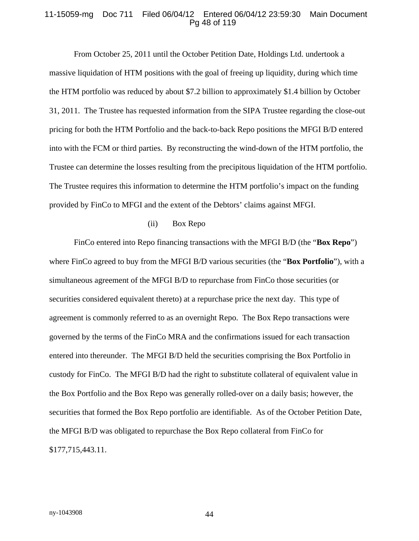#### 11-15059-mg Doc 711 Filed 06/04/12 Entered 06/04/12 23:59:30 Main Document Pg 48 of 119

From October 25, 2011 until the October Petition Date, Holdings Ltd. undertook a massive liquidation of HTM positions with the goal of freeing up liquidity, during which time the HTM portfolio was reduced by about \$7.2 billion to approximately \$1.4 billion by October 31, 2011. The Trustee has requested information from the SIPA Trustee regarding the close-out pricing for both the HTM Portfolio and the back-to-back Repo positions the MFGI B/D entered into with the FCM or third parties. By reconstructing the wind-down of the HTM portfolio, the Trustee can determine the losses resulting from the precipitous liquidation of the HTM portfolio. The Trustee requires this information to determine the HTM portfolio's impact on the funding provided by FinCo to MFGI and the extent of the Debtors' claims against MFGI.

#### (ii) Box Repo

FinCo entered into Repo financing transactions with the MFGI B/D (the "**Box Repo**") where FinCo agreed to buy from the MFGI B/D various securities (the "**Box Portfolio**"), with a simultaneous agreement of the MFGI B/D to repurchase from FinCo those securities (or securities considered equivalent thereto) at a repurchase price the next day. This type of agreement is commonly referred to as an overnight Repo. The Box Repo transactions were governed by the terms of the FinCo MRA and the confirmations issued for each transaction entered into thereunder. The MFGI B/D held the securities comprising the Box Portfolio in custody for FinCo. The MFGI B/D had the right to substitute collateral of equivalent value in the Box Portfolio and the Box Repo was generally rolled-over on a daily basis; however, the securities that formed the Box Repo portfolio are identifiable. As of the October Petition Date, the MFGI B/D was obligated to repurchase the Box Repo collateral from FinCo for \$177,715,443.11.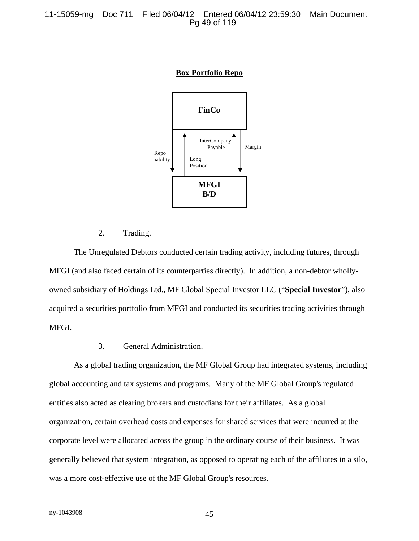



### 2. Trading.

The Unregulated Debtors conducted certain trading activity, including futures, through MFGI (and also faced certain of its counterparties directly). In addition, a non-debtor whollyowned subsidiary of Holdings Ltd., MF Global Special Investor LLC ("**Special Investor**"), also acquired a securities portfolio from MFGI and conducted its securities trading activities through MFGI.

#### 3. General Administration.

As a global trading organization, the MF Global Group had integrated systems, including global accounting and tax systems and programs. Many of the MF Global Group's regulated entities also acted as clearing brokers and custodians for their affiliates. As a global organization, certain overhead costs and expenses for shared services that were incurred at the corporate level were allocated across the group in the ordinary course of their business. It was generally believed that system integration, as opposed to operating each of the affiliates in a silo, was a more cost-effective use of the MF Global Group's resources.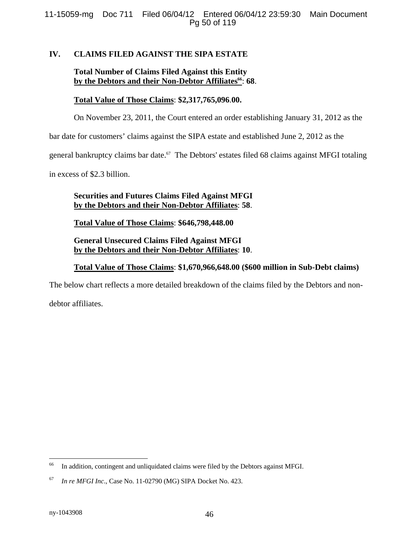### **IV. CLAIMS FILED AGAINST THE SIPA ESTATE**

# **Total Number of Claims Filed Against this Entity**  by the Debtors and their Non-Debtor Affiliates<sup>66</sup>: 68.

### **Total Value of Those Claims**: **\$2,317,765,096**.**00.**

On November 23, 2011, the Court entered an order establishing January 31, 2012 as the

bar date for customers' claims against the SIPA estate and established June 2, 2012 as the

general bankruptcy claims bar date.<sup>67</sup> The Debtors' estates filed 68 claims against MFGI totaling

in excess of \$2.3 billion.

### **Securities and Futures Claims Filed Against MFGI by the Debtors and their Non-Debtor Affiliates**: **58**.

**Total Value of Those Claims**: **\$646,798,448.00** 

### **General Unsecured Claims Filed Against MFGI by the Debtors and their Non-Debtor Affiliates**: **10**.

### **Total Value of Those Claims**: **\$1,670,966,648.00 (\$600 million in Sub-Debt claims)**

The below chart reflects a more detailed breakdown of the claims filed by the Debtors and non-

debtor affiliates.

<u>.</u>

<sup>&</sup>lt;sup>66</sup> In addition, contingent and unliquidated claims were filed by the Debtors against MFGI.

<sup>67</sup> *In re MFGI Inc*., Case No. 11-02790 (MG) SIPA Docket No. 423.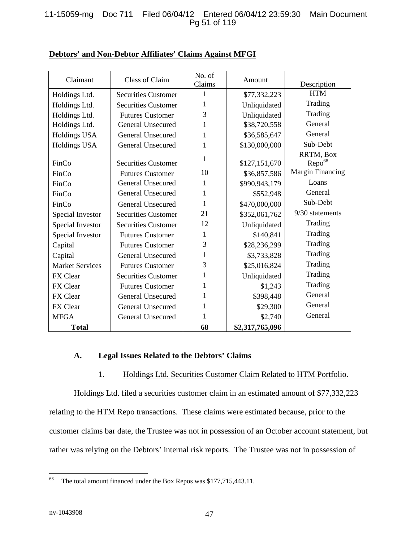### 11-15059-mg Doc 711 Filed 06/04/12 Entered 06/04/12 23:59:30 Main Document Pg 51 of 119

| Claimant               | Class of Claim             | No. of<br>Claims | Amount          | Description                     |
|------------------------|----------------------------|------------------|-----------------|---------------------------------|
| Holdings Ltd.          | <b>Securities Customer</b> | 1                | \$77,332,223    | <b>HTM</b>                      |
| Holdings Ltd.          | <b>Securities Customer</b> | 1                | Unliquidated    | Trading                         |
| Holdings Ltd.          | <b>Futures Customer</b>    | 3                | Unliquidated    | Trading                         |
| Holdings Ltd.          | <b>General Unsecured</b>   | 1                | \$38,720,558    | General                         |
| Holdings USA           | General Unsecured          | 1                | \$36,585,647    | General                         |
| Holdings USA           | General Unsecured          | 1                | \$130,000,000   | Sub-Debt                        |
| FinCo                  | <b>Securities Customer</b> | 1                | \$127,151,670   | RRTM, Box<br>Repo <sup>68</sup> |
| FinCo                  | <b>Futures Customer</b>    | 10               | \$36,857,586    | Margin Financing                |
| FinCo                  | General Unsecured          | 1                | \$990,943,179   | Loans                           |
| FinCo                  | General Unsecured          | $\mathbf{1}$     | \$552,948       | General                         |
| FinCo                  | <b>General Unsecured</b>   | 1                | \$470,000,000   | Sub-Debt                        |
| Special Investor       | <b>Securities Customer</b> | 21               | \$352,061,762   | 9/30 statements                 |
| Special Investor       | <b>Securities Customer</b> | 12               | Unliquidated    | Trading                         |
| Special Investor       | <b>Futures Customer</b>    | 1                | \$140,841       | Trading                         |
| Capital                | <b>Futures Customer</b>    | 3                | \$28,236,299    | Trading                         |
| Capital                | General Unsecured          | 1                | \$3,733,828     | Trading                         |
| <b>Market Services</b> | <b>Futures Customer</b>    | 3                | \$25,016,824    | Trading                         |
| FX Clear               | <b>Securities Customer</b> | 1                | Unliquidated    | Trading                         |
| FX Clear               | <b>Futures Customer</b>    | 1                | \$1,243         | Trading                         |
| FX Clear               | General Unsecured          | 1                | \$398,448       | General                         |
| FX Clear               | <b>General Unsecured</b>   | 1                | \$29,300        | General                         |
| <b>MFGA</b>            | <b>General Unsecured</b>   | 1                | \$2,740         | General                         |
| <b>Total</b>           |                            | 68               | \$2,317,765,096 |                                 |

### **Debtors' and Non-Debtor Affiliates' Claims Against MFGI**

#### **A. Legal Issues Related to the Debtors' Claims**

### 1. Holdings Ltd. Securities Customer Claim Related to HTM Portfolio.

Holdings Ltd. filed a securities customer claim in an estimated amount of \$77,332,223 relating to the HTM Repo transactions. These claims were estimated because, prior to the customer claims bar date, the Trustee was not in possession of an October account statement, but rather was relying on the Debtors' internal risk reports. The Trustee was not in possession of

<sup>68</sup> The total amount financed under the Box Repos was \$177,715,443.11.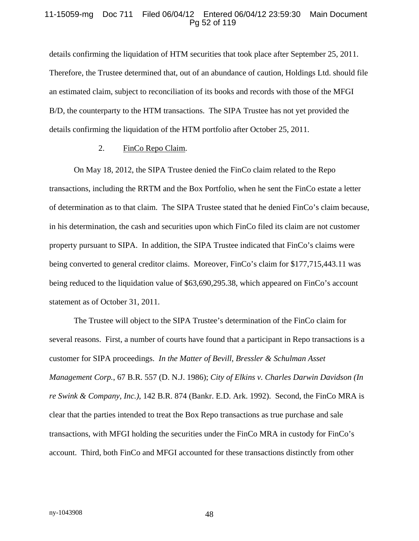#### 11-15059-mg Doc 711 Filed 06/04/12 Entered 06/04/12 23:59:30 Main Document Pg 52 of 119

details confirming the liquidation of HTM securities that took place after September 25, 2011. Therefore, the Trustee determined that, out of an abundance of caution, Holdings Ltd. should file an estimated claim, subject to reconciliation of its books and records with those of the MFGI B/D, the counterparty to the HTM transactions. The SIPA Trustee has not yet provided the details confirming the liquidation of the HTM portfolio after October 25, 2011.

#### 2. FinCo Repo Claim.

On May 18, 2012, the SIPA Trustee denied the FinCo claim related to the Repo transactions, including the RRTM and the Box Portfolio, when he sent the FinCo estate a letter of determination as to that claim. The SIPA Trustee stated that he denied FinCo's claim because, in his determination, the cash and securities upon which FinCo filed its claim are not customer property pursuant to SIPA. In addition, the SIPA Trustee indicated that FinCo's claims were being converted to general creditor claims. Moreover, FinCo's claim for \$177,715,443.11 was being reduced to the liquidation value of \$63,690,295.38, which appeared on FinCo's account statement as of October 31, 2011.

The Trustee will object to the SIPA Trustee's determination of the FinCo claim for several reasons. First, a number of courts have found that a participant in Repo transactions is a customer for SIPA proceedings. *In the Matter of Bevill, Bressler & Schulman Asset Management Corp.*, 67 B.R. 557 (D. N.J. 1986); *City of Elkins v. Charles Darwin Davidson (In re Swink & Company, Inc.)*, 142 B.R. 874 (Bankr. E.D. Ark. 1992). Second, the FinCo MRA is clear that the parties intended to treat the Box Repo transactions as true purchase and sale transactions, with MFGI holding the securities under the FinCo MRA in custody for FinCo's account. Third, both FinCo and MFGI accounted for these transactions distinctly from other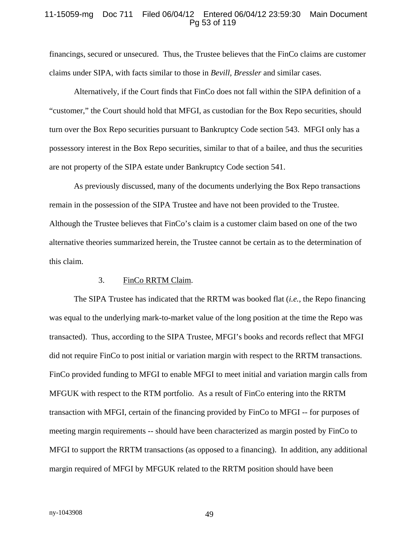#### 11-15059-mg Doc 711 Filed 06/04/12 Entered 06/04/12 23:59:30 Main Document Pg 53 of 119

financings, secured or unsecured. Thus, the Trustee believes that the FinCo claims are customer claims under SIPA, with facts similar to those in *Bevill, Bressler* and similar cases.

Alternatively, if the Court finds that FinCo does not fall within the SIPA definition of a "customer," the Court should hold that MFGI, as custodian for the Box Repo securities, should turn over the Box Repo securities pursuant to Bankruptcy Code section 543. MFGI only has a possessory interest in the Box Repo securities, similar to that of a bailee, and thus the securities are not property of the SIPA estate under Bankruptcy Code section 541.

As previously discussed, many of the documents underlying the Box Repo transactions remain in the possession of the SIPA Trustee and have not been provided to the Trustee. Although the Trustee believes that FinCo's claim is a customer claim based on one of the two alternative theories summarized herein, the Trustee cannot be certain as to the determination of this claim.

#### 3. FinCo RRTM Claim.

The SIPA Trustee has indicated that the RRTM was booked flat (*i.e.*, the Repo financing was equal to the underlying mark-to-market value of the long position at the time the Repo was transacted). Thus, according to the SIPA Trustee, MFGI's books and records reflect that MFGI did not require FinCo to post initial or variation margin with respect to the RRTM transactions. FinCo provided funding to MFGI to enable MFGI to meet initial and variation margin calls from MFGUK with respect to the RTM portfolio. As a result of FinCo entering into the RRTM transaction with MFGI, certain of the financing provided by FinCo to MFGI -- for purposes of meeting margin requirements -- should have been characterized as margin posted by FinCo to MFGI to support the RRTM transactions (as opposed to a financing). In addition, any additional margin required of MFGI by MFGUK related to the RRTM position should have been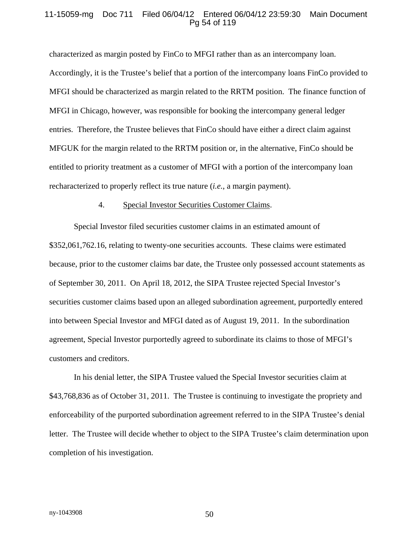#### 11-15059-mg Doc 711 Filed 06/04/12 Entered 06/04/12 23:59:30 Main Document Pg 54 of 119

characterized as margin posted by FinCo to MFGI rather than as an intercompany loan. Accordingly, it is the Trustee's belief that a portion of the intercompany loans FinCo provided to MFGI should be characterized as margin related to the RRTM position. The finance function of MFGI in Chicago, however, was responsible for booking the intercompany general ledger entries. Therefore, the Trustee believes that FinCo should have either a direct claim against MFGUK for the margin related to the RRTM position or, in the alternative, FinCo should be entitled to priority treatment as a customer of MFGI with a portion of the intercompany loan recharacterized to properly reflect its true nature (*i.e.*, a margin payment).

#### 4. Special Investor Securities Customer Claims.

Special Investor filed securities customer claims in an estimated amount of \$352,061,762.16, relating to twenty-one securities accounts. These claims were estimated because, prior to the customer claims bar date, the Trustee only possessed account statements as of September 30, 2011. On April 18, 2012, the SIPA Trustee rejected Special Investor's securities customer claims based upon an alleged subordination agreement, purportedly entered into between Special Investor and MFGI dated as of August 19, 2011. In the subordination agreement, Special Investor purportedly agreed to subordinate its claims to those of MFGI's customers and creditors.

In his denial letter, the SIPA Trustee valued the Special Investor securities claim at \$43,768,836 as of October 31, 2011. The Trustee is continuing to investigate the propriety and enforceability of the purported subordination agreement referred to in the SIPA Trustee's denial letter. The Trustee will decide whether to object to the SIPA Trustee's claim determination upon completion of his investigation.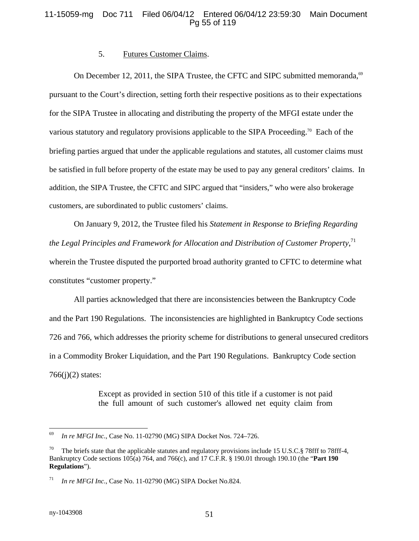### 11-15059-mg Doc 711 Filed 06/04/12 Entered 06/04/12 23:59:30 Main Document Pg 55 of 119

#### 5. Futures Customer Claims.

On December 12, 2011, the SIPA Trustee, the CFTC and SIPC submitted memoranda,<sup>69</sup> pursuant to the Court's direction, setting forth their respective positions as to their expectations for the SIPA Trustee in allocating and distributing the property of the MFGI estate under the various statutory and regulatory provisions applicable to the SIPA Proceeding.<sup>70</sup> Each of the briefing parties argued that under the applicable regulations and statutes, all customer claims must be satisfied in full before property of the estate may be used to pay any general creditors' claims. In addition, the SIPA Trustee, the CFTC and SIPC argued that "insiders," who were also brokerage customers, are subordinated to public customers' claims.

On January 9, 2012, the Trustee filed his *Statement in Response to Briefing Regarding the Legal Principles and Framework for Allocation and Distribution of Customer Property*, 71 wherein the Trustee disputed the purported broad authority granted to CFTC to determine what constitutes "customer property."

All parties acknowledged that there are inconsistencies between the Bankruptcy Code and the Part 190 Regulations. The inconsistencies are highlighted in Bankruptcy Code sections 726 and 766, which addresses the priority scheme for distributions to general unsecured creditors in a Commodity Broker Liquidation, and the Part 190 Regulations. Bankruptcy Code section  $766(i)(2)$  states:

> Except as provided in section 510 of this title if a customer is not paid the full amount of such customer's allowed net equity claim from

 $\overline{a}$ 

<sup>69</sup> *In re MFGI Inc.*, Case No. 11-02790 (MG) SIPA Docket Nos. 724–726.

The briefs state that the applicable statutes and regulatory provisions include 15 U.S.C.§ 78fff to 78fff-4, Bankruptcy Code sections 105(a) 764, and 766(c), and 17 C.F.R. § 190.01 through 190.10 (the "**Part 190 Regulations**").

<sup>71</sup> *In re MFGI Inc.*, Case No. 11-02790 (MG) SIPA Docket No.824.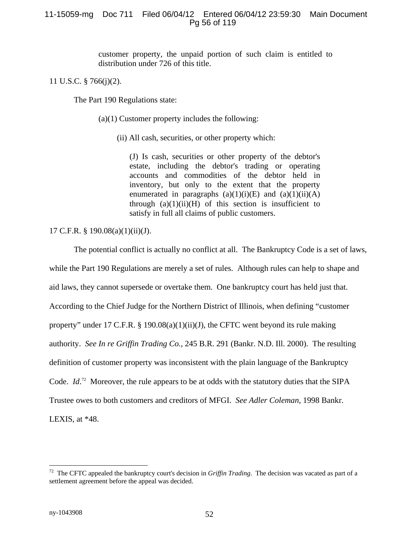## 11-15059-mg Doc 711 Filed 06/04/12 Entered 06/04/12 23:59:30 Main Document Pg 56 of 119

customer property, the unpaid portion of such claim is entitled to distribution under 726 of this title.

11 U.S.C. § 766(j)(2).

The Part 190 Regulations state:

(a)(1) Customer property includes the following:

(ii) All cash, securities, or other property which:

(J) Is cash, securities or other property of the debtor's estate, including the debtor's trading or operating accounts and commodities of the debtor held in inventory, but only to the extent that the property enumerated in paragraphs  $(a)(1)(i)(E)$  and  $(a)(1)(ii)(A)$ through  $(a)(1)(ii)(H)$  of this section is insufficient to satisfy in full all claims of public customers.

17 C.F.R. § 190.08(a)(1)(ii)(J).

The potential conflict is actually no conflict at all. The Bankruptcy Code is a set of laws, while the Part 190 Regulations are merely a set of rules. Although rules can help to shape and aid laws, they cannot supersede or overtake them. One bankruptcy court has held just that. According to the Chief Judge for the Northern District of Illinois, when defining "customer property" under 17 C.F.R. § 190.08(a)(1)(ii)(J), the CFTC went beyond its rule making authority. *See In re Griffin Trading Co.*, 245 B.R. 291 (Bankr. N.D. Ill. 2000). The resulting definition of customer property was inconsistent with the plain language of the Bankruptcy Code. *Id*.<sup>72</sup> Moreover, the rule appears to be at odds with the statutory duties that the SIPA Trustee owes to both customers and creditors of MFGI. *See Adler Coleman*, 1998 Bankr. LEXIS, at \*48.

1

<sup>72</sup> The CFTC appealed the bankruptcy court's decision in *Griffin Trading*. The decision was vacated as part of a settlement agreement before the appeal was decided.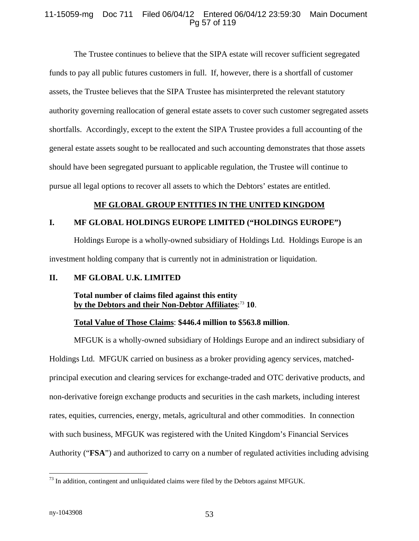### 11-15059-mg Doc 711 Filed 06/04/12 Entered 06/04/12 23:59:30 Main Document Pg 57 of 119

The Trustee continues to believe that the SIPA estate will recover sufficient segregated funds to pay all public futures customers in full. If, however, there is a shortfall of customer assets, the Trustee believes that the SIPA Trustee has misinterpreted the relevant statutory authority governing reallocation of general estate assets to cover such customer segregated assets shortfalls. Accordingly, except to the extent the SIPA Trustee provides a full accounting of the general estate assets sought to be reallocated and such accounting demonstrates that those assets should have been segregated pursuant to applicable regulation, the Trustee will continue to pursue all legal options to recover all assets to which the Debtors' estates are entitled.

### **MF GLOBAL GROUP ENTITIES IN THE UNITED KINGDOM**

### **I. MF GLOBAL HOLDINGS EUROPE LIMITED ("HOLDINGS EUROPE")**

Holdings Europe is a wholly-owned subsidiary of Holdings Ltd. Holdings Europe is an investment holding company that is currently not in administration or liquidation.

### **II. MF GLOBAL U.K. LIMITED**

### **Total number of claims filed against this entity by the Debtors and their Non-Debtor Affiliates**: <sup>73</sup> **10**.

### **Total Value of Those Claims**: **\$446.4 million to \$563.8 million**.

MFGUK is a wholly-owned subsidiary of Holdings Europe and an indirect subsidiary of Holdings Ltd. MFGUK carried on business as a broker providing agency services, matchedprincipal execution and clearing services for exchange-traded and OTC derivative products, and non-derivative foreign exchange products and securities in the cash markets, including interest rates, equities, currencies, energy, metals, agricultural and other commodities. In connection with such business, MFGUK was registered with the United Kingdom's Financial Services Authority ("**FSA**") and authorized to carry on a number of regulated activities including advising

 $\overline{a}$  $73$  In addition, contingent and unliquidated claims were filed by the Debtors against MFGUK.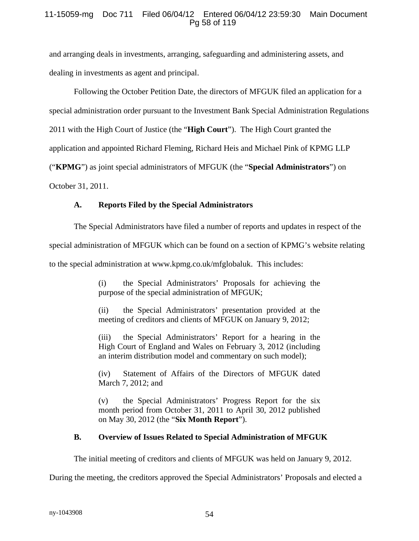### 11-15059-mg Doc 711 Filed 06/04/12 Entered 06/04/12 23:59:30 Main Document Pg 58 of 119

and arranging deals in investments, arranging, safeguarding and administering assets, and dealing in investments as agent and principal.

Following the October Petition Date, the directors of MFGUK filed an application for a

special administration order pursuant to the Investment Bank Special Administration Regulations

2011 with the High Court of Justice (the "**High Court**"). The High Court granted the

application and appointed Richard Fleming, Richard Heis and Michael Pink of KPMG LLP

("**KPMG**") as joint special administrators of MFGUK (the "**Special Administrators**") on

October 31, 2011.

# **A. Reports Filed by the Special Administrators**

The Special Administrators have filed a number of reports and updates in respect of the

special administration of MFGUK which can be found on a section of KPMG's website relating

to the special administration at www.kpmg.co.uk/mfglobaluk. This includes:

(i) the Special Administrators' Proposals for achieving the purpose of the special administration of MFGUK;

(ii) the Special Administrators' presentation provided at the meeting of creditors and clients of MFGUK on January 9, 2012;

(iii) the Special Administrators' Report for a hearing in the High Court of England and Wales on February 3, 2012 (including an interim distribution model and commentary on such model);

(iv) Statement of Affairs of the Directors of MFGUK dated March 7, 2012; and

(v) the Special Administrators' Progress Report for the six month period from October 31, 2011 to April 30, 2012 published on May 30, 2012 (the "**Six Month Report**").

# **B. Overview of Issues Related to Special Administration of MFGUK**

The initial meeting of creditors and clients of MFGUK was held on January 9, 2012.

During the meeting, the creditors approved the Special Administrators' Proposals and elected a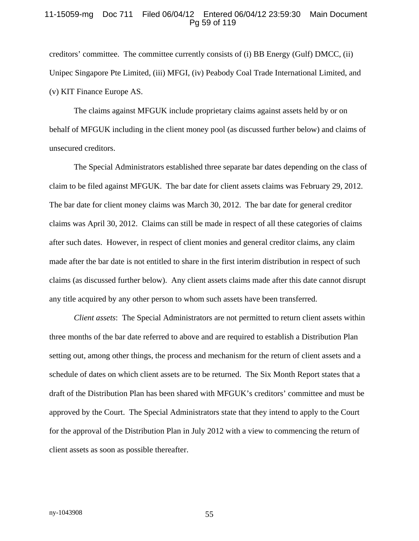#### 11-15059-mg Doc 711 Filed 06/04/12 Entered 06/04/12 23:59:30 Main Document Pg 59 of 119

creditors' committee. The committee currently consists of (i) BB Energy (Gulf) DMCC, (ii) Unipec Singapore Pte Limited, (iii) MFGI, (iv) Peabody Coal Trade International Limited, and (v) KIT Finance Europe AS.

The claims against MFGUK include proprietary claims against assets held by or on behalf of MFGUK including in the client money pool (as discussed further below) and claims of unsecured creditors.

The Special Administrators established three separate bar dates depending on the class of claim to be filed against MFGUK. The bar date for client assets claims was February 29, 2012. The bar date for client money claims was March 30, 2012. The bar date for general creditor claims was April 30, 2012. Claims can still be made in respect of all these categories of claims after such dates. However, in respect of client monies and general creditor claims, any claim made after the bar date is not entitled to share in the first interim distribution in respect of such claims (as discussed further below). Any client assets claims made after this date cannot disrupt any title acquired by any other person to whom such assets have been transferred.

*Client assets*: The Special Administrators are not permitted to return client assets within three months of the bar date referred to above and are required to establish a Distribution Plan setting out, among other things, the process and mechanism for the return of client assets and a schedule of dates on which client assets are to be returned. The Six Month Report states that a draft of the Distribution Plan has been shared with MFGUK's creditors' committee and must be approved by the Court. The Special Administrators state that they intend to apply to the Court for the approval of the Distribution Plan in July 2012 with a view to commencing the return of client assets as soon as possible thereafter.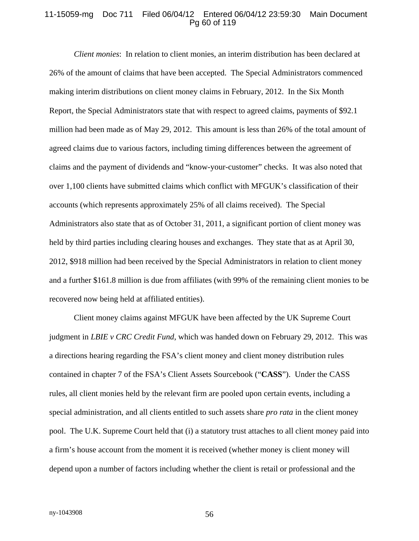#### 11-15059-mg Doc 711 Filed 06/04/12 Entered 06/04/12 23:59:30 Main Document Pg 60 of 119

*Client monies*: In relation to client monies, an interim distribution has been declared at 26% of the amount of claims that have been accepted. The Special Administrators commenced making interim distributions on client money claims in February, 2012. In the Six Month Report, the Special Administrators state that with respect to agreed claims, payments of \$92.1 million had been made as of May 29, 2012. This amount is less than 26% of the total amount of agreed claims due to various factors, including timing differences between the agreement of claims and the payment of dividends and "know-your-customer" checks. It was also noted that over 1,100 clients have submitted claims which conflict with MFGUK's classification of their accounts (which represents approximately 25% of all claims received). The Special Administrators also state that as of October 31, 2011, a significant portion of client money was held by third parties including clearing houses and exchanges. They state that as at April 30, 2012, \$918 million had been received by the Special Administrators in relation to client money and a further \$161.8 million is due from affiliates (with 99% of the remaining client monies to be recovered now being held at affiliated entities).

Client money claims against MFGUK have been affected by the UK Supreme Court judgment in *LBIE v CRC Credit Fund*, which was handed down on February 29, 2012. This was a directions hearing regarding the FSA's client money and client money distribution rules contained in chapter 7 of the FSA's Client Assets Sourcebook ("**CASS**"). Under the CASS rules, all client monies held by the relevant firm are pooled upon certain events, including a special administration, and all clients entitled to such assets share *pro rata* in the client money pool. The U.K. Supreme Court held that (i) a statutory trust attaches to all client money paid into a firm's house account from the moment it is received (whether money is client money will depend upon a number of factors including whether the client is retail or professional and the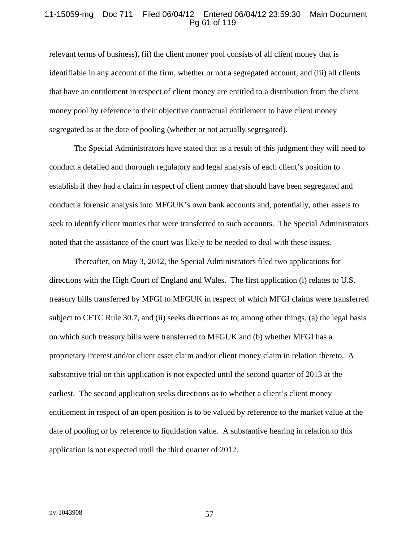#### 11-15059-mg Doc 711 Filed 06/04/12 Entered 06/04/12 23:59:30 Main Document Pg 61 of 119

relevant terms of business), (ii) the client money pool consists of all client money that is identifiable in any account of the firm, whether or not a segregated account, and (iii) all clients that have an entitlement in respect of client money are entitled to a distribution from the client money pool by reference to their objective contractual entitlement to have client money segregated as at the date of pooling (whether or not actually segregated).

The Special Administrators have stated that as a result of this judgment they will need to conduct a detailed and thorough regulatory and legal analysis of each client's position to establish if they had a claim in respect of client money that should have been segregated and conduct a forensic analysis into MFGUK's own bank accounts and, potentially, other assets to seek to identify client monies that were transferred to such accounts. The Special Administrators noted that the assistance of the court was likely to be needed to deal with these issues.

Thereafter, on May 3, 2012, the Special Administrators filed two applications for directions with the High Court of England and Wales. The first application (i) relates to U.S. treasury bills transferred by MFGI to MFGUK in respect of which MFGI claims were transferred subject to CFTC Rule 30.7, and (ii) seeks directions as to, among other things, (a) the legal basis on which such treasury bills were transferred to MFGUK and (b) whether MFGI has a proprietary interest and/or client asset claim and/or client money claim in relation thereto. A substantive trial on this application is not expected until the second quarter of 2013 at the earliest. The second application seeks directions as to whether a client's client money entitlement in respect of an open position is to be valued by reference to the market value at the date of pooling or by reference to liquidation value. A substantive hearing in relation to this application is not expected until the third quarter of 2012.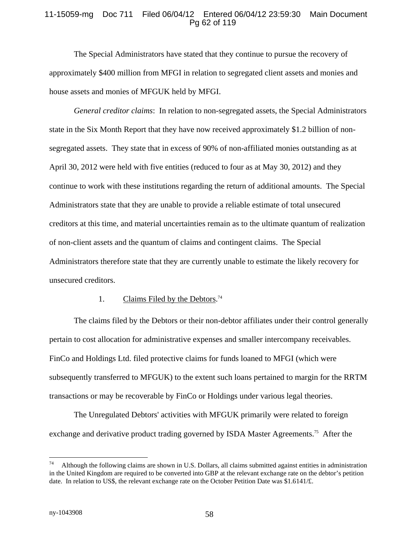### 11-15059-mg Doc 711 Filed 06/04/12 Entered 06/04/12 23:59:30 Main Document Pg 62 of 119

The Special Administrators have stated that they continue to pursue the recovery of approximately \$400 million from MFGI in relation to segregated client assets and monies and house assets and monies of MFGUK held by MFGI.

*General creditor claims*: In relation to non-segregated assets, the Special Administrators state in the Six Month Report that they have now received approximately \$1.2 billion of nonsegregated assets. They state that in excess of 90% of non-affiliated monies outstanding as at April 30, 2012 were held with five entities (reduced to four as at May 30, 2012) and they continue to work with these institutions regarding the return of additional amounts. The Special Administrators state that they are unable to provide a reliable estimate of total unsecured creditors at this time, and material uncertainties remain as to the ultimate quantum of realization of non-client assets and the quantum of claims and contingent claims. The Special Administrators therefore state that they are currently unable to estimate the likely recovery for unsecured creditors.

#### 1. Claims Filed by the Debtors.<sup>74</sup>

The claims filed by the Debtors or their non-debtor affiliates under their control generally pertain to cost allocation for administrative expenses and smaller intercompany receivables. FinCo and Holdings Ltd. filed protective claims for funds loaned to MFGI (which were subsequently transferred to MFGUK) to the extent such loans pertained to margin for the RRTM transactions or may be recoverable by FinCo or Holdings under various legal theories.

The Unregulated Debtors' activities with MFGUK primarily were related to foreign exchange and derivative product trading governed by ISDA Master Agreements.<sup>75</sup> After the

 $\overline{a}$ 

<sup>74</sup> Although the following claims are shown in U.S. Dollars, all claims submitted against entities in administration in the United Kingdom are required to be converted into GBP at the relevant exchange rate on the debtor's petition date. In relation to US\$, the relevant exchange rate on the October Petition Date was  $$1.6141/\text{E}$ .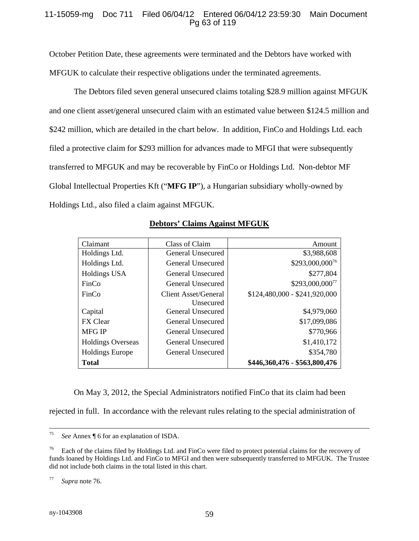### 11-15059-mg Doc 711 Filed 06/04/12 Entered 06/04/12 23:59:30 Main Document Pg 63 of 119

October Petition Date, these agreements were terminated and the Debtors have worked with MFGUK to calculate their respective obligations under the terminated agreements.

The Debtors filed seven general unsecured claims totaling \$28.9 million against MFGUK and one client asset/general unsecured claim with an estimated value between \$124.5 million and \$242 million, which are detailed in the chart below. In addition, FinCo and Holdings Ltd. each filed a protective claim for \$293 million for advances made to MFGI that were subsequently transferred to MFGUK and may be recoverable by FinCo or Holdings Ltd. Non-debtor MF Global Intellectual Properties Kft ("**MFG IP**"), a Hungarian subsidiary wholly-owned by Holdings Ltd., also filed a claim against MFGUK.

| Claimant                 | Class of Claim       | Amount                        |
|--------------------------|----------------------|-------------------------------|
| Holdings Ltd.            | General Unsecured    | \$3,988,608                   |
| Holdings Ltd.            | General Unsecured    | \$293,000,000 <sup>76</sup>   |
| <b>Holdings USA</b>      | General Unsecured    | \$277,804                     |
| FinCo                    | General Unsecured    | \$293,000,000 <sup>77</sup>   |
| FinCo                    | Client Asset/General | $$124,480,000 - $241,920,000$ |
|                          | Unsecured            |                               |
| Capital                  | General Unsecured    | \$4,979,060                   |
| <b>FX</b> Clear          | General Unsecured    | \$17,099,086                  |
| <b>MFG IP</b>            | General Unsecured    | \$770,966                     |
| <b>Holdings Overseas</b> | General Unsecured    | \$1,410,172                   |
| <b>Holdings Europe</b>   | General Unsecured    | \$354,780                     |
| <b>Total</b>             |                      | \$446,360,476 - \$563,800,476 |

# **Debtors' Claims Against MFGUK**

On May 3, 2012, the Special Administrators notified FinCo that its claim had been

rejected in full. In accordance with the relevant rules relating to the special administration of

77 *Supra* note 76.

 <sup>75</sup> *See* Annex ¶ 6 for an explanation of ISDA.

<sup>76</sup> Each of the claims filed by Holdings Ltd. and FinCo were filed to protect potential claims for the recovery of funds loaned by Holdings Ltd. and FinCo to MFGI and then were subsequently transferred to MFGUK. The Trustee did not include both claims in the total listed in this chart.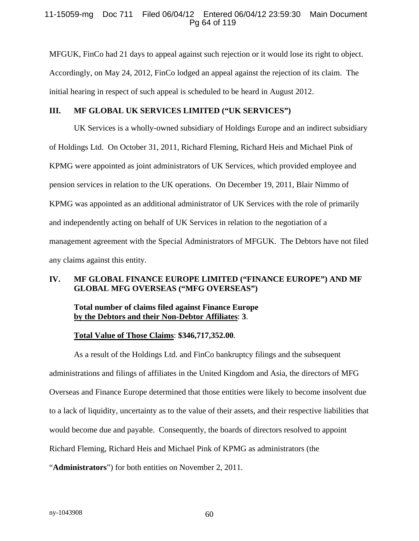### 11-15059-mg Doc 711 Filed 06/04/12 Entered 06/04/12 23:59:30 Main Document Pg 64 of 119

MFGUK, FinCo had 21 days to appeal against such rejection or it would lose its right to object. Accordingly, on May 24, 2012, FinCo lodged an appeal against the rejection of its claim. The initial hearing in respect of such appeal is scheduled to be heard in August 2012.

### **III. MF GLOBAL UK SERVICES LIMITED ("UK SERVICES")**

UK Services is a wholly-owned subsidiary of Holdings Europe and an indirect subsidiary of Holdings Ltd. On October 31, 2011, Richard Fleming, Richard Heis and Michael Pink of KPMG were appointed as joint administrators of UK Services, which provided employee and pension services in relation to the UK operations. On December 19, 2011, Blair Nimmo of KPMG was appointed as an additional administrator of UK Services with the role of primarily and independently acting on behalf of UK Services in relation to the negotiation of a management agreement with the Special Administrators of MFGUK. The Debtors have not filed any claims against this entity.

### **IV. MF GLOBAL FINANCE EUROPE LIMITED ("FINANCE EUROPE") AND MF GLOBAL MFG OVERSEAS ("MFG OVERSEAS")**

### **Total number of claims filed against Finance Europe by the Debtors and their Non-Debtor Affiliates**: **3**.

### **Total Value of Those Claims**: **\$346,717,352.00**.

As a result of the Holdings Ltd. and FinCo bankruptcy filings and the subsequent administrations and filings of affiliates in the United Kingdom and Asia, the directors of MFG Overseas and Finance Europe determined that those entities were likely to become insolvent due to a lack of liquidity, uncertainty as to the value of their assets, and their respective liabilities that would become due and payable. Consequently, the boards of directors resolved to appoint Richard Fleming, Richard Heis and Michael Pink of KPMG as administrators (the "**Administrators**") for both entities on November 2, 2011.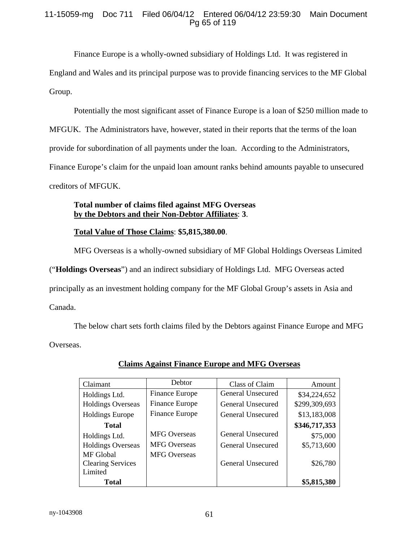### 11-15059-mg Doc 711 Filed 06/04/12 Entered 06/04/12 23:59:30 Main Document Pg 65 of 119

Finance Europe is a wholly-owned subsidiary of Holdings Ltd. It was registered in England and Wales and its principal purpose was to provide financing services to the MF Global Group.

Potentially the most significant asset of Finance Europe is a loan of \$250 million made to MFGUK. The Administrators have, however, stated in their reports that the terms of the loan provide for subordination of all payments under the loan. According to the Administrators, Finance Europe's claim for the unpaid loan amount ranks behind amounts payable to unsecured creditors of MFGUK.

# **Total number of claims filed against MFG Overseas by the Debtors and their Non-Debtor Affiliates**: **3**.

# **Total Value of Those Claims**: **\$5,815,380.00**.

MFG Overseas is a wholly-owned subsidiary of MF Global Holdings Overseas Limited

("**Holdings Overseas**") and an indirect subsidiary of Holdings Ltd. MFG Overseas acted

principally as an investment holding company for the MF Global Group's assets in Asia and

Canada.

The below chart sets forth claims filed by the Debtors against Finance Europe and MFG Overseas.

| Claimant                 | Debtor                | Class of Claim           | Amount        |
|--------------------------|-----------------------|--------------------------|---------------|
| Holdings Ltd.            | Finance Europe        | General Unsecured        | \$34,224,652  |
| <b>Holdings Overseas</b> | <b>Finance Europe</b> | General Unsecured        | \$299,309,693 |
| <b>Holdings Europe</b>   | <b>Finance Europe</b> | General Unsecured        | \$13,183,008  |
| <b>Total</b>             |                       |                          | \$346,717,353 |
| Holdings Ltd.            | <b>MFG</b> Overseas   | <b>General Unsecured</b> | \$75,000      |
| <b>Holdings Overseas</b> | <b>MFG</b> Overseas   | General Unsecured        | \$5,713,600   |
| <b>MF</b> Global         | <b>MFG</b> Overseas   |                          |               |
| <b>Clearing Services</b> |                       | General Unsecured        | \$26,780      |
| Limited                  |                       |                          |               |
| <b>Total</b>             |                       |                          | \$5,815,380   |

# **Claims Against Finance Europe and MFG Overseas**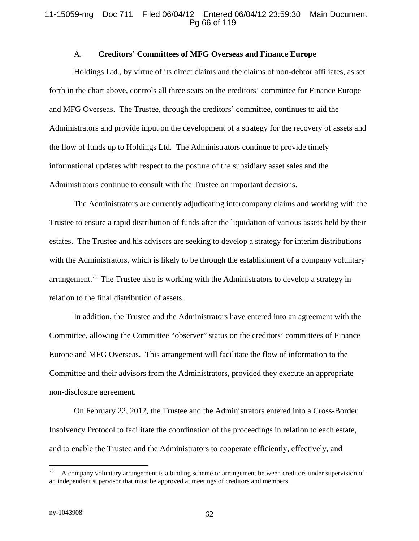#### 11-15059-mg Doc 711 Filed 06/04/12 Entered 06/04/12 23:59:30 Main Document Pg 66 of 119

### A. **Creditors' Committees of MFG Overseas and Finance Europe**

Holdings Ltd., by virtue of its direct claims and the claims of non-debtor affiliates, as set forth in the chart above, controls all three seats on the creditors' committee for Finance Europe and MFG Overseas. The Trustee, through the creditors' committee, continues to aid the Administrators and provide input on the development of a strategy for the recovery of assets and the flow of funds up to Holdings Ltd. The Administrators continue to provide timely informational updates with respect to the posture of the subsidiary asset sales and the Administrators continue to consult with the Trustee on important decisions.

The Administrators are currently adjudicating intercompany claims and working with the Trustee to ensure a rapid distribution of funds after the liquidation of various assets held by their estates. The Trustee and his advisors are seeking to develop a strategy for interim distributions with the Administrators, which is likely to be through the establishment of a company voluntary arrangement.78 The Trustee also is working with the Administrators to develop a strategy in relation to the final distribution of assets.

In addition, the Trustee and the Administrators have entered into an agreement with the Committee, allowing the Committee "observer" status on the creditors' committees of Finance Europe and MFG Overseas. This arrangement will facilitate the flow of information to the Committee and their advisors from the Administrators, provided they execute an appropriate non-disclosure agreement.

On February 22, 2012, the Trustee and the Administrators entered into a Cross-Border Insolvency Protocol to facilitate the coordination of the proceedings in relation to each estate, and to enable the Trustee and the Administrators to cooperate efficiently, effectively, and

 $\overline{a}$ 

A company voluntary arrangement is a binding scheme or arrangement between creditors under supervision of an independent supervisor that must be approved at meetings of creditors and members.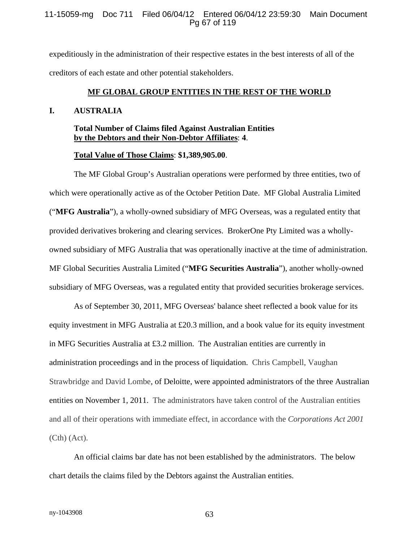#### 11-15059-mg Doc 711 Filed 06/04/12 Entered 06/04/12 23:59:30 Main Document Pg 67 of 119

expeditiously in the administration of their respective estates in the best interests of all of the creditors of each estate and other potential stakeholders.

#### **MF GLOBAL GROUP ENTITIES IN THE REST OF THE WORLD**

#### **I. AUSTRALIA**

### **Total Number of Claims filed Against Australian Entities by the Debtors and their Non-Debtor Affiliates**: **4**.

#### **Total Value of Those Claims**: **\$1,389,905.00**.

The MF Global Group's Australian operations were performed by three entities, two of which were operationally active as of the October Petition Date. MF Global Australia Limited ("**MFG Australia**"), a wholly-owned subsidiary of MFG Overseas, was a regulated entity that provided derivatives brokering and clearing services. BrokerOne Pty Limited was a whollyowned subsidiary of MFG Australia that was operationally inactive at the time of administration. MF Global Securities Australia Limited ("**MFG Securities Australia**"), another wholly-owned subsidiary of MFG Overseas, was a regulated entity that provided securities brokerage services.

As of September 30, 2011, MFG Overseas' balance sheet reflected a book value for its equity investment in MFG Australia at £20.3 million, and a book value for its equity investment in MFG Securities Australia at £3.2 million. The Australian entities are currently in administration proceedings and in the process of liquidation. Chris Campbell, Vaughan Strawbridge and David Lombe, of Deloitte, were appointed administrators of the three Australian entities on November 1, 2011. The administrators have taken control of the Australian entities and all of their operations with immediate effect, in accordance with the *Corporations Act 2001* (Cth) (Act).

An official claims bar date has not been established by the administrators. The below chart details the claims filed by the Debtors against the Australian entities.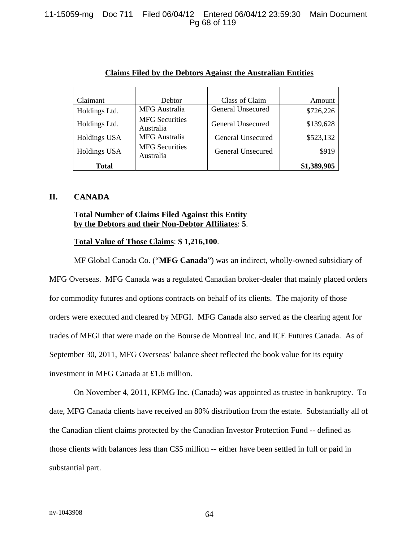### 11-15059-mg Doc 711 Filed 06/04/12 Entered 06/04/12 23:59:30 Main Document Pg 68 of 119

| Claimant      | <b>Debtor</b>                      | Class of Claim    | Amount      |
|---------------|------------------------------------|-------------------|-------------|
| Holdings Ltd. | MFG Australia                      | General Unsecured | \$726,226   |
| Holdings Ltd. | <b>MFG</b> Securities<br>Australia | General Unsecured | \$139,628   |
| Holdings USA  | <b>MFG</b> Australia               | General Unsecured | \$523,132   |
| Holdings USA  | <b>MFG</b> Securities<br>Australia | General Unsecured | \$919       |
| <b>Total</b>  |                                    |                   | \$1,389,905 |

#### **Claims Filed by the Debtors Against the Australian Entities**

#### **II. CANADA**

### **Total Number of Claims Filed Against this Entity by the Debtors and their Non-Debtor Affiliates**: **5**.

#### **Total Value of Those Claims**: **\$ 1,216,100**.

MF Global Canada Co. ("**MFG Canada**") was an indirect, wholly-owned subsidiary of MFG Overseas. MFG Canada was a regulated Canadian broker-dealer that mainly placed orders for commodity futures and options contracts on behalf of its clients. The majority of those orders were executed and cleared by MFGI. MFG Canada also served as the clearing agent for trades of MFGI that were made on the Bourse de Montreal Inc. and ICE Futures Canada. As of September 30, 2011, MFG Overseas' balance sheet reflected the book value for its equity investment in MFG Canada at £1.6 million.

On November 4, 2011, KPMG Inc. (Canada) was appointed as trustee in bankruptcy. To date, MFG Canada clients have received an 80% distribution from the estate. Substantially all of the Canadian client claims protected by the Canadian Investor Protection Fund -- defined as those clients with balances less than C\$5 million -- either have been settled in full or paid in substantial part.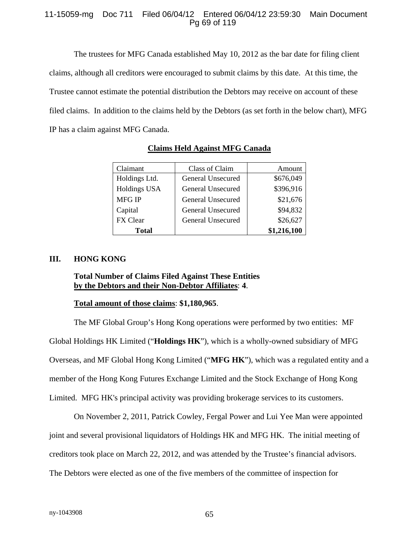### 11-15059-mg Doc 711 Filed 06/04/12 Entered 06/04/12 23:59:30 Main Document Pg 69 of 119

The trustees for MFG Canada established May 10, 2012 as the bar date for filing client claims, although all creditors were encouraged to submit claims by this date. At this time, the Trustee cannot estimate the potential distribution the Debtors may receive on account of these filed claims. In addition to the claims held by the Debtors (as set forth in the below chart), MFG IP has a claim against MFG Canada.

| Claimant            | Class of Claim    | Amount      |
|---------------------|-------------------|-------------|
| Holdings Ltd.       | General Unsecured | \$676,049   |
| <b>Holdings USA</b> | General Unsecured | \$396,916   |
| <b>MFG IP</b>       | General Unsecured | \$21,676    |
| Capital             | General Unsecured | \$94,832    |
| FX Clear            | General Unsecured | \$26,627    |
| <b>Total</b>        |                   | \$1,216,100 |

# **Claims Held Against MFG Canada**

### **III. HONG KONG**

### **Total Number of Claims Filed Against These Entities by the Debtors and their Non-Debtor Affiliates**: **4**.

### **Total amount of those claims**: **\$1,180,965**.

The MF Global Group's Hong Kong operations were performed by two entities: MF Global Holdings HK Limited ("**Holdings HK**"), which is a wholly-owned subsidiary of MFG Overseas, and MF Global Hong Kong Limited ("**MFG HK**"), which was a regulated entity and a member of the Hong Kong Futures Exchange Limited and the Stock Exchange of Hong Kong Limited. MFG HK's principal activity was providing brokerage services to its customers.

On November 2, 2011, Patrick Cowley, Fergal Power and Lui Yee Man were appointed joint and several provisional liquidators of Holdings HK and MFG HK. The initial meeting of creditors took place on March 22, 2012, and was attended by the Trustee's financial advisors. The Debtors were elected as one of the five members of the committee of inspection for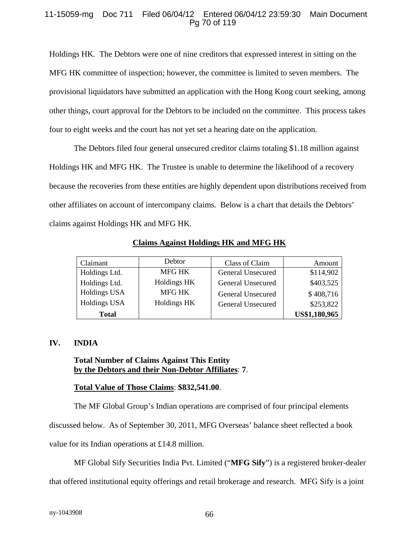### 11-15059-mg Doc 711 Filed 06/04/12 Entered 06/04/12 23:59:30 Main Document Pg 70 of 119

Holdings HK. The Debtors were one of nine creditors that expressed interest in sitting on the MFG HK committee of inspection; however, the committee is limited to seven members. The provisional liquidators have submitted an application with the Hong Kong court seeking, among other things, court approval for the Debtors to be included on the committee. This process takes four to eight weeks and the court has not yet set a hearing date on the application.

The Debtors filed four general unsecured creditor claims totaling \$1.18 million against Holdings HK and MFG HK. The Trustee is unable to determine the likelihood of a recovery because the recoveries from these entities are highly dependent upon distributions received from other affiliates on account of intercompany claims. Below is a chart that details the Debtors' claims against Holdings HK and MFG HK.

| Claimant            | Debtor      | Class of Claim    | Amount        |
|---------------------|-------------|-------------------|---------------|
| Holdings Ltd.       | MFG HK      | General Unsecured | \$114,902     |
| Holdings Ltd.       | Holdings HK | General Unsecured | \$403,525     |
| Holdings USA        | MFG HK      | General Unsecured | \$408,716     |
| <b>Holdings USA</b> | Holdings HK | General Unsecured | \$253,822     |
| <b>Total</b>        |             |                   | US\$1,180,965 |

**Claims Against Holdings HK and MFG HK**

# **IV. INDIA**

# **Total Number of Claims Against This Entity by the Debtors and their Non-Debtor Affiliates**: **7**.

# **Total Value of Those Claims**: **\$832,541.00**.

The MF Global Group's Indian operations are comprised of four principal elements

discussed below. As of September 30, 2011, MFG Overseas' balance sheet reflected a book

value for its Indian operations at £14.8 million.

MF Global Sify Securities India Pvt. Limited ("**MFG Sify**") is a registered broker-dealer

that offered institutional equity offerings and retail brokerage and research. MFG Sify is a joint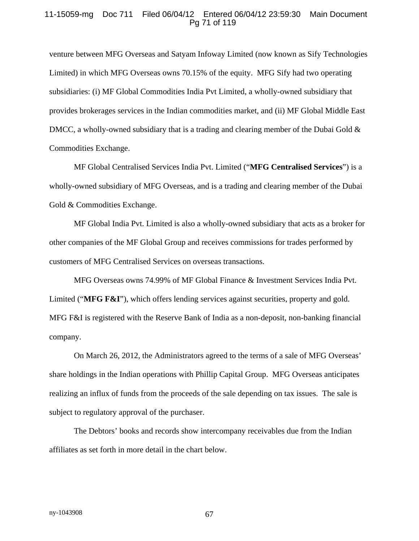#### 11-15059-mg Doc 711 Filed 06/04/12 Entered 06/04/12 23:59:30 Main Document Pg 71 of 119

venture between MFG Overseas and Satyam Infoway Limited (now known as Sify Technologies Limited) in which MFG Overseas owns 70.15% of the equity. MFG Sify had two operating subsidiaries: (i) MF Global Commodities India Pvt Limited, a wholly-owned subsidiary that provides brokerages services in the Indian commodities market, and (ii) MF Global Middle East DMCC, a wholly-owned subsidiary that is a trading and clearing member of the Dubai Gold  $\&$ Commodities Exchange.

MF Global Centralised Services India Pvt. Limited ("**MFG Centralised Services**") is a wholly-owned subsidiary of MFG Overseas, and is a trading and clearing member of the Dubai Gold & Commodities Exchange.

MF Global India Pvt. Limited is also a wholly-owned subsidiary that acts as a broker for other companies of the MF Global Group and receives commissions for trades performed by customers of MFG Centralised Services on overseas transactions.

MFG Overseas owns 74.99% of MF Global Finance & Investment Services India Pvt. Limited ("**MFG F&I**"), which offers lending services against securities, property and gold. MFG F&I is registered with the Reserve Bank of India as a non-deposit, non-banking financial company.

On March 26, 2012, the Administrators agreed to the terms of a sale of MFG Overseas' share holdings in the Indian operations with Phillip Capital Group. MFG Overseas anticipates realizing an influx of funds from the proceeds of the sale depending on tax issues. The sale is subject to regulatory approval of the purchaser.

The Debtors' books and records show intercompany receivables due from the Indian affiliates as set forth in more detail in the chart below.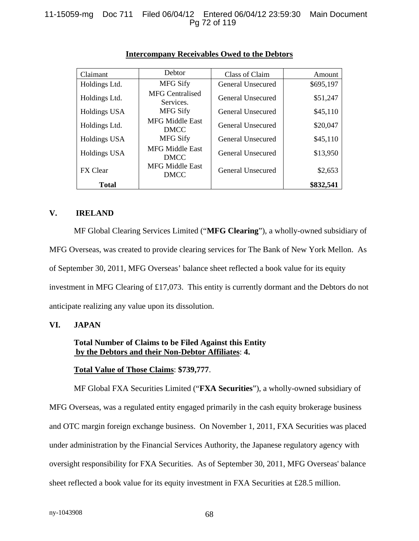| Claimant        | Debtor                                | Class of Claim    | Amount    |
|-----------------|---------------------------------------|-------------------|-----------|
| Holdings Ltd.   | <b>MFG Sify</b>                       | General Unsecured | \$695,197 |
| Holdings Ltd.   | <b>MFG Centralised</b><br>Services.   | General Unsecured | \$51,247  |
| Holdings USA    | <b>MFG Sify</b>                       | General Unsecured | \$45,110  |
| Holdings Ltd.   | <b>MFG Middle East</b><br><b>DMCC</b> | General Unsecured | \$20,047  |
| Holdings USA    | <b>MFG Sify</b>                       | General Unsecured | \$45,110  |
| Holdings USA    | <b>MFG Middle East</b><br><b>DMCC</b> | General Unsecured | \$13,950  |
| <b>FX</b> Clear | <b>MFG Middle East</b><br><b>DMCC</b> | General Unsecured | \$2,653   |
| <b>Total</b>    |                                       |                   | \$832,541 |

### **Intercompany Receivables Owed to the Debtors**

### **V. IRELAND**

MF Global Clearing Services Limited ("**MFG Clearing**"), a wholly-owned subsidiary of MFG Overseas, was created to provide clearing services for The Bank of New York Mellon. As of September 30, 2011, MFG Overseas' balance sheet reflected a book value for its equity investment in MFG Clearing of £17,073. This entity is currently dormant and the Debtors do not anticipate realizing any value upon its dissolution.

# **VI. JAPAN**

### **Total Number of Claims to be Filed Against this Entity by the Debtors and their Non-Debtor Affiliates**: **4.**

### **Total Value of Those Claims**: **\$739,777**.

MF Global FXA Securities Limited ("**FXA Securities**"), a wholly-owned subsidiary of MFG Overseas, was a regulated entity engaged primarily in the cash equity brokerage business and OTC margin foreign exchange business. On November 1, 2011, FXA Securities was placed under administration by the Financial Services Authority, the Japanese regulatory agency with oversight responsibility for FXA Securities. As of September 30, 2011, MFG Overseas' balance sheet reflected a book value for its equity investment in FXA Securities at £28.5 million.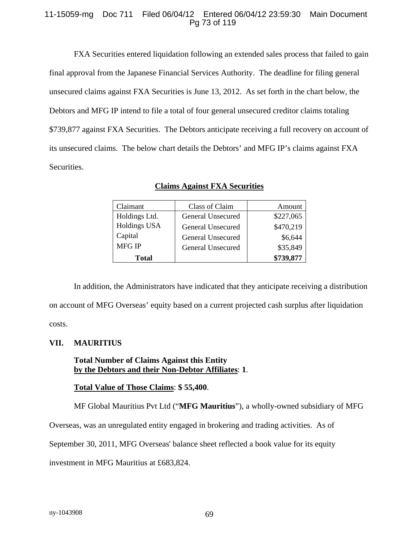#### 11-15059-mg Doc 711 Filed 06/04/12 Entered 06/04/12 23:59:30 Main Document Pg 73 of 119

FXA Securities entered liquidation following an extended sales process that failed to gain final approval from the Japanese Financial Services Authority. The deadline for filing general unsecured claims against FXA Securities is June 13, 2012. As set forth in the chart below, the Debtors and MFG IP intend to file a total of four general unsecured creditor claims totaling \$739,877 against FXA Securities. The Debtors anticipate receiving a full recovery on account of its unsecured claims. The below chart details the Debtors' and MFG IP's claims against FXA Securities.

| Claimant            | Class of Claim    | Amount    |
|---------------------|-------------------|-----------|
| Holdings Ltd.       | General Unsecured | \$227,065 |
| <b>Holdings USA</b> | General Unsecured | \$470,219 |
| Capital             | General Unsecured | \$6,644   |
| <b>MFG IP</b>       | General Unsecured | \$35,849  |
| <b>Total</b>        |                   | \$739,877 |

**Claims Against FXA Securities**

In addition, the Administrators have indicated that they anticipate receiving a distribution on account of MFG Overseas' equity based on a current projected cash surplus after liquidation costs.

# **VII. MAURITIUS**

# **Total Number of Claims Against this Entity by the Debtors and their Non-Debtor Affiliates**: **1**.

### **Total Value of Those Claims**: **\$ 55,400**.

MF Global Mauritius Pvt Ltd ("**MFG Mauritius**"), a wholly-owned subsidiary of MFG

Overseas, was an unregulated entity engaged in brokering and trading activities. As of

September 30, 2011, MFG Overseas' balance sheet reflected a book value for its equity

investment in MFG Mauritius at £683,824.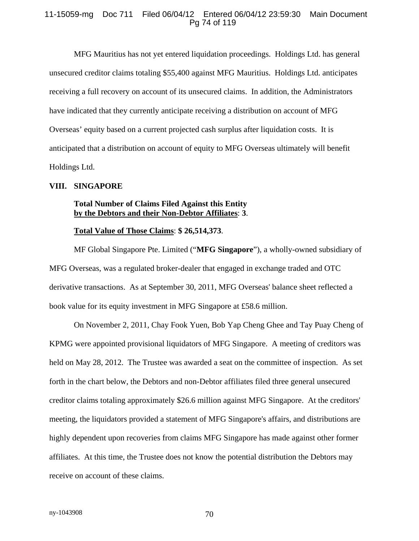#### 11-15059-mg Doc 711 Filed 06/04/12 Entered 06/04/12 23:59:30 Main Document Pg 74 of 119

MFG Mauritius has not yet entered liquidation proceedings. Holdings Ltd. has general unsecured creditor claims totaling \$55,400 against MFG Mauritius. Holdings Ltd. anticipates receiving a full recovery on account of its unsecured claims. In addition, the Administrators have indicated that they currently anticipate receiving a distribution on account of MFG Overseas' equity based on a current projected cash surplus after liquidation costs. It is anticipated that a distribution on account of equity to MFG Overseas ultimately will benefit Holdings Ltd.

#### **VIII. SINGAPORE**

#### **Total Number of Claims Filed Against this Entity by the Debtors and their Non-Debtor Affiliates**: **3**.

#### **Total Value of Those Claims**: **\$ 26,514,373**.

MF Global Singapore Pte. Limited ("**MFG Singapore**"), a wholly-owned subsidiary of MFG Overseas, was a regulated broker-dealer that engaged in exchange traded and OTC derivative transactions. As at September 30, 2011, MFG Overseas' balance sheet reflected a book value for its equity investment in MFG Singapore at £58.6 million.

On November 2, 2011, Chay Fook Yuen, Bob Yap Cheng Ghee and Tay Puay Cheng of KPMG were appointed provisional liquidators of MFG Singapore. A meeting of creditors was held on May 28, 2012. The Trustee was awarded a seat on the committee of inspection. As set forth in the chart below, the Debtors and non-Debtor affiliates filed three general unsecured creditor claims totaling approximately \$26.6 million against MFG Singapore. At the creditors' meeting, the liquidators provided a statement of MFG Singapore's affairs, and distributions are highly dependent upon recoveries from claims MFG Singapore has made against other former affiliates. At this time, the Trustee does not know the potential distribution the Debtors may receive on account of these claims.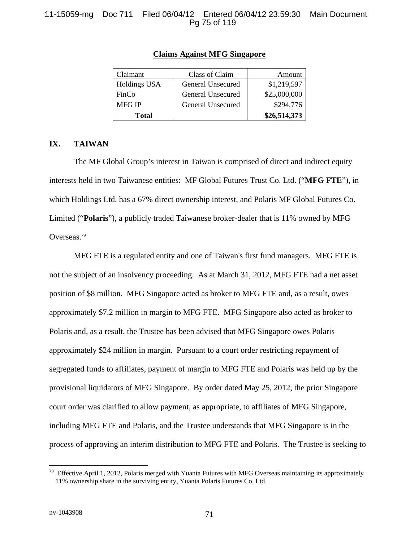#### 11-15059-mg Doc 711 Filed 06/04/12 Entered 06/04/12 23:59:30 Main Document Pg 75 of 119

| Claimant            | Class of Claim    | Amount       |
|---------------------|-------------------|--------------|
| <b>Holdings USA</b> | General Unsecured | \$1,219,597  |
| FinCo               | General Unsecured | \$25,000,000 |
| <b>MFG IP</b>       | General Unsecured | \$294,776    |
| Total               |                   | \$26,514,373 |

#### **Claims Against MFG Singapore**

#### **IX. TAIWAN**

The MF Global Group's interest in Taiwan is comprised of direct and indirect equity interests held in two Taiwanese entities: MF Global Futures Trust Co. Ltd. ("**MFG FTE**"), in which Holdings Ltd. has a 67% direct ownership interest, and Polaris MF Global Futures Co. Limited ("**Polaris**"), a publicly traded Taiwanese broker-dealer that is 11% owned by MFG Overseas.79

MFG FTE is a regulated entity and one of Taiwan's first fund managers. MFG FTE is not the subject of an insolvency proceeding. As at March 31, 2012, MFG FTE had a net asset position of \$8 million. MFG Singapore acted as broker to MFG FTE and, as a result, owes approximately \$7.2 million in margin to MFG FTE. MFG Singapore also acted as broker to Polaris and, as a result, the Trustee has been advised that MFG Singapore owes Polaris approximately \$24 million in margin. Pursuant to a court order restricting repayment of segregated funds to affiliates, payment of margin to MFG FTE and Polaris was held up by the provisional liquidators of MFG Singapore. By order dated May 25, 2012, the prior Singapore court order was clarified to allow payment, as appropriate, to affiliates of MFG Singapore, including MFG FTE and Polaris, and the Trustee understands that MFG Singapore is in the process of approving an interim distribution to MFG FTE and Polaris. The Trustee is seeking to

 $\overline{a}$ 

 $79$  Effective April 1, 2012, Polaris merged with Yuanta Futures with MFG Overseas maintaining its approximately 11% ownership share in the surviving entity, Yuanta Polaris Futures Co. Ltd.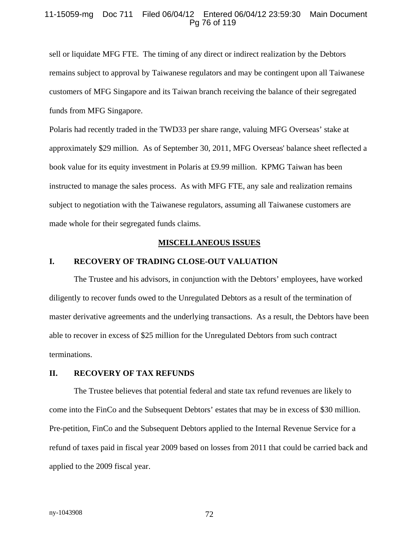#### 11-15059-mg Doc 711 Filed 06/04/12 Entered 06/04/12 23:59:30 Main Document Pg 76 of 119

sell or liquidate MFG FTE. The timing of any direct or indirect realization by the Debtors remains subject to approval by Taiwanese regulators and may be contingent upon all Taiwanese customers of MFG Singapore and its Taiwan branch receiving the balance of their segregated funds from MFG Singapore.

Polaris had recently traded in the TWD33 per share range, valuing MFG Overseas' stake at approximately \$29 million. As of September 30, 2011, MFG Overseas' balance sheet reflected a book value for its equity investment in Polaris at £9.99 million. KPMG Taiwan has been instructed to manage the sales process. As with MFG FTE, any sale and realization remains subject to negotiation with the Taiwanese regulators, assuming all Taiwanese customers are made whole for their segregated funds claims.

#### **MISCELLANEOUS ISSUES**

#### **I. RECOVERY OF TRADING CLOSE-OUT VALUATION**

The Trustee and his advisors, in conjunction with the Debtors' employees, have worked diligently to recover funds owed to the Unregulated Debtors as a result of the termination of master derivative agreements and the underlying transactions. As a result, the Debtors have been able to recover in excess of \$25 million for the Unregulated Debtors from such contract terminations.

#### **II. RECOVERY OF TAX REFUNDS**

The Trustee believes that potential federal and state tax refund revenues are likely to come into the FinCo and the Subsequent Debtors' estates that may be in excess of \$30 million. Pre-petition, FinCo and the Subsequent Debtors applied to the Internal Revenue Service for a refund of taxes paid in fiscal year 2009 based on losses from 2011 that could be carried back and applied to the 2009 fiscal year.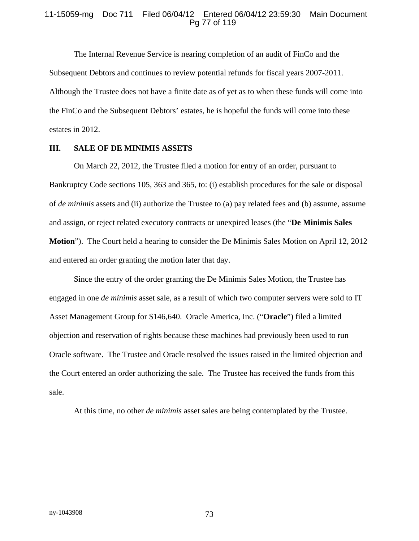#### 11-15059-mg Doc 711 Filed 06/04/12 Entered 06/04/12 23:59:30 Main Document Pg 77 of 119

The Internal Revenue Service is nearing completion of an audit of FinCo and the Subsequent Debtors and continues to review potential refunds for fiscal years 2007-2011. Although the Trustee does not have a finite date as of yet as to when these funds will come into the FinCo and the Subsequent Debtors' estates, he is hopeful the funds will come into these estates in 2012.

#### **III. SALE OF DE MINIMIS ASSETS**

On March 22, 2012, the Trustee filed a motion for entry of an order, pursuant to Bankruptcy Code sections 105, 363 and 365, to: (i) establish procedures for the sale or disposal of *de minimis* assets and (ii) authorize the Trustee to (a) pay related fees and (b) assume, assume and assign, or reject related executory contracts or unexpired leases (the "**De Minimis Sales Motion**"). The Court held a hearing to consider the De Minimis Sales Motion on April 12, 2012 and entered an order granting the motion later that day.

Since the entry of the order granting the De Minimis Sales Motion, the Trustee has engaged in one *de minimis* asset sale, as a result of which two computer servers were sold to IT Asset Management Group for \$146,640. Oracle America, Inc. ("**Oracle**") filed a limited objection and reservation of rights because these machines had previously been used to run Oracle software. The Trustee and Oracle resolved the issues raised in the limited objection and the Court entered an order authorizing the sale. The Trustee has received the funds from this sale.

At this time, no other *de minimis* asset sales are being contemplated by the Trustee.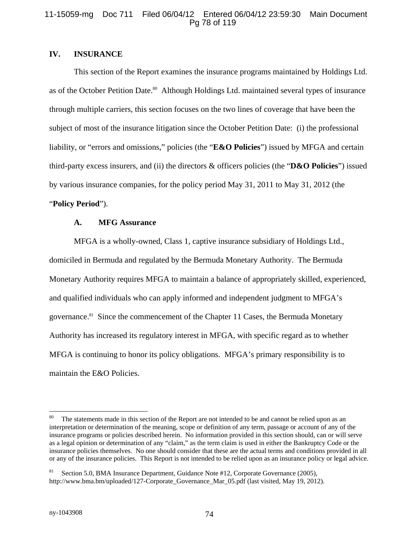#### 11-15059-mg Doc 711 Filed 06/04/12 Entered 06/04/12 23:59:30 Main Document Pg 78 of 119

### **IV. INSURANCE**

This section of the Report examines the insurance programs maintained by Holdings Ltd. as of the October Petition Date.<sup>80</sup> Although Holdings Ltd. maintained several types of insurance through multiple carriers, this section focuses on the two lines of coverage that have been the subject of most of the insurance litigation since the October Petition Date: (i) the professional liability, or "errors and omissions," policies (the "**E&O Policies**") issued by MFGA and certain third-party excess insurers, and (ii) the directors & officers policies (the "**D&O Policies**") issued by various insurance companies, for the policy period May 31, 2011 to May 31, 2012 (the

# "**Policy Period**").

#### **A. MFG Assurance**

MFGA is a wholly-owned, Class 1, captive insurance subsidiary of Holdings Ltd., domiciled in Bermuda and regulated by the Bermuda Monetary Authority. The Bermuda Monetary Authority requires MFGA to maintain a balance of appropriately skilled, experienced, and qualified individuals who can apply informed and independent judgment to MFGA's governance.81 Since the commencement of the Chapter 11 Cases, the Bermuda Monetary Authority has increased its regulatory interest in MFGA, with specific regard as to whether MFGA is continuing to honor its policy obligations. MFGA's primary responsibility is to maintain the E&O Policies.

 $80\,$ The statements made in this section of the Report are not intended to be and cannot be relied upon as an interpretation or determination of the meaning, scope or definition of any term, passage or account of any of the insurance programs or policies described herein. No information provided in this section should, can or will serve as a legal opinion or determination of any "claim," as the term claim is used in either the Bankruptcy Code or the insurance policies themselves. No one should consider that these are the actual terms and conditions provided in all or any of the insurance policies. This Report is not intended to be relied upon as an insurance policy or legal advice.

Section 5.0, BMA Insurance Department, Guidance Note #12, Corporate Governance (2005), http://www.bma.bm/uploaded/127-Corporate\_Governance\_Mar\_05.pdf (last visited, May 19, 2012).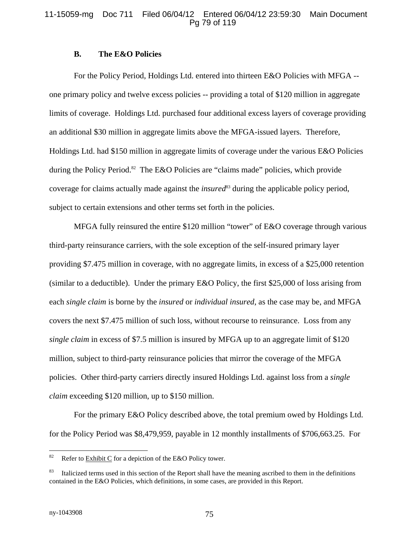#### 11-15059-mg Doc 711 Filed 06/04/12 Entered 06/04/12 23:59:30 Main Document Pg 79 of 119

#### **B. The E&O Policies**

For the Policy Period, Holdings Ltd. entered into thirteen E&O Policies with MFGA - one primary policy and twelve excess policies -- providing a total of \$120 million in aggregate limits of coverage. Holdings Ltd. purchased four additional excess layers of coverage providing an additional \$30 million in aggregate limits above the MFGA-issued layers. Therefore, Holdings Ltd. had \$150 million in aggregate limits of coverage under the various E&O Policies during the Policy Period.<sup>82</sup> The E&O Policies are "claims made" policies, which provide coverage for claims actually made against the *insured*<sup>83</sup> during the applicable policy period, subject to certain extensions and other terms set forth in the policies.

MFGA fully reinsured the entire \$120 million "tower" of E&O coverage through various third-party reinsurance carriers, with the sole exception of the self-insured primary layer providing \$7.475 million in coverage, with no aggregate limits, in excess of a \$25,000 retention (similar to a deductible). Under the primary E&O Policy, the first \$25,000 of loss arising from each *single claim* is borne by the *insured* or *individual insured*, as the case may be, and MFGA covers the next \$7.475 million of such loss, without recourse to reinsurance. Loss from any *single claim* in excess of \$7.5 million is insured by MFGA up to an aggregate limit of \$120 million, subject to third-party reinsurance policies that mirror the coverage of the MFGA policies. Other third-party carriers directly insured Holdings Ltd. against loss from a *single claim* exceeding \$120 million, up to \$150 million.

For the primary E&O Policy described above, the total premium owed by Holdings Ltd. for the Policy Period was \$8,479,959, payable in 12 monthly installments of \$706,663.25. For

<sup>82</sup> Refer to **Exhibit C** for a depiction of the E&O Policy tower.

Italicized terms used in this section of the Report shall have the meaning ascribed to them in the definitions contained in the E&O Policies, which definitions, in some cases, are provided in this Report.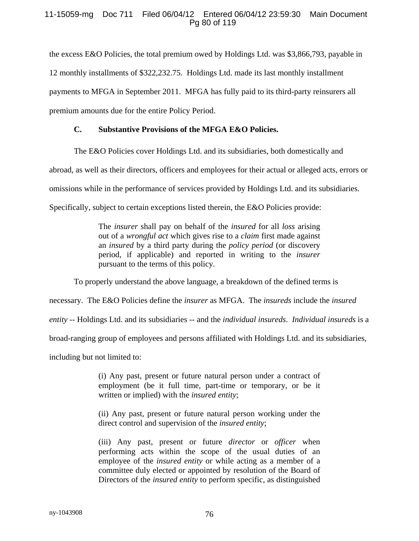#### 11-15059-mg Doc 711 Filed 06/04/12 Entered 06/04/12 23:59:30 Main Document Pg 80 of 119

the excess E&O Policies, the total premium owed by Holdings Ltd. was \$3,866,793, payable in 12 monthly installments of \$322,232.75. Holdings Ltd. made its last monthly installment payments to MFGA in September 2011. MFGA has fully paid to its third-party reinsurers all premium amounts due for the entire Policy Period.

#### **C. Substantive Provisions of the MFGA E&O Policies.**

The E&O Policies cover Holdings Ltd. and its subsidiaries, both domestically and

abroad, as well as their directors, officers and employees for their actual or alleged acts, errors or

omissions while in the performance of services provided by Holdings Ltd. and its subsidiaries.

Specifically, subject to certain exceptions listed therein, the E&O Policies provide:

The *insurer* shall pay on behalf of the *insured* for all *loss* arising out of a *wrongful act* which gives rise to a *claim* first made against an *insured* by a third party during the *policy period* (or discovery period, if applicable) and reported in writing to the *insurer* pursuant to the terms of this policy.

To properly understand the above language, a breakdown of the defined terms is

necessary. The E&O Policies define the *insurer* as MFGA. The *insureds* include the *insured* 

*entity --* Holdings Ltd. and its subsidiaries -- and the *individual insureds*. *Individual insureds* is a

broad-ranging group of employees and persons affiliated with Holdings Ltd. and its subsidiaries,

including but not limited to:

(i) Any past, present or future natural person under a contract of employment (be it full time, part-time or temporary, or be it written or implied) with the *insured entity*;

(ii) Any past, present or future natural person working under the direct control and supervision of the *insured entity*;

(iii) Any past, present or future *director* or *officer* when performing acts within the scope of the usual duties of an employee of the *insured entity* or while acting as a member of a committee duly elected or appointed by resolution of the Board of Directors of the *insured entity* to perform specific, as distinguished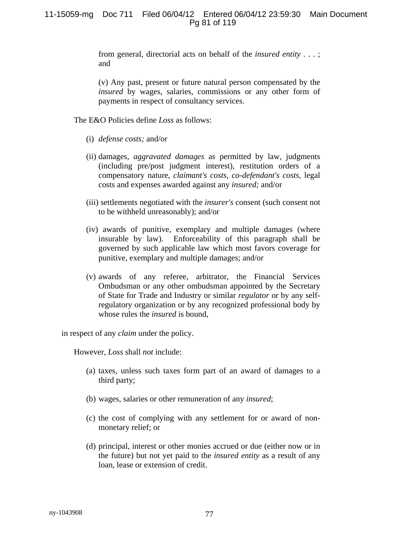from general, directorial acts on behalf of the *insured entity* . . . ; and

(v) Any past, present or future natural person compensated by the *insured* by wages, salaries, commissions or any other form of payments in respect of consultancy services.

The E&O Policies define *Loss* as follows:

- (i) *defense costs;* and/or
- (ii) damages, *aggravated damages* as permitted by law, judgments (including pre/post judgment interest), restitution orders of a compensatory nature, *claimant's costs, co-defendant's costs,* legal costs and expenses awarded against any *insured;* and/or
- (iii) settlements negotiated with the *insurer's* consent (such consent not to be withheld unreasonably); and/or
- (iv) awards of punitive, exemplary and multiple damages (where insurable by law). Enforceability of this paragraph shall be governed by such applicable law which most favors coverage for punitive, exemplary and multiple damages; and/or
- (v) awards of any referee, arbitrator, the Financial Services Ombudsman or any other ombudsman appointed by the Secretary of State for Trade and Industry or similar *regulator* or by any selfregulatory organization or by any recognized professional body by whose rules the *insured* is bound,

in respect of any *claim* under the policy.

However, *Loss* shall *not* include:

- (a) taxes, unless such taxes form part of an award of damages to a third party;
- (b) wages, salaries or other remuneration of any *insured*;
- (c) the cost of complying with any settlement for or award of nonmonetary relief; or
- (d) principal, interest or other monies accrued or due (either now or in the future) but not yet paid to the *insured entity* as a result of any loan, lease or extension of credit.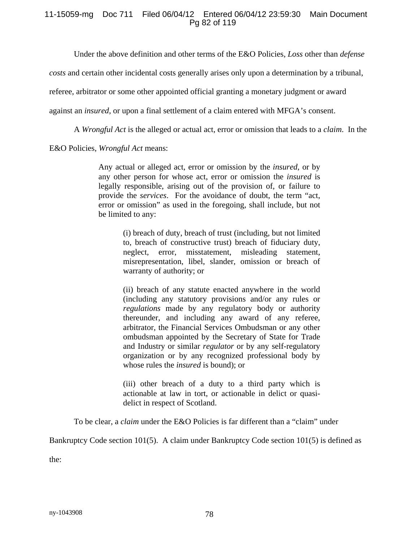#### 11-15059-mg Doc 711 Filed 06/04/12 Entered 06/04/12 23:59:30 Main Document Pg 82 of 119

Under the above definition and other terms of the E&O Policies, *Loss* other than *defense* 

*costs* and certain other incidental costs generally arises only upon a determination by a tribunal,

referee, arbitrator or some other appointed official granting a monetary judgment or award

against an *insured*, or upon a final settlement of a claim entered with MFGA's consent.

A *Wrongful Act* is the alleged or actual act, error or omission that leads to a *claim*. In the

E&O Policies, *Wrongful Act* means:

Any actual or alleged act, error or omission by the *insured*, or by any other person for whose act, error or omission the *insured* is legally responsible, arising out of the provision of, or failure to provide the *services*. For the avoidance of doubt, the term "act, error or omission" as used in the foregoing, shall include, but not be limited to any:

> (i) breach of duty, breach of trust (including, but not limited to, breach of constructive trust) breach of fiduciary duty, neglect, error, misstatement, misleading statement, misrepresentation, libel, slander, omission or breach of warranty of authority; or

> (ii) breach of any statute enacted anywhere in the world (including any statutory provisions and/or any rules or *regulations* made by any regulatory body or authority thereunder, and including any award of any referee, arbitrator, the Financial Services Ombudsman or any other ombudsman appointed by the Secretary of State for Trade and Industry or similar *regulator* or by any self-regulatory organization or by any recognized professional body by whose rules the *insured* is bound); or

> (iii) other breach of a duty to a third party which is actionable at law in tort, or actionable in delict or quasidelict in respect of Scotland.

To be clear, a *claim* under the E&O Policies is far different than a "claim" under

Bankruptcy Code section 101(5). A claim under Bankruptcy Code section 101(5) is defined as

the: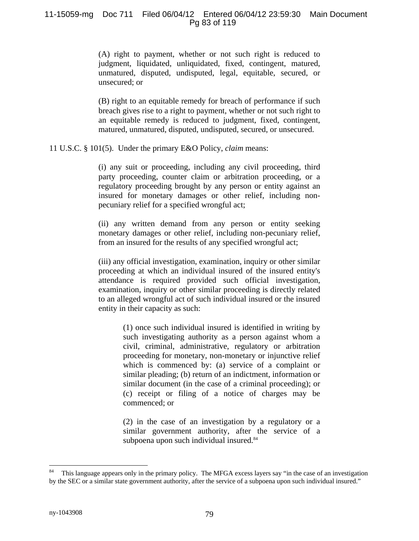(A) right to payment, whether or not such right is reduced to judgment, liquidated, unliquidated, fixed, contingent, matured, unmatured, disputed, undisputed, legal, equitable, secured, or unsecured; or

(B) right to an equitable remedy for breach of performance if such breach gives rise to a right to payment, whether or not such right to an equitable remedy is reduced to judgment, fixed, contingent, matured, unmatured, disputed, undisputed, secured, or unsecured.

11 U.S.C. § 101(5). Under the primary E&O Policy, *claim* means:

(i) any suit or proceeding, including any civil proceeding, third party proceeding, counter claim or arbitration proceeding, or a regulatory proceeding brought by any person or entity against an insured for monetary damages or other relief, including nonpecuniary relief for a specified wrongful act;

(ii) any written demand from any person or entity seeking monetary damages or other relief, including non-pecuniary relief, from an insured for the results of any specified wrongful act;

(iii) any official investigation, examination, inquiry or other similar proceeding at which an individual insured of the insured entity's attendance is required provided such official investigation, examination, inquiry or other similar proceeding is directly related to an alleged wrongful act of such individual insured or the insured entity in their capacity as such:

> (1) once such individual insured is identified in writing by such investigating authority as a person against whom a civil, criminal, administrative, regulatory or arbitration proceeding for monetary, non-monetary or injunctive relief which is commenced by: (a) service of a complaint or similar pleading; (b) return of an indictment, information or similar document (in the case of a criminal proceeding); or (c) receipt or filing of a notice of charges may be commenced; or

> (2) in the case of an investigation by a regulatory or a similar government authority, after the service of a subpoena upon such individual insured.<sup>84</sup>

 $\overline{a}$ 

This language appears only in the primary policy. The MFGA excess layers say "in the case of an investigation by the SEC or a similar state government authority, after the service of a subpoena upon such individual insured."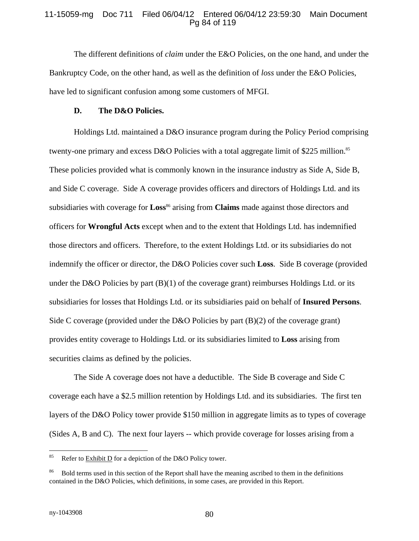#### 11-15059-mg Doc 711 Filed 06/04/12 Entered 06/04/12 23:59:30 Main Document Pg 84 of 119

The different definitions of *claim* under the E&O Policies, on the one hand, and under the Bankruptcy Code, on the other hand, as well as the definition of *loss* under the E&O Policies, have led to significant confusion among some customers of MFGI.

#### **D. The D&O Policies.**

Holdings Ltd. maintained a D&O insurance program during the Policy Period comprising twenty-one primary and excess D&O Policies with a total aggregate limit of \$225 million.<sup>85</sup> These policies provided what is commonly known in the insurance industry as Side A, Side B, and Side C coverage. Side A coverage provides officers and directors of Holdings Ltd. and its subsidiaries with coverage for **Loss**<sup>86</sup> arising from **Claims** made against those directors and officers for **Wrongful Acts** except when and to the extent that Holdings Ltd. has indemnified those directors and officers. Therefore, to the extent Holdings Ltd. or its subsidiaries do not indemnify the officer or director, the D&O Policies cover such **Loss**. Side B coverage (provided under the D&O Policies by part  $(B)(1)$  of the coverage grant) reimburses Holdings Ltd. or its subsidiaries for losses that Holdings Ltd. or its subsidiaries paid on behalf of **Insured Persons**. Side C coverage (provided under the D&O Policies by part  $(B)(2)$  of the coverage grant) provides entity coverage to Holdings Ltd. or its subsidiaries limited to **Loss** arising from securities claims as defined by the policies.

The Side A coverage does not have a deductible. The Side B coverage and Side C coverage each have a \$2.5 million retention by Holdings Ltd. and its subsidiaries. The first ten layers of the D&O Policy tower provide \$150 million in aggregate limits as to types of coverage (Sides A, B and C). The next four layers -- which provide coverage for losses arising from a

<sup>85</sup> Refer to  $\frac{\text{Exhibit D}}{\text{D}}$  for a depiction of the D&O Policy tower.

<sup>86</sup> Bold terms used in this section of the Report shall have the meaning ascribed to them in the definitions contained in the D&O Policies, which definitions, in some cases, are provided in this Report.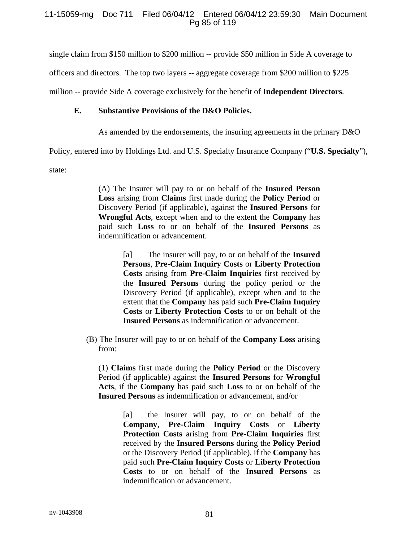single claim from \$150 million to \$200 million -- provide \$50 million in Side A coverage to

officers and directors. The top two layers -- aggregate coverage from \$200 million to \$225

million -- provide Side A coverage exclusively for the benefit of **Independent Directors**.

#### **E. Substantive Provisions of the D&O Policies.**

As amended by the endorsements, the insuring agreements in the primary D&O

Policy, entered into by Holdings Ltd. and U.S. Specialty Insurance Company ("**U.S. Specialty**"),

state:

(A) The Insurer will pay to or on behalf of the **Insured Person Loss** arising from **Claims** first made during the **Policy Period** or Discovery Period (if applicable), against the **Insured Persons** for **Wrongful Acts**, except when and to the extent the **Company** has paid such **Loss** to or on behalf of the **Insured Persons** as indemnification or advancement.

> [a] The insurer will pay, to or on behalf of the **Insured Persons**, **Pre-Claim Inquiry Costs** or **Liberty Protection Costs** arising from **Pre-Claim Inquiries** first received by the **Insured Persons** during the policy period or the Discovery Period (if applicable), except when and to the extent that the **Company** has paid such **Pre-Claim Inquiry Costs** or **Liberty Protection Costs** to or on behalf of the **Insured Persons** as indemnification or advancement.

(B) The Insurer will pay to or on behalf of the **Company Loss** arising from:

 (1) **Claims** first made during the **Policy Period** or the Discovery Period (if applicable) against the **Insured Persons** for **Wrongful Acts**, if the **Company** has paid such **Loss** to or on behalf of the **Insured Persons** as indemnification or advancement, and/or

> [a] the Insurer will pay, to or on behalf of the **Company**, **Pre-Claim Inquiry Costs** or **Liberty Protection Costs** arising from **Pre-Claim Inquiries** first received by the **Insured Persons** during the **Policy Period** or the Discovery Period (if applicable), if the **Company** has paid such **Pre-Claim Inquiry Costs** or **Liberty Protection Costs** to or on behalf of the **Insured Persons** as indemnification or advancement.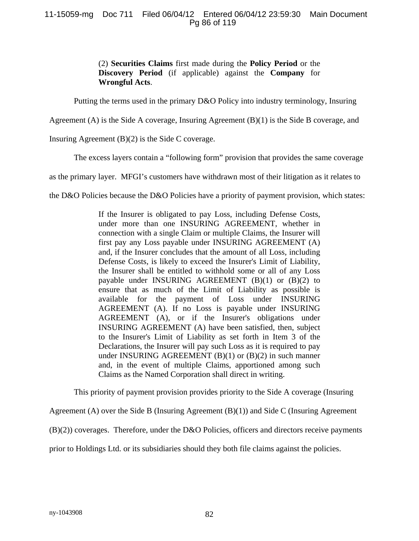### 11-15059-mg Doc 711 Filed 06/04/12 Entered 06/04/12 23:59:30 Main Document Pg 86 of 119

 (2) **Securities Claims** first made during the **Policy Period** or the **Discovery Period** (if applicable) against the **Company** for **Wrongful Acts**.

Putting the terms used in the primary D&O Policy into industry terminology, Insuring

Agreement (A) is the Side A coverage, Insuring Agreement (B)(1) is the Side B coverage, and

Insuring Agreement  $(B)(2)$  is the Side C coverage.

The excess layers contain a "following form" provision that provides the same coverage

as the primary layer. MFGI's customers have withdrawn most of their litigation as it relates to

the D&O Policies because the D&O Policies have a priority of payment provision, which states:

If the Insurer is obligated to pay Loss, including Defense Costs, under more than one INSURING AGREEMENT, whether in connection with a single Claim or multiple Claims, the Insurer will first pay any Loss payable under INSURING AGREEMENT (A) and, if the Insurer concludes that the amount of all Loss, including Defense Costs, is likely to exceed the Insurer's Limit of Liability, the Insurer shall be entitled to withhold some or all of any Loss payable under INSURING AGREEMENT (B)(1) or (B)(2) to ensure that as much of the Limit of Liability as possible is available for the payment of Loss under INSURING AGREEMENT (A). If no Loss is payable under INSURING AGREEMENT (A), or if the Insurer's obligations under INSURING AGREEMENT (A) have been satisfied, then, subject to the Insurer's Limit of Liability as set forth in Item 3 of the Declarations, the Insurer will pay such Loss as it is required to pay under INSURING AGREEMENT  $(B)(1)$  or  $(B)(2)$  in such manner and, in the event of multiple Claims, apportioned among such Claims as the Named Corporation shall direct in writing.

This priority of payment provision provides priority to the Side A coverage (Insuring

Agreement (A) over the Side B (Insuring Agreement (B)(1)) and Side C (Insuring Agreement

(B)(2)) coverages. Therefore, under the D&O Policies, officers and directors receive payments

prior to Holdings Ltd. or its subsidiaries should they both file claims against the policies.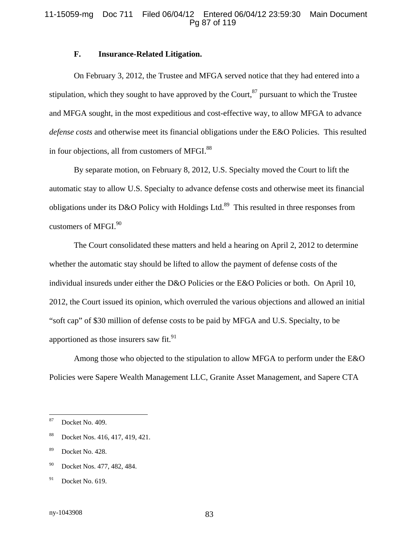#### 11-15059-mg Doc 711 Filed 06/04/12 Entered 06/04/12 23:59:30 Main Document Pg 87 of 119

#### **F. Insurance-Related Litigation.**

 On February 3, 2012, the Trustee and MFGA served notice that they had entered into a stipulation, which they sought to have approved by the Court,  $87$  pursuant to which the Trustee and MFGA sought, in the most expeditious and cost-effective way, to allow MFGA to advance *defense costs* and otherwise meet its financial obligations under the E&O Policies. This resulted in four objections, all from customers of MFGI. $88$ 

By separate motion, on February 8, 2012, U.S. Specialty moved the Court to lift the automatic stay to allow U.S. Specialty to advance defense costs and otherwise meet its financial obligations under its D&O Policy with Holdings Ltd.<sup>89</sup> This resulted in three responses from customers of MFGI.<sup>90</sup>

The Court consolidated these matters and held a hearing on April 2, 2012 to determine whether the automatic stay should be lifted to allow the payment of defense costs of the individual insureds under either the D&O Policies or the E&O Policies or both. On April 10, 2012, the Court issued its opinion, which overruled the various objections and allowed an initial "soft cap" of \$30 million of defense costs to be paid by MFGA and U.S. Specialty, to be apportioned as those insurers saw fit. $^{91}$ 

Among those who objected to the stipulation to allow MFGA to perform under the E&O Policies were Sapere Wealth Management LLC, Granite Asset Management, and Sapere CTA

<sup>87</sup> Docket No. 409.

<sup>88</sup> Docket Nos. 416, 417, 419, 421.

<sup>89</sup> Docket No. 428.

<sup>&</sup>lt;sup>90</sup> Docket Nos. 477, 482, 484.

 $91$  Docket No. 619.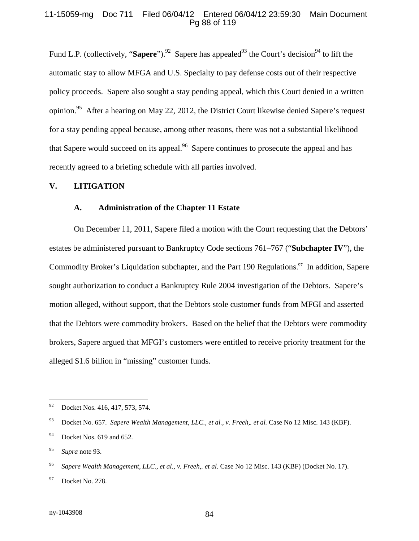#### 11-15059-mg Doc 711 Filed 06/04/12 Entered 06/04/12 23:59:30 Main Document Pg 88 of 119

Fund L.P. (collectively, "**Sapere**").<sup>92</sup> Sapere has appealed<sup>93</sup> the Court's decision<sup>94</sup> to lift the automatic stay to allow MFGA and U.S. Specialty to pay defense costs out of their respective policy proceeds. Sapere also sought a stay pending appeal, which this Court denied in a written opinion.<sup>95</sup> After a hearing on May 22, 2012, the District Court likewise denied Sapere's request for a stay pending appeal because, among other reasons, there was not a substantial likelihood that Sapere would succeed on its appeal.<sup>96</sup> Sapere continues to prosecute the appeal and has recently agreed to a briefing schedule with all parties involved.

#### **V. LITIGATION**

#### **A. Administration of the Chapter 11 Estate**

On December 11, 2011, Sapere filed a motion with the Court requesting that the Debtors' estates be administered pursuant to Bankruptcy Code sections 761–767 ("**Subchapter IV**"), the Commodity Broker's Liquidation subchapter, and the Part 190 Regulations.<sup>97</sup> In addition, Sapere sought authorization to conduct a Bankruptcy Rule 2004 investigation of the Debtors. Sapere's motion alleged, without support, that the Debtors stole customer funds from MFGI and asserted that the Debtors were commodity brokers. Based on the belief that the Debtors were commodity brokers, Sapere argued that MFGI's customers were entitled to receive priority treatment for the alleged \$1.6 billion in "missing" customer funds.

 $92\,$ Docket Nos. 416, 417, 573, 574.

<sup>93</sup> Docket No. 657. *Sapere Wealth Management, LLC., et al., v. Freeh,. et al.* Case No 12 Misc. 143 (KBF).

 $94$  Docket Nos. 619 and 652.

<sup>95</sup> *Supra* note 93.

<sup>96</sup> *Sapere Wealth Management, LLC., et al., v. Freeh,. et al.* Case No 12 Misc. 143 (KBF) (Docket No. 17).

<sup>97</sup> Docket No. 278.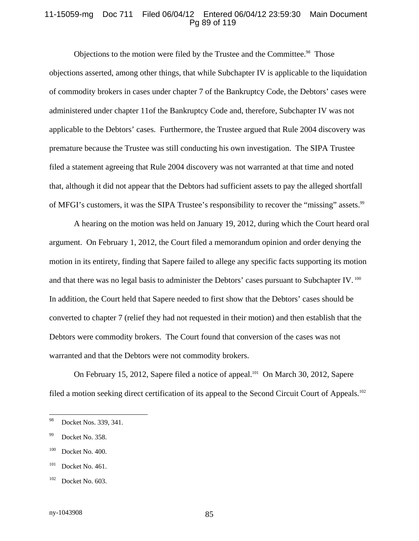#### 11-15059-mg Doc 711 Filed 06/04/12 Entered 06/04/12 23:59:30 Main Document Pg 89 of 119

Objections to the motion were filed by the Trustee and the Committee.<sup>98</sup> Those objections asserted, among other things, that while Subchapter IV is applicable to the liquidation of commodity brokers in cases under chapter 7 of the Bankruptcy Code, the Debtors' cases were administered under chapter 11of the Bankruptcy Code and, therefore, Subchapter IV was not applicable to the Debtors' cases. Furthermore, the Trustee argued that Rule 2004 discovery was premature because the Trustee was still conducting his own investigation. The SIPA Trustee filed a statement agreeing that Rule 2004 discovery was not warranted at that time and noted that, although it did not appear that the Debtors had sufficient assets to pay the alleged shortfall of MFGI's customers, it was the SIPA Trustee's responsibility to recover the "missing" assets.<sup>99</sup>

A hearing on the motion was held on January 19, 2012, during which the Court heard oral argument. On February 1, 2012, the Court filed a memorandum opinion and order denying the motion in its entirety, finding that Sapere failed to allege any specific facts supporting its motion and that there was no legal basis to administer the Debtors' cases pursuant to Subchapter IV.<sup>100</sup> In addition, the Court held that Sapere needed to first show that the Debtors' cases should be converted to chapter 7 (relief they had not requested in their motion) and then establish that the Debtors were commodity brokers. The Court found that conversion of the cases was not warranted and that the Debtors were not commodity brokers.

On February 15, 2012, Sapere filed a notice of appeal.<sup>101</sup> On March 30, 2012, Sapere filed a motion seeking direct certification of its appeal to the Second Circuit Court of Appeals.<sup>102</sup>

 $101$  Docket No. 461.

<sup>98</sup> Docket Nos. 339, 341.

<sup>&</sup>lt;sup>99</sup> Docket No. 358.

<sup>&</sup>lt;sup>100</sup> Docket No. 400.

 $102$  Docket No. 603.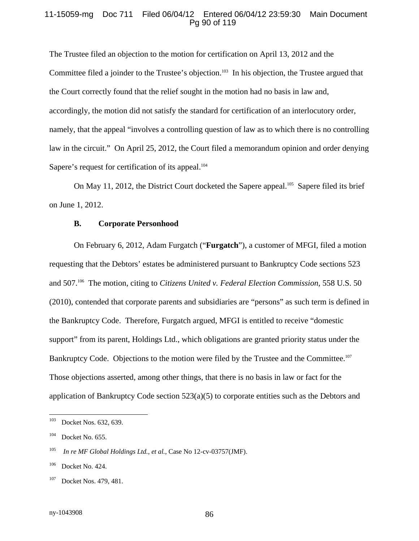#### 11-15059-mg Doc 711 Filed 06/04/12 Entered 06/04/12 23:59:30 Main Document Pg 90 of 119

The Trustee filed an objection to the motion for certification on April 13, 2012 and the Committee filed a joinder to the Trustee's objection.<sup>103</sup> In his objection, the Trustee argued that the Court correctly found that the relief sought in the motion had no basis in law and, accordingly, the motion did not satisfy the standard for certification of an interlocutory order, namely, that the appeal "involves a controlling question of law as to which there is no controlling law in the circuit." On April 25, 2012, the Court filed a memorandum opinion and order denying Sapere's request for certification of its appeal.<sup>104</sup>

On May 11, 2012, the District Court docketed the Sapere appeal.<sup>105</sup> Sapere filed its brief on June 1, 2012.

#### **B. Corporate Personhood**

On February 6, 2012, Adam Furgatch ("**Furgatch**"), a customer of MFGI, filed a motion requesting that the Debtors' estates be administered pursuant to Bankruptcy Code sections 523 and 507.106 The motion, citing to *Citizens United v. Federal Election Commission*, 558 U.S. 50 (2010), contended that corporate parents and subsidiaries are "persons" as such term is defined in the Bankruptcy Code. Therefore, Furgatch argued, MFGI is entitled to receive "domestic support" from its parent, Holdings Ltd., which obligations are granted priority status under the Bankruptcy Code. Objections to the motion were filed by the Trustee and the Committee.<sup>107</sup> Those objections asserted, among other things, that there is no basis in law or fact for the application of Bankruptcy Code section 523(a)(5) to corporate entities such as the Debtors and

 $103\,$ Docket Nos. 632, 639.

 $104$  Docket No. 655.

<sup>105</sup> *In re MF Global Holdings Ltd., et al.*, Case No 12-cv-03757(JMF).

<sup>&</sup>lt;sup>106</sup> Docket No. 424.

<sup>&</sup>lt;sup>107</sup> Docket Nos. 479, 481.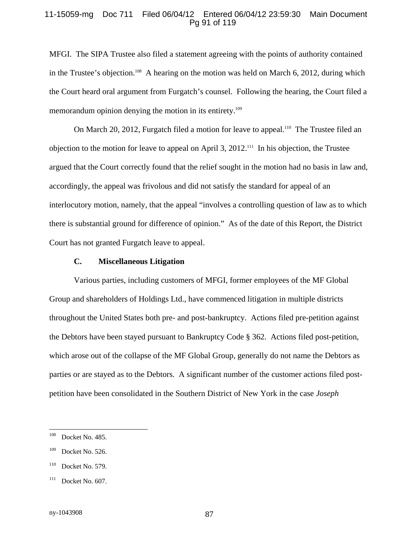#### 11-15059-mg Doc 711 Filed 06/04/12 Entered 06/04/12 23:59:30 Main Document Pg 91 of 119

MFGI. The SIPA Trustee also filed a statement agreeing with the points of authority contained in the Trustee's objection.<sup>108</sup> A hearing on the motion was held on March 6, 2012, during which the Court heard oral argument from Furgatch's counsel. Following the hearing, the Court filed a memorandum opinion denying the motion in its entirety.<sup>109</sup>

On March 20, 2012, Furgatch filed a motion for leave to appeal.<sup>110</sup> The Trustee filed an objection to the motion for leave to appeal on April 3, 2012.111 In his objection, the Trustee argued that the Court correctly found that the relief sought in the motion had no basis in law and, accordingly, the appeal was frivolous and did not satisfy the standard for appeal of an interlocutory motion, namely, that the appeal "involves a controlling question of law as to which there is substantial ground for difference of opinion." As of the date of this Report, the District Court has not granted Furgatch leave to appeal.

#### **C. Miscellaneous Litigation**

Various parties, including customers of MFGI, former employees of the MF Global Group and shareholders of Holdings Ltd., have commenced litigation in multiple districts throughout the United States both pre- and post-bankruptcy. Actions filed pre-petition against the Debtors have been stayed pursuant to Bankruptcy Code § 362. Actions filed post-petition, which arose out of the collapse of the MF Global Group, generally do not name the Debtors as parties or are stayed as to the Debtors. A significant number of the customer actions filed postpetition have been consolidated in the Southern District of New York in the case *Joseph* 

<sup>108</sup> Docket No. 485.

<sup>&</sup>lt;sup>109</sup> Docket No. 526.

<sup>&</sup>lt;sup>110</sup> Docket No. 579.

<sup>&</sup>lt;sup>111</sup> Docket No. 607.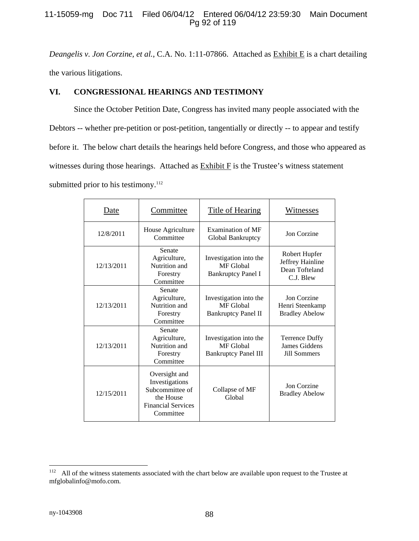#### 11-15059-mg Doc 711 Filed 06/04/12 Entered 06/04/12 23:59:30 Main Document Pg 92 of 119

*Deangelis v. Jon Corzine, et al.*, C.A. No. 1:11-07866. Attached as Exhibit E is a chart detailing the various litigations.

# **VI. CONGRESSIONAL HEARINGS AND TESTIMONY**

Since the October Petition Date, Congress has invited many people associated with the Debtors -- whether pre-petition or post-petition, tangentially or directly -- to appear and testify before it. The below chart details the hearings held before Congress, and those who appeared as witnesses during those hearings. Attached as Exhibit F is the Trustee's witness statement submitted prior to his testimony. $112$ 

| Date       | Committee                                                                                                 | <b>Title of Hearing</b>                                            | Witnesses                                                        |
|------------|-----------------------------------------------------------------------------------------------------------|--------------------------------------------------------------------|------------------------------------------------------------------|
| 12/8/2011  | House Agriculture<br>Committee                                                                            | Examination of MF<br>Global Bankruptcy                             | Jon Corzine                                                      |
| 12/13/2011 | Senate<br>Agriculture,<br>Nutrition and<br>Forestry<br>Committee                                          | Investigation into the<br>MF Global<br><b>Bankruptcy Panel I</b>   | Robert Hupfer<br>Jeffrey Hainline<br>Dean Tofteland<br>C.J. Blew |
| 12/13/2011 | Senate<br>Agriculture,<br>Nutrition and<br>Forestry<br>Committee                                          | Investigation into the<br>MF Global<br><b>Bankruptcy Panel II</b>  | Jon Corzine<br>Henri Steenkamp<br><b>Bradley Abelow</b>          |
| 12/13/2011 | Senate<br>Agriculture,<br>Nutrition and<br>Forestry<br>Committee                                          | Investigation into the<br>MF Global<br><b>Bankruptcy Panel III</b> | Terrence Duffy<br>James Giddens<br>Jill Sommers                  |
| 12/15/2011 | Oversight and<br>Investigations<br>Subcommittee of<br>the House<br><b>Financial Services</b><br>Committee | Collapse of MF<br>Global                                           | Jon Corzine<br><b>Bradley Abelow</b>                             |

 $112\,$ All of the witness statements associated with the chart below are available upon request to the Trustee at mfglobalinfo@mofo.com.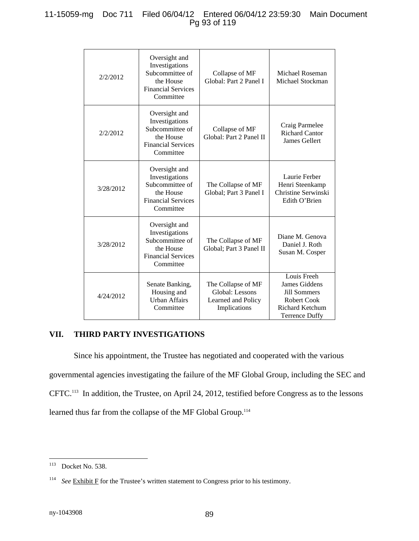# 11-15059-mg Doc 711 Filed 06/04/12 Entered 06/04/12 23:59:30 Main Document Pg 93 of 119

| 2/2/2012  | Oversight and<br>Investigations<br>Subcommittee of<br>the House<br><b>Financial Services</b><br>Committee | Collapse of MF<br>Global: Part 2 Panel I                                    | Michael Roseman<br>Michael Stockman                                                                                          |
|-----------|-----------------------------------------------------------------------------------------------------------|-----------------------------------------------------------------------------|------------------------------------------------------------------------------------------------------------------------------|
| 2/2/2012  | Oversight and<br>Investigations<br>Subcommittee of<br>the House<br><b>Financial Services</b><br>Committee | Collapse of MF<br>Global: Part 2 Panel II                                   | Craig Parmelee<br><b>Richard Cantor</b><br>James Gellert                                                                     |
| 3/28/2012 | Oversight and<br>Investigations<br>Subcommittee of<br>the House<br><b>Financial Services</b><br>Committee | The Collapse of MF<br>Global; Part 3 Panel I                                | Laurie Ferber<br>Henri Steenkamp<br>Christine Serwinski<br>Edith O'Brien                                                     |
| 3/28/2012 | Oversight and<br>Investigations<br>Subcommittee of<br>the House<br><b>Financial Services</b><br>Committee | The Collapse of MF<br>Global; Part 3 Panel II                               | Diane M. Genova<br>Daniel J. Roth<br>Susan M. Cosper                                                                         |
| 4/24/2012 | Senate Banking,<br>Housing and<br><b>Urban Affairs</b><br>Committee                                       | The Collapse of MF<br>Global: Lessons<br>Learned and Policy<br>Implications | Louis Freeh<br>James Giddens<br><b>Jill Sommers</b><br><b>Robert Cook</b><br><b>Richard Ketchum</b><br><b>Terrence Duffy</b> |

#### **VII. THIRD PARTY INVESTIGATIONS**

Since his appointment, the Trustee has negotiated and cooperated with the various governmental agencies investigating the failure of the MF Global Group, including the SEC and CFTC.113 In addition, the Trustee, on April 24, 2012, testified before Congress as to the lessons learned thus far from the collapse of the MF Global Group.<sup>114</sup>

 $\overline{a}$  $113$  Docket No. 538.

<sup>&</sup>lt;sup>114</sup> *See* Exhibit F for the Trustee's written statement to Congress prior to his testimony.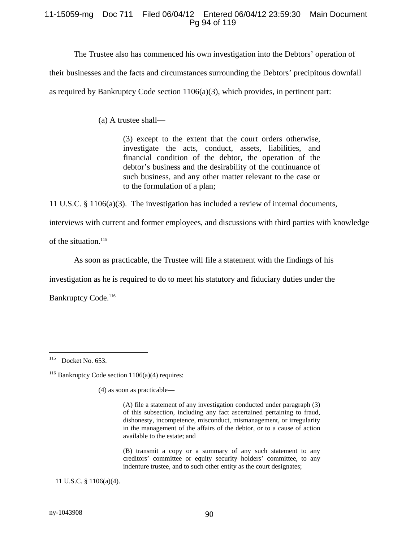#### 11-15059-mg Doc 711 Filed 06/04/12 Entered 06/04/12 23:59:30 Main Document Pg 94 of 119

The Trustee also has commenced his own investigation into the Debtors' operation of

their businesses and the facts and circumstances surrounding the Debtors' precipitous downfall

as required by Bankruptcy Code section  $1106(a)(3)$ , which provides, in pertinent part:

(a) A trustee shall—

(3) except to the extent that the court orders otherwise, investigate the acts, conduct, assets, liabilities, and financial condition of the debtor, the operation of the debtor's business and the desirability of the continuance of such business, and any other matter relevant to the case or to the formulation of a plan;

11 U.S.C. § 1106(a)(3). The investigation has included a review of internal documents,

interviews with current and former employees, and discussions with third parties with knowledge

of the situation.<sup>115</sup>

As soon as practicable, the Trustee will file a statement with the findings of his

investigation as he is required to do to meet his statutory and fiduciary duties under the

Bankruptcy Code.<sup>116</sup>

(4) as soon as practicable—

(A) file a statement of any investigation conducted under paragraph (3) of this subsection, including any fact ascertained pertaining to fraud, dishonesty, incompetence, misconduct, mismanagement, or irregularity in the management of the affairs of the debtor, or to a cause of action available to the estate; and

(B) transmit a copy or a summary of any such statement to any creditors' committee or equity security holders' committee, to any indenture trustee, and to such other entity as the court designates;

11 U.S.C. § 1106(a)(4).

 $\overline{a}$  $115$  Docket No. 653.

 $116$  Bankruptcy Code section 1106(a)(4) requires: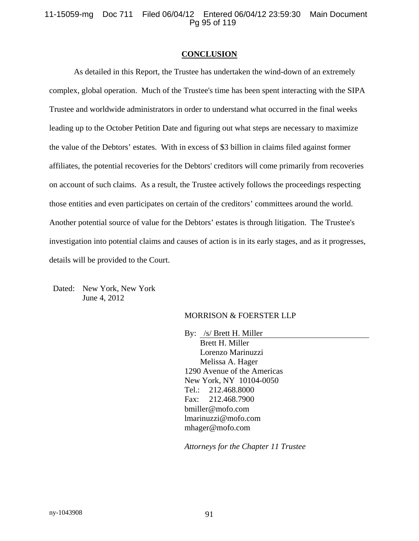11-15059-mg Doc 711 Filed 06/04/12 Entered 06/04/12 23:59:30 Main Document Pg 95 of 119

#### **CONCLUSION**

As detailed in this Report, the Trustee has undertaken the wind-down of an extremely complex, global operation. Much of the Trustee's time has been spent interacting with the SIPA Trustee and worldwide administrators in order to understand what occurred in the final weeks leading up to the October Petition Date and figuring out what steps are necessary to maximize the value of the Debtors' estates. With in excess of \$3 billion in claims filed against former affiliates, the potential recoveries for the Debtors' creditors will come primarily from recoveries on account of such claims. As a result, the Trustee actively follows the proceedings respecting those entities and even participates on certain of the creditors' committees around the world. Another potential source of value for the Debtors' estates is through litigation. The Trustee's investigation into potential claims and causes of action is in its early stages, and as it progresses, details will be provided to the Court.

Dated: New York, New York June 4, 2012

#### MORRISON & FOERSTER LLP

 By: /s/ Brett H. Miller Brett H. Miller Lorenzo Marinuzzi Melissa A. Hager 1290 Avenue of the Americas New York, NY 10104-0050 Tel.: 212.468.8000 Fax: 212.468.7900 bmiller@mofo.com lmarinuzzi@mofo.com mhager@mofo.com

*Attorneys for the Chapter 11 Trustee*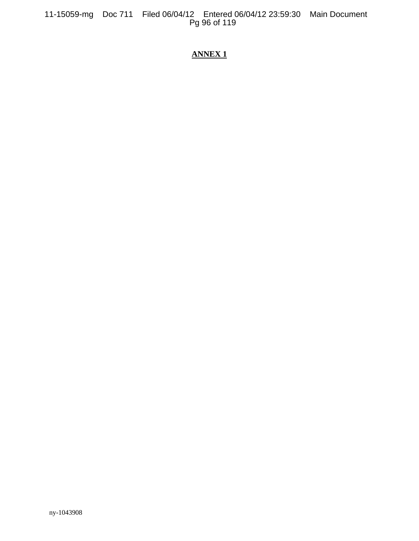# **ANNEX1**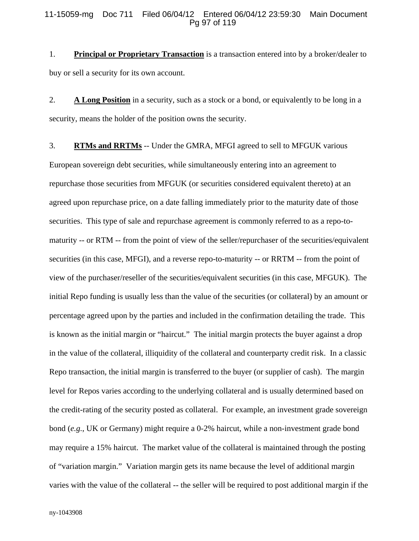#### 11-15059-mg Doc 711 Filed 06/04/12 Entered 06/04/12 23:59:30 Main Document Pg 97 of 119

1. **Principal or Proprietary Transaction** is a transaction entered into by a broker/dealer to buy or sell a security for its own account.

2. **A Long Position** in a security, such as a stock or a bond, or equivalently to be long in a security, means the holder of the position owns the security.

3. **RTMs and RRTMs** -- Under the GMRA, MFGI agreed to sell to MFGUK various European sovereign debt securities, while simultaneously entering into an agreement to repurchase those securities from MFGUK (or securities considered equivalent thereto) at an agreed upon repurchase price, on a date falling immediately prior to the maturity date of those securities. This type of sale and repurchase agreement is commonly referred to as a repo-tomaturity -- or RTM -- from the point of view of the seller/repurchaser of the securities/equivalent securities (in this case, MFGI), and a reverse repo-to-maturity -- or RRTM -- from the point of view of the purchaser/reseller of the securities/equivalent securities (in this case, MFGUK). The initial Repo funding is usually less than the value of the securities (or collateral) by an amount or percentage agreed upon by the parties and included in the confirmation detailing the trade. This is known as the initial margin or "haircut." The initial margin protects the buyer against a drop in the value of the collateral, illiquidity of the collateral and counterparty credit risk. In a classic Repo transaction, the initial margin is transferred to the buyer (or supplier of cash). The margin level for Repos varies according to the underlying collateral and is usually determined based on the credit-rating of the security posted as collateral. For example, an investment grade sovereign bond (*e.g.*, UK or Germany) might require a 0-2% haircut, while a non-investment grade bond may require a 15% haircut. The market value of the collateral is maintained through the posting of "variation margin." Variation margin gets its name because the level of additional margin varies with the value of the collateral -- the seller will be required to post additional margin if the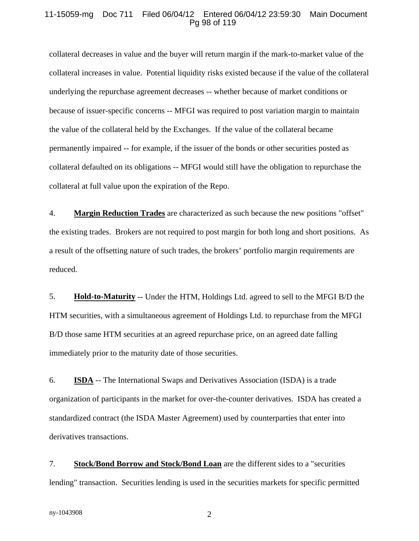#### 11-15059-mg Doc 711 Filed 06/04/12 Entered 06/04/12 23:59:30 Main Document Pg 98 of 119

collateral decreases in value and the buyer will return margin if the mark-to-market value of the collateral increases in value. Potential liquidity risks existed because if the value of the collateral underlying the repurchase agreement decreases -- whether because of market conditions or because of issuer-specific concerns -- MFGI was required to post variation margin to maintain the value of the collateral held by the Exchanges. If the value of the collateral became permanently impaired -- for example, if the issuer of the bonds or other securities posted as collateral defaulted on its obligations -- MFGI would still have the obligation to repurchase the collateral at full value upon the expiration of the Repo.

4. **Margin Reduction Trades** are characterized as such because the new positions "offset" the existing trades. Brokers are not required to post margin for both long and short positions. As a result of the offsetting nature of such trades, the brokers' portfolio margin requirements are reduced.

5. **Hold-to-Maturity** -- Under the HTM, Holdings Ltd. agreed to sell to the MFGI B/D the HTM securities, with a simultaneous agreement of Holdings Ltd. to repurchase from the MFGI B/D those same HTM securities at an agreed repurchase price, on an agreed date falling immediately prior to the maturity date of those securities.

6. **ISDA** -- The International Swaps and Derivatives Association (ISDA) is a trade organization of participants in the market for over-the-counter derivatives. ISDA has created a standardized contract (the ISDA Master Agreement) used by counterparties that enter into derivatives transactions.

7. **Stock/Bond Borrow and Stock/Bond Loan** are the different sides to a "securities lending" transaction. Securities lending is used in the securities markets for specific permitted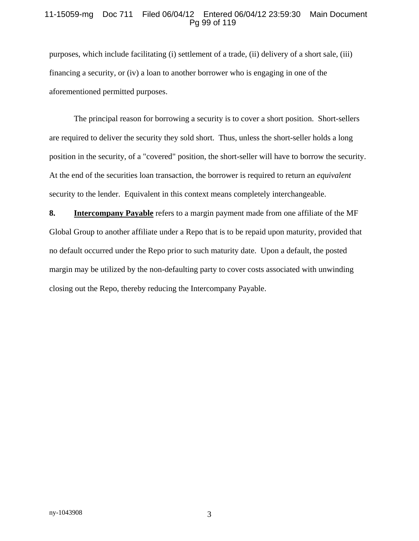#### 11-15059-mg Doc 711 Filed 06/04/12 Entered 06/04/12 23:59:30 Main Document Pg 99 of 119

purposes, which include facilitating (i) settlement of a trade, (ii) delivery of a short sale, (iii) financing a security, or (iv) a loan to another borrower who is engaging in one of the aforementioned permitted purposes.

The principal reason for borrowing a security is to cover a short position. Short-sellers are required to deliver the security they sold short. Thus, unless the short-seller holds a long position in the security, of a "covered" position, the short-seller will have to borrow the security. At the end of the securities loan transaction, the borrower is required to return an *equivalent* security to the lender. Equivalent in this context means completely interchangeable.

**8. Intercompany Payable** refers to a margin payment made from one affiliate of the MF Global Group to another affiliate under a Repo that is to be repaid upon maturity, provided that no default occurred under the Repo prior to such maturity date. Upon a default, the posted margin may be utilized by the non-defaulting party to cover costs associated with unwinding closing out the Repo, thereby reducing the Intercompany Payable.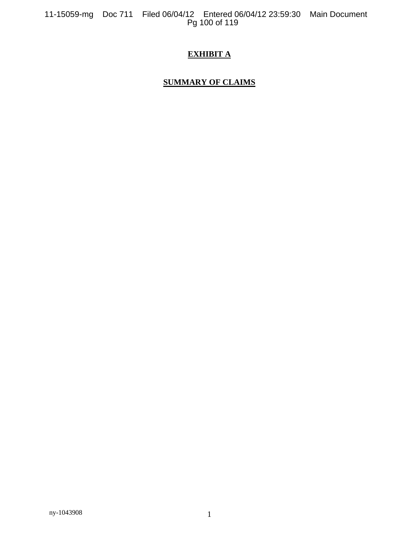# **EXHIBIT A**

# **SUMMARY OF CLAIMS**

ny-1043908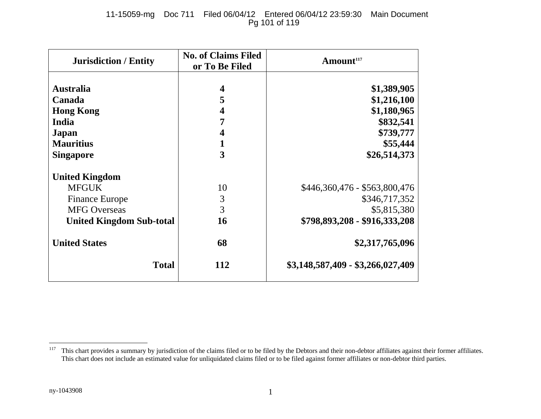# 11-15059-mg Doc 711 Filed 06/04/12 Entered 06/04/12 23:59:30 Main Document Pg 101 of 119

| <b>Jurisdiction / Entity</b>    | <b>No. of Claims Filed</b><br>or To Be Filed | Amount <sup>117</sup>             |
|---------------------------------|----------------------------------------------|-----------------------------------|
| <b>Australia</b>                |                                              | \$1,389,905                       |
|                                 | 5                                            |                                   |
| Canada                          |                                              | \$1,216,100                       |
| <b>Hong Kong</b>                | 4                                            | \$1,180,965                       |
| India                           |                                              | \$832,541                         |
| Japan                           |                                              | \$739,777                         |
| <b>Mauritius</b>                |                                              | \$55,444                          |
| <b>Singapore</b>                | 3                                            | \$26,514,373                      |
| <b>United Kingdom</b>           |                                              |                                   |
| <b>MFGUK</b>                    | 10                                           | \$446,360,476 - \$563,800,476     |
| <b>Finance Europe</b>           | 3                                            | \$346,717,352                     |
| <b>MFG Overseas</b>             | 3                                            | \$5,815,380                       |
| <b>United Kingdom Sub-total</b> | 16                                           | \$798,893,208 - \$916,333,208     |
| <b>United States</b>            | 68                                           | \$2,317,765,096                   |
| <b>Total</b>                    | 112                                          | \$3,148,587,409 - \$3,266,027,409 |

<sup>&</sup>lt;sup>117</sup> This chart provides a summary by jurisdiction of the claims filed or to be filed by the Debtors and their non-debtor affiliates against their former affiliates. This chart does not include an estimated value for unliquidated claims filed or to be filed against former affiliates or non-debtor third parties.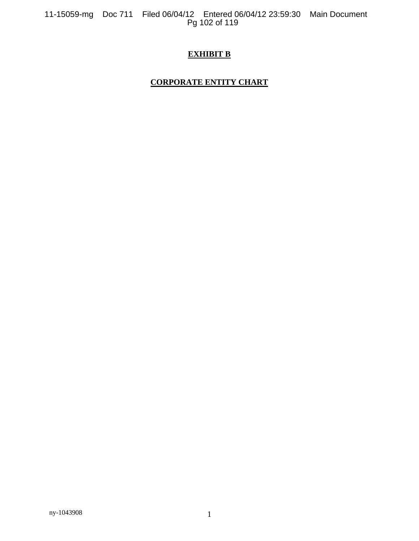11-15059-mg Doc 711 Filed 06/04/12 Entered 06/04/12 23:59:30 Main Document<br>Pg 102 of 119

# **EXHIBIT B**

# **CORPORATE ENTITY CHART**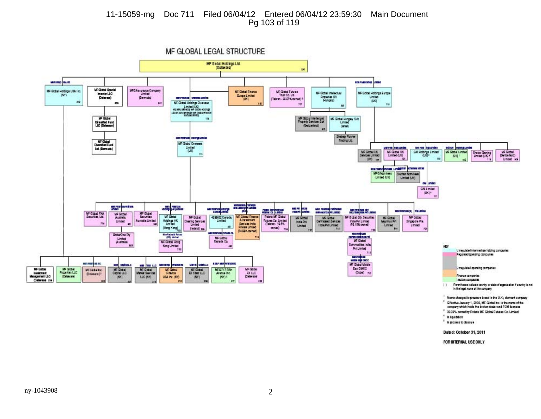#### 11-15059-mg Doc 711 Filed 06/04/12 Entered 06/04/12 23:59:30 Main Document Pg 103 of 119

MF GLOBAL LEGAL STRUCTURE MF Global Holdings Ltd.<br>(Delaware) is. MARINE WATER ara a Mayoro **MF Global Special MFGAssurance Company**<br>
Limited<br>
(Germuda) MF Glabal Haltings USA Inc. MF Glabel Future **MF Gibal Finance** MF Gibbal Hiddings Garape Investor LLC MF Gittel Intellectual Quepe Limited **DVD** Properties (d) (Delaware) Limited MICHAELSE CHEINE LIBRE Talvan - GLET % pened) /  $(X|X)$ mo  $\mathbf{m}$ an. MF Global Holdings Dyaneser 70 TH. Salaris Limited (UK)<br>Salaris sensory are distance on the<br>Limited sensor factor are distanced<br>subgeturing × **WF Global**  $19$ MF Gabul Intellectual MF Global Hungay Sub<br>Limited **Oirentfed Fund**<br>LLC (Delaware) (Gentzwierz) **Garrier? AV** State Romer<br>Trading Ltd. umumum waqanmi MF Gittel<br>Diversified Fund<br>Ltd. (Bernsda) **MF Giztel Oversees** Limited<br>(LK) arem pasurd cessos agrupas adope Hoongure GM Hottings Limited MF Gittel UK MF Global UK **MF Gittel Limited** MF Gittal Croce Caming<br>Limited (UK) m **JUNE!**  $000 - 10$  $\mathbf{m}$ Unted 166 TIB. **ESSPANY FROM LINGERY STATE MITTER MFGNcmheit Cluster Noninee** Limited (UK) Limited (UK) on unter GM Limited  $(NN)^*$ MARY BROWNERS **Local Property MARINEZ BASES** 黒度 ш mia Aranga<br>Ambakaras ang araw.<br>Ang araw **MARINE REAL PROPERTY All Pro MAGAZINA A COLUMN** MF Gidel MF Gizhal FXA<br>Securities, Ltd. MF Giztal<br>Australia **MF Global UF Gitted Finance** Point MF Gidel **MF Giztal** 4292632 Carada **MF Gittau W-Gast MF Gided Bly Securities MF Global** MF Gidel<br>Merillis Pri & innerners Fishing Co. Limited<br>(Talway - 195%) Hatsings I-IK<br>Limited Centralized Services<br>India:Pv1Limited<br>#18 Australia Limited Clearing Services Linited India Put Limited<br>(70.15% owned) Unied IndePvt Singapore Pha the Sevices India<br>Private Limited Linited Limited Linked **m** owned) [Homp King] jaind ys -318 (T4.99% perned) **INDUCES SERVICE** Manuelpan<br>Sanatobiologia<br>MF Gittag **Heritagean Four GebarOne Py** MF Gittal<br>Carada Co. Linited<br>(Australia) MF Grate Hong Commodities India Kong Limited  $+20$ KEY AtLiniat ïш Unregulated intermediate habing companies 313 Regulated spending companies MEPHRON<br>WIDE IS CACC Minimum gaine **LED MARY STORE** an aplaus MF Gidel Middle n e pe **VERB GMILLS THE TELL LEG** Unregulated operating compenies **MF Global** MF Gidel M-Gobal East OMCO MF Grand<br>Capital LLC Michael<br>Matur Sevices MEGINE **MEGTITFIER** M-Gthal MFGlobal Inc. Investment<br>Menagement LLC **Properties LLC** Resource Avenue Inc. **FX LLC** (Duba) = (Onlawate) + (Delayare) Finance compenies USA Inc. (NY)  $(65)$ LLC INVI (NY)  $|NN\rangle$  s (Delaware) 210 Incise companies 15 Parenheres indicate country or state of promis alice if pountry is not.  $13$ in the legal name of the company

Name changed to preserve brand in the U.K.; domain company

- <sup>2</sup> Checke January 1, 2006, MF Global Inc. is the mane of the
- company which holds the broker-dealer and FCM licenses
- <sup>8</sup> 93.93% owned by Polets MF Global Fatures Co. Limited \* In liquidation
- \* In process to descive
- Dated: October 31, 2011

FOR INTERNAL USE ONLY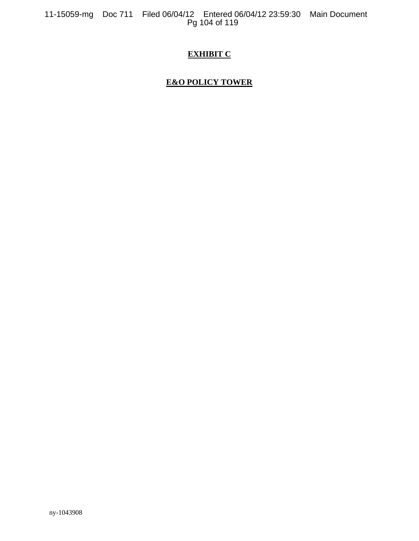# **EXHIBIT C**

# **E&O POLICY TOWER**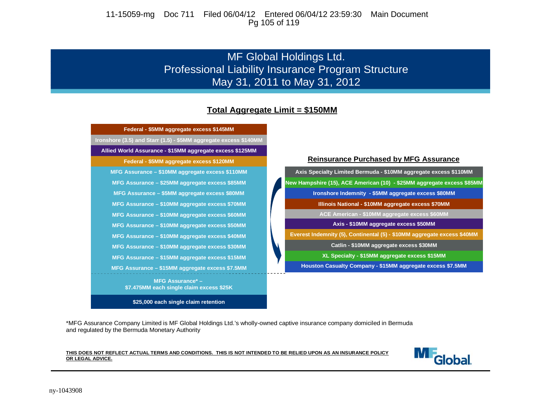11-15059-mg Doc 711 Filed 06/04/12 Entered 06/04/12 23:59:30 Main Document Pg 105 of 119

# MF Global Holdings Ltd. Professional Liability Insurance Program Structure May 31, 2011 to May 31, 2012

# **Total Aggregate Limit = \$150MM**



**\$25,000 each single claim retention**

**XL Specialty - \$15MM aggregate excess \$15MM Catlin - \$10MM aggregate excess \$30MM Everest Indemnity (5), Continental (5) - \$10MM aggregate excess \$40MM Axis - \$10MM aggregate excess \$50MM ACE American - \$10MM aggregate excess \$60MM Illinois National - \$10MM aggregate excess \$70MM Ironshore Indemnity - \$5MM aggregate excess \$80MM New Hampshire (15), ACE American (10) - \$25MM aggregate excess \$85MM Axis Specialty Limited Bermuda - \$10MM aggregate excess \$110MM**

**Houston Casualty Company - \$15MM aggregate excess \$7.5MM**

\*MFG Assurance Company Limited is MF Global Holdings Ltd.'s wholly-owned captive insurance company domiciled in Bermuda and regulated by the Bermuda Monetary Authority

#### **THIS DOES NOT REFLECT ACTUAL TERMS AND CONDITIONS. THIS IS NOT INTENDED TO BE RELIED UPON AS AN INSURANCE POLICY OR LEGAL ADVICE.**

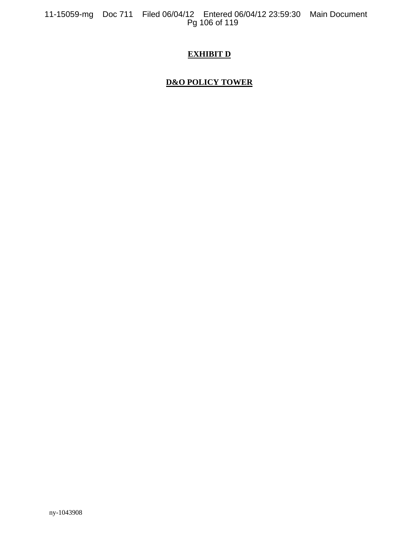# **EXHIBIT D**

# **D&O POLICY TOWER**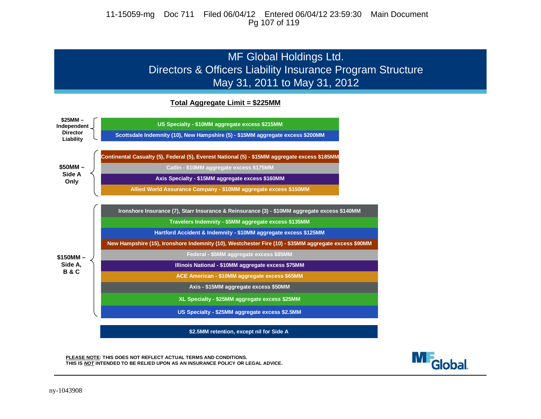#### 11-15059-mg Doc 711 Filed 06/04/12 Entered 06/04/12 23:59:30 Main Document Pg 107 of 119

# MF Global Holdings Ltd. Directors & Officers Liability Insurance Program Structure May 31, 2011 to May 31, 2012

#### **Total Aggregate Limit = \$225MM**



**M**<sub>Global</sub>

**PLEASE NOTE: THIS DOES NOT REFLECT ACTUAL TERMS AND CONDITIONS. THIS IS** *NOT* **INTENDED TO BE RELIED UPON AS AN INSURANCE POLICY OR LEGAL ADVICE.**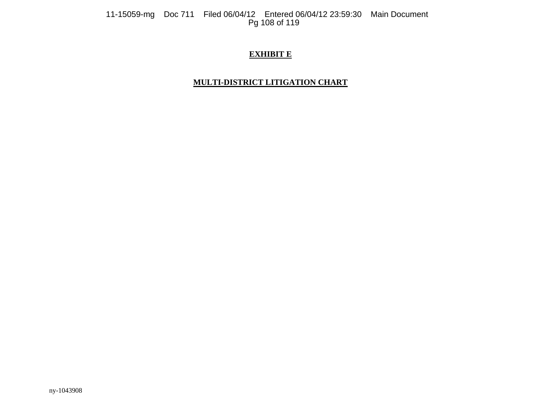11-15059-mg Doc 711 Filed 06/04/12 Entered 06/04/12 23:59:30 Main Document<br>Pg 108 of 119

# **EXHIBIT E**

# **MULTI-DISTRICT LITIGATION CHART**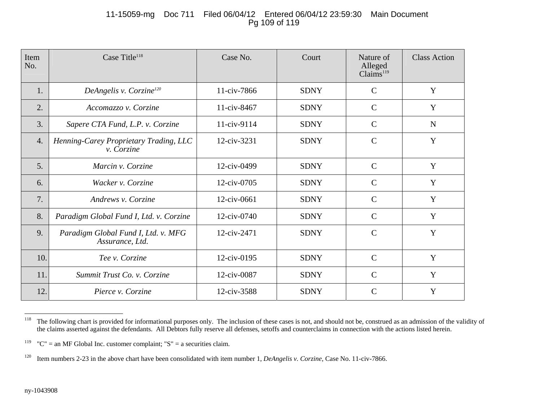## 11-15059-mg Doc 711 Filed 06/04/12 Entered 06/04/12 23:59:30 Main Document Pg 109 of 119

| Item<br>No.      | Case Title <sup>118</sup>                                   | Case No.    | Court       | Nature of<br>Alleged<br>Claims <sup>119</sup> | <b>Class Action</b> |
|------------------|-------------------------------------------------------------|-------------|-------------|-----------------------------------------------|---------------------|
| 1.               | DeAngelis v. Corzine <sup>120</sup>                         | 11-civ-7866 | <b>SDNY</b> | $\mathsf{C}$                                  | Y                   |
| 2.               | Accomazzo v. Corzine                                        | 11-civ-8467 | <b>SDNY</b> | $\mathcal{C}$                                 | Y                   |
| 3.               | Sapere CTA Fund, L.P. v. Corzine                            | 11-civ-9114 | <b>SDNY</b> | $\mathsf{C}$                                  | $\mathbf N$         |
| $\overline{4}$ . | Henning-Carey Proprietary Trading, LLC<br><i>v.</i> Corzine | 12-civ-3231 | <b>SDNY</b> | $\mathcal{C}$                                 | Y                   |
| 5.               | Marcin v. Corzine                                           | 12-civ-0499 | <b>SDNY</b> | $\mathcal{C}$                                 | Y                   |
| 6.               | Wacker v. Corzine                                           | 12-civ-0705 | <b>SDNY</b> | $\mathcal{C}$                                 | Y                   |
| 7.               | Andrews v. Corzine                                          | 12-civ-0661 | <b>SDNY</b> | $\mathcal{C}$                                 | Y                   |
| 8.               | Paradigm Global Fund I, Ltd. v. Corzine                     | 12-civ-0740 | <b>SDNY</b> | $\mathcal{C}$                                 | Y                   |
| 9.               | Paradigm Global Fund I, Ltd. v. MFG<br>Assurance, Ltd.      | 12-civ-2471 | <b>SDNY</b> | $\mathcal{C}$                                 | Y                   |
| 10.              | Tee v. Corzine                                              | 12-civ-0195 | <b>SDNY</b> | $\mathcal{C}$                                 | Y                   |
| 11.              | Summit Trust Co. v. Corzine                                 | 12-civ-0087 | <b>SDNY</b> | $\mathcal{C}$                                 | Y                   |
| 12.              | Pierce v. Corzine                                           | 12-civ-3588 | <b>SDNY</b> | $\mathcal{C}$                                 | Y                   |

<sup>&</sup>lt;sup>118</sup> The following chart is provided for informational purposes only. The inclusion of these cases is not, and should not be, construed as an admission of the validity of the claims asserted against the defendants. All Debtors fully reserve all defenses, setoffs and counterclaims in connection with the actions listed herein.

<sup>&</sup>lt;sup>119</sup> "C" = an MF Global Inc. customer complaint; "S" = a securities claim.

<sup>120</sup> Item numbers 2-23 in the above chart have been consolidated with item number 1, *DeAngelis v. Corzine*, Case No. 11-civ-7866.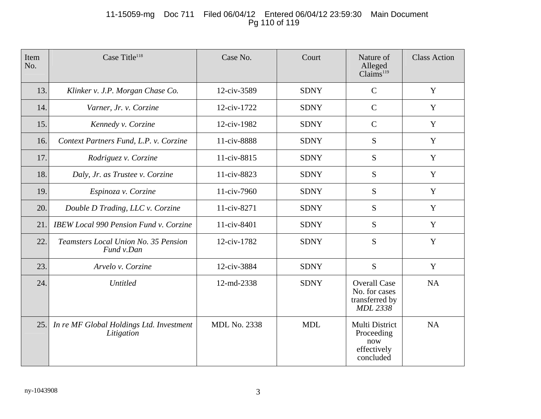# 11-15059-mg Doc 711 Filed 06/04/12 Entered 06/04/12 23:59:30 Main Document Pg 110 of 119

| Item<br>No. | Case Title <sup>118</sup>                              | Case No.            | Court       | Nature of<br>Alleged<br>Claims <sup>119</sup>                             | <b>Class Action</b> |
|-------------|--------------------------------------------------------|---------------------|-------------|---------------------------------------------------------------------------|---------------------|
| 13.         | Klinker v. J.P. Morgan Chase Co.                       | 12-civ-3589         | <b>SDNY</b> | $\mathcal{C}$                                                             | Y                   |
| 14.         | Varner, Jr. v. Corzine                                 | 12-civ-1722         | <b>SDNY</b> | $\mathcal{C}$                                                             | Y                   |
| 15.         | Kennedy v. Corzine                                     | 12-civ-1982         | <b>SDNY</b> | $\mathcal{C}$                                                             | Y                   |
| 16.         | Context Partners Fund, L.P. v. Corzine                 | 11-civ-8888         | <b>SDNY</b> | S                                                                         | Y                   |
| 17.         | Rodriguez v. Corzine                                   | 11-civ-8815         | <b>SDNY</b> | S                                                                         | Y                   |
| 18.         | Daly, Jr. as Trustee v. Corzine                        | 11-civ-8823         | <b>SDNY</b> | S                                                                         | Y                   |
| 19.         | Espinoza v. Corzine                                    | 11-civ-7960         | <b>SDNY</b> | S                                                                         | Y                   |
| 20.         | Double D Trading, LLC v. Corzine                       | 11-civ-8271         | <b>SDNY</b> | S                                                                         | Y                   |
| 21.         | <b>IBEW Local 990 Pension Fund v. Corzine</b>          | 11-civ-8401         | <b>SDNY</b> | S                                                                         | Y                   |
| 22.         | Teamsters Local Union No. 35 Pension<br>Fund v.Dan     | 12-civ-1782         | <b>SDNY</b> | S                                                                         | Y                   |
| 23.         | Arvelo v. Corzine                                      | 12-civ-3884         | <b>SDNY</b> | S                                                                         | Y                   |
| 24.         | <b>Untitled</b>                                        | 12-md-2338          | <b>SDNY</b> | <b>Overall Case</b><br>No. for cases<br>transferred by<br><b>MDL 2338</b> | <b>NA</b>           |
| 25.         | In re MF Global Holdings Ltd. Investment<br>Litigation | <b>MDL No. 2338</b> | <b>MDL</b>  | Multi District<br>Proceeding<br>now<br>effectively<br>concluded           | NA                  |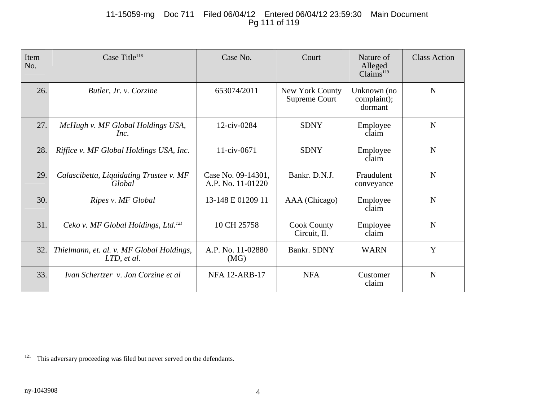# 11-15059-mg Doc 711 Filed 06/04/12 Entered 06/04/12 23:59:30 Main Document Pg 111 of 119

| Item<br>No. | Case Title <sup>118</sup>                                | Case No.                                | Court                              | Nature of<br>Alleged<br>Claims <sup>119</sup> | <b>Class Action</b> |
|-------------|----------------------------------------------------------|-----------------------------------------|------------------------------------|-----------------------------------------------|---------------------|
| 26.         | Butler, Jr. v. Corzine                                   | 653074/2011                             | New York County<br>Supreme Court   | Unknown (no<br>complaint);<br>dormant         | $\mathbf N$         |
| 27.         | McHugh v. MF Global Holdings USA,<br>Inc.                | 12-civ-0284                             | <b>SDNY</b>                        | Employee<br>claim                             | $\mathbf N$         |
| 28.         | Riffice v. MF Global Holdings USA, Inc.                  | $11$ -civ-0671                          | <b>SDNY</b>                        | Employee<br>claim                             | N                   |
| 29.         | Calascibetta, Liquidating Trustee v. MF<br>Global        | Case No. 09-14301,<br>A.P. No. 11-01220 | Bankr. D.N.J.                      | Fraudulent<br>conveyance                      | N                   |
| 30.         | Ripes v. MF Global                                       | 13-148 E 01209 11                       | AAA (Chicago)                      | Employee<br>claim                             | $\mathbf N$         |
| 31.         | Ceko v. MF Global Holdings, Ltd. <sup>121</sup>          | 10 CH 25758                             | <b>Cook County</b><br>Circuit, Il. | Employee<br>claim                             | N                   |
| 32.         | Thielmann, et. al. v. MF Global Holdings,<br>LTD, et al. | A.P. No. 11-02880<br>(MG)               | Bankr. SDNY                        | <b>WARN</b>                                   | Y                   |
| 33.         | Ivan Schertzer v. Jon Corzine et al                      | <b>NFA 12-ARB-17</b>                    | <b>NFA</b>                         | Customer<br>claim                             | $\mathbf N$         |

<sup>&</sup>lt;sup>121</sup> This adversary proceeding was filed but never served on the defendants.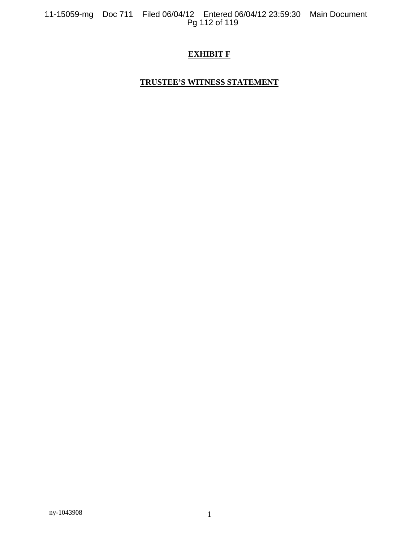11-15059-mg Doc 711 Filed 06/04/12 Entered 06/04/12 23:59:30 Main Document Pg 112 of 119

# **EXHIBIT F**

## **TRUSTEE'S WITNESS STATEMENT**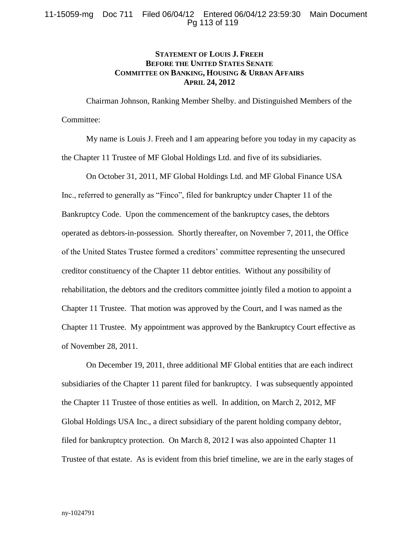### **STATEMENT OF LOUIS J. FREEH BEFORE THE UNITED STATES SENATE COMMITTEE ON BANKING, HOUSING & URBAN AFFAIRS APRIL 24, 2012**

Chairman Johnson, Ranking Member Shelby. and Distinguished Members of the Committee:

My name is Louis J. Freeh and I am appearing before you today in my capacity as the Chapter 11 Trustee of MF Global Holdings Ltd. and five of its subsidiaries.

On October 31, 2011, MF Global Holdings Ltd. and MF Global Finance USA Inc., referred to generally as "Finco", filed for bankruptcy under Chapter 11 of the Bankruptcy Code. Upon the commencement of the bankruptcy cases, the debtors operated as debtors-in-possession. Shortly thereafter, on November 7, 2011, the Office of the United States Trustee formed a creditors' committee representing the unsecured creditor constituency of the Chapter 11 debtor entities. Without any possibility of rehabilitation, the debtors and the creditors committee jointly filed a motion to appoint a Chapter 11 Trustee. That motion was approved by the Court, and I was named as the Chapter 11 Trustee. My appointment was approved by the Bankruptcy Court effective as of November 28, 2011.

On December 19, 2011, three additional MF Global entities that are each indirect subsidiaries of the Chapter 11 parent filed for bankruptcy. I was subsequently appointed the Chapter 11 Trustee of those entities as well. In addition, on March 2, 2012, MF Global Holdings USA Inc., a direct subsidiary of the parent holding company debtor, filed for bankruptcy protection. On March 8, 2012 I was also appointed Chapter 11 Trustee of that estate. As is evident from this brief timeline, we are in the early stages of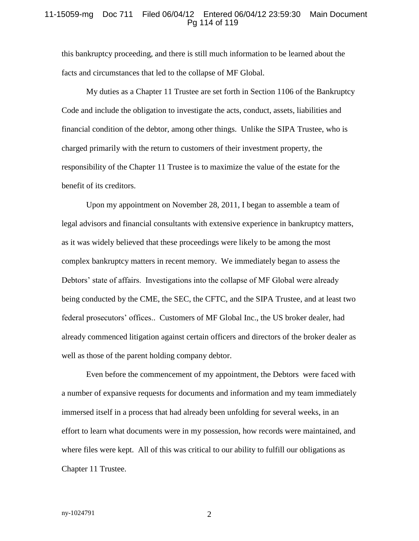#### 11-15059-mg Doc 711 Filed 06/04/12 Entered 06/04/12 23:59:30 Main Document Pg 114 of 119

this bankruptcy proceeding, and there is still much information to be learned about the facts and circumstances that led to the collapse of MF Global.

My duties as a Chapter 11 Trustee are set forth in Section 1106 of the Bankruptcy Code and include the obligation to investigate the acts, conduct, assets, liabilities and financial condition of the debtor, among other things. Unlike the SIPA Trustee, who is charged primarily with the return to customers of their investment property, the responsibility of the Chapter 11 Trustee is to maximize the value of the estate for the benefit of its creditors.

Upon my appointment on November 28, 2011, I began to assemble a team of legal advisors and financial consultants with extensive experience in bankruptcy matters, as it was widely believed that these proceedings were likely to be among the most complex bankruptcy matters in recent memory. We immediately began to assess the Debtors' state of affairs. Investigations into the collapse of MF Global were already being conducted by the CME, the SEC, the CFTC, and the SIPA Trustee, and at least two federal prosecutors' offices.. Customers of MF Global Inc., the US broker dealer, had already commenced litigation against certain officers and directors of the broker dealer as well as those of the parent holding company debtor.

Even before the commencement of my appointment, the Debtors were faced with a number of expansive requests for documents and information and my team immediately immersed itself in a process that had already been unfolding for several weeks, in an effort to learn what documents were in my possession, how records were maintained, and where files were kept. All of this was critical to our ability to fulfill our obligations as Chapter 11 Trustee.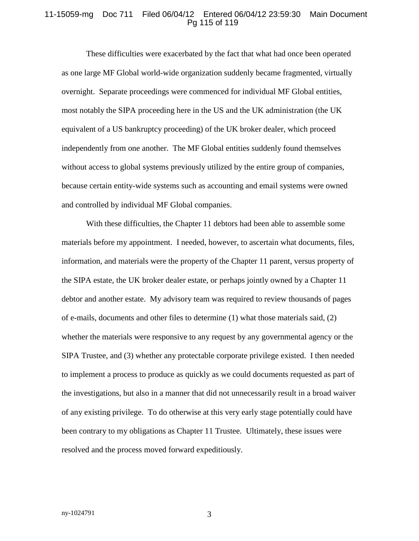#### 11-15059-mg Doc 711 Filed 06/04/12 Entered 06/04/12 23:59:30 Main Document Pg 115 of 119

These difficulties were exacerbated by the fact that what had once been operated as one large MF Global world-wide organization suddenly became fragmented, virtually overnight. Separate proceedings were commenced for individual MF Global entities, most notably the SIPA proceeding here in the US and the UK administration (the UK equivalent of a US bankruptcy proceeding) of the UK broker dealer, which proceed independently from one another. The MF Global entities suddenly found themselves without access to global systems previously utilized by the entire group of companies, because certain entity-wide systems such as accounting and email systems were owned and controlled by individual MF Global companies.

With these difficulties, the Chapter 11 debtors had been able to assemble some materials before my appointment. I needed, however, to ascertain what documents, files, information, and materials were the property of the Chapter 11 parent, versus property of the SIPA estate, the UK broker dealer estate, or perhaps jointly owned by a Chapter 11 debtor and another estate. My advisory team was required to review thousands of pages of e-mails, documents and other files to determine (1) what those materials said, (2) whether the materials were responsive to any request by any governmental agency or the SIPA Trustee, and (3) whether any protectable corporate privilege existed. I then needed to implement a process to produce as quickly as we could documents requested as part of the investigations, but also in a manner that did not unnecessarily result in a broad waiver of any existing privilege. To do otherwise at this very early stage potentially could have been contrary to my obligations as Chapter 11 Trustee. Ultimately, these issues were resolved and the process moved forward expeditiously.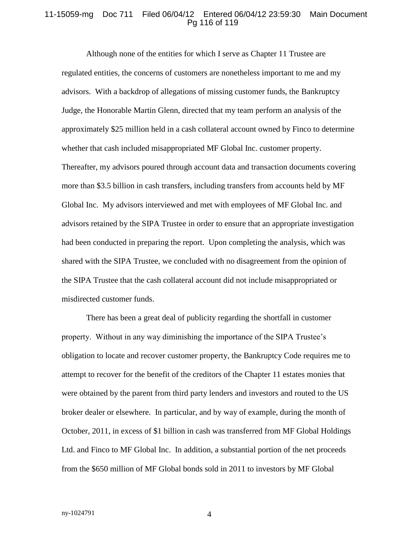#### 11-15059-mg Doc 711 Filed 06/04/12 Entered 06/04/12 23:59:30 Main Document Pg 116 of 119

Although none of the entities for which I serve as Chapter 11 Trustee are regulated entities, the concerns of customers are nonetheless important to me and my advisors. With a backdrop of allegations of missing customer funds, the Bankruptcy Judge, the Honorable Martin Glenn, directed that my team perform an analysis of the approximately \$25 million held in a cash collateral account owned by Finco to determine whether that cash included misappropriated MF Global Inc. customer property. Thereafter, my advisors poured through account data and transaction documents covering more than \$3.5 billion in cash transfers, including transfers from accounts held by MF Global Inc. My advisors interviewed and met with employees of MF Global Inc. and advisors retained by the SIPA Trustee in order to ensure that an appropriate investigation had been conducted in preparing the report. Upon completing the analysis, which was shared with the SIPA Trustee, we concluded with no disagreement from the opinion of the SIPA Trustee that the cash collateral account did not include misappropriated or misdirected customer funds.

There has been a great deal of publicity regarding the shortfall in customer property. Without in any way diminishing the importance of the SIPA Trustee's obligation to locate and recover customer property, the Bankruptcy Code requires me to attempt to recover for the benefit of the creditors of the Chapter 11 estates monies that were obtained by the parent from third party lenders and investors and routed to the US broker dealer or elsewhere. In particular, and by way of example, during the month of October, 2011, in excess of \$1 billion in cash was transferred from MF Global Holdings Ltd. and Finco to MF Global Inc. In addition, a substantial portion of the net proceeds from the \$650 million of MF Global bonds sold in 2011 to investors by MF Global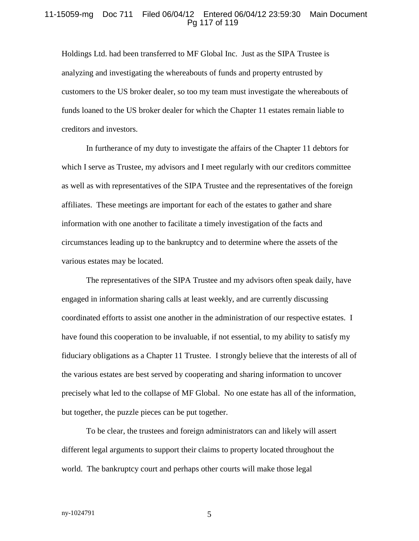#### 11-15059-mg Doc 711 Filed 06/04/12 Entered 06/04/12 23:59:30 Main Document Pg 117 of 119

Holdings Ltd. had been transferred to MF Global Inc. Just as the SIPA Trustee is analyzing and investigating the whereabouts of funds and property entrusted by customers to the US broker dealer, so too my team must investigate the whereabouts of funds loaned to the US broker dealer for which the Chapter 11 estates remain liable to creditors and investors.

In furtherance of my duty to investigate the affairs of the Chapter 11 debtors for which I serve as Trustee, my advisors and I meet regularly with our creditors committee as well as with representatives of the SIPA Trustee and the representatives of the foreign affiliates. These meetings are important for each of the estates to gather and share information with one another to facilitate a timely investigation of the facts and circumstances leading up to the bankruptcy and to determine where the assets of the various estates may be located.

The representatives of the SIPA Trustee and my advisors often speak daily, have engaged in information sharing calls at least weekly, and are currently discussing coordinated efforts to assist one another in the administration of our respective estates. I have found this cooperation to be invaluable, if not essential, to my ability to satisfy my fiduciary obligations as a Chapter 11 Trustee. I strongly believe that the interests of all of the various estates are best served by cooperating and sharing information to uncover precisely what led to the collapse of MF Global. No one estate has all of the information, but together, the puzzle pieces can be put together.

To be clear, the trustees and foreign administrators can and likely will assert different legal arguments to support their claims to property located throughout the world. The bankruptcy court and perhaps other courts will make those legal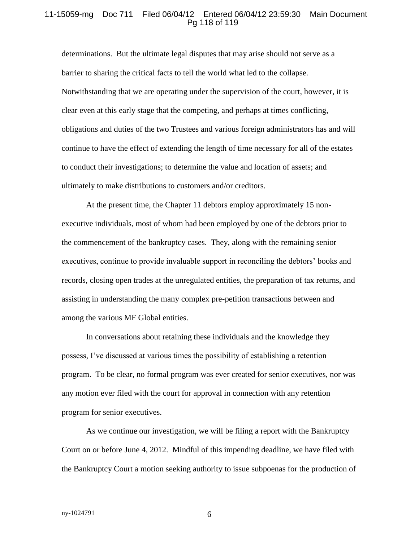#### 11-15059-mg Doc 711 Filed 06/04/12 Entered 06/04/12 23:59:30 Main Document Pg 118 of 119

determinations. But the ultimate legal disputes that may arise should not serve as a barrier to sharing the critical facts to tell the world what led to the collapse. Notwithstanding that we are operating under the supervision of the court, however, it is clear even at this early stage that the competing, and perhaps at times conflicting, obligations and duties of the two Trustees and various foreign administrators has and will continue to have the effect of extending the length of time necessary for all of the estates to conduct their investigations; to determine the value and location of assets; and ultimately to make distributions to customers and/or creditors.

At the present time, the Chapter 11 debtors employ approximately 15 nonexecutive individuals, most of whom had been employed by one of the debtors prior to the commencement of the bankruptcy cases. They, along with the remaining senior executives, continue to provide invaluable support in reconciling the debtors' books and records, closing open trades at the unregulated entities, the preparation of tax returns, and assisting in understanding the many complex pre-petition transactions between and among the various MF Global entities.

In conversations about retaining these individuals and the knowledge they possess, I've discussed at various times the possibility of establishing a retention program. To be clear, no formal program was ever created for senior executives, nor was any motion ever filed with the court for approval in connection with any retention program for senior executives.

As we continue our investigation, we will be filing a report with the Bankruptcy Court on or before June 4, 2012. Mindful of this impending deadline, we have filed with the Bankruptcy Court a motion seeking authority to issue subpoenas for the production of